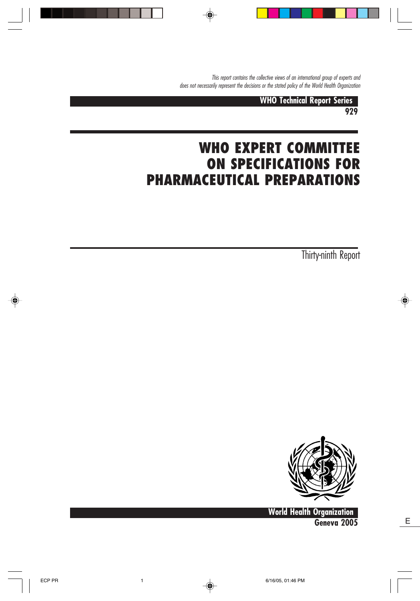*This report contains the collective views of an international group of experts and does not necessarily represent the decisions or the stated policy of the World Health Organization*

**WHO Technical Report Series**

**929**

# **WHO EXPERT COMMITTEE ON SPECIFICATIONS FOR PHARMACEUTICAL PREPARATIONS**

*Thirty-ninth Report*



**Geneva 2005**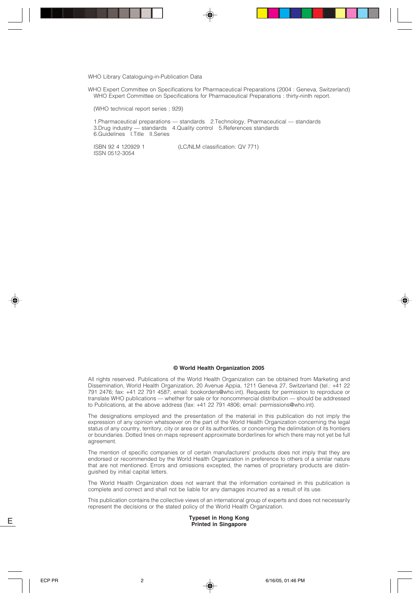#### WHO Library Cataloguing-in-Publication Data

WHO Expert Committee on Specifications for Pharmaceutical Preparations (2004 : Geneva, Switzerland) WHO Expert Committee on Specifications for Pharmaceutical Preparations : thirty-ninth report.

(WHO technical report series ; 929)

1.Pharmaceutical preparations — standards 2.Technology, Pharmaceutical — standards 3.Drug industry — standards 4.Quality control 5.References standards 6.Guidelines I.Title II.Series

ISSN 0512-3054

ISBN 92 4 120929 1 (LC/NLM classification: QV 771)

#### **© World Health Organization 2005**

All rights reserved. Publications of the World Health Organization can be obtained from Marketing and Dissemination, World Health Organization, 20 Avenue Appia, 1211 Geneva 27, Switzerland (tel.: +41 22 791 2476; fax: +41 22 791 4587; email: bookorders@who.int). Requests for permission to reproduce or translate WHO publications — whether for sale or for noncommercial distribution — should be addressed to Publications, at the above address (fax: +41 22 791 4806; email: permissions@who.int).

The designations employed and the presentation of the material in this publication do not imply the expression of any opinion whatsoever on the part of the World Health Organization concerning the legal status of any country, territory, city or area or of its authorities, or concerning the delimitation of its frontiers or boundaries. Dotted lines on maps represent approximate borderlines for which there may not yet be full agreement.

The mention of specific companies or of certain manufacturers' products does not imply that they are endorsed or recommended by the World Health Organization in preference to others of a similar nature that are not mentioned. Errors and omissions excepted, the names of proprietary products are distinguished by initial capital letters.

The World Health Organization does not warrant that the information contained in this publication is complete and correct and shall not be liable for any damages incurred as a result of its use.

This publication contains the collective views of an international group of experts and does not necessarily represent the decisions or the stated policy of the World Health Organization.

> **Typeset in Hong Kong Printed in Singapore**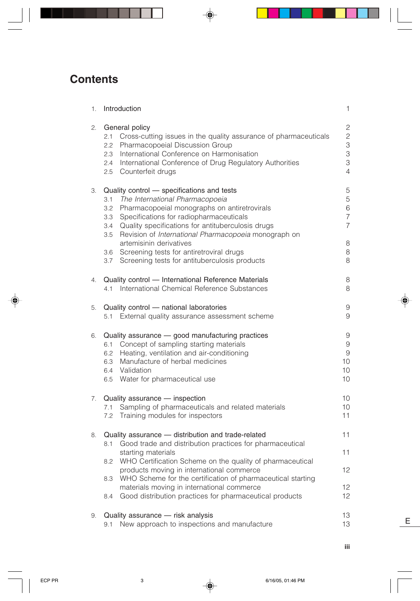# **Contents**

| 1. | Introduction                                                                                                                                                                                                                                                                                                                                                                                                                                                   | 1                                                                                      |
|----|----------------------------------------------------------------------------------------------------------------------------------------------------------------------------------------------------------------------------------------------------------------------------------------------------------------------------------------------------------------------------------------------------------------------------------------------------------------|----------------------------------------------------------------------------------------|
| 2. | General policy<br>Cross-cutting issues in the quality assurance of pharmaceuticals<br>2.1<br>2.2 Pharmacopoeial Discussion Group<br>International Conference on Harmonisation<br>2.3<br>2.4 International Conference of Drug Regulatory Authorities<br>2.5 Counterfeit drugs                                                                                                                                                                                   | $\overline{c}$<br>$\mathbf{2}$<br>3<br>3<br>3<br>4                                     |
| 3. | Quality control - specifications and tests<br>The International Pharmacopoeia<br>3.1<br>Pharmacopoeial monographs on antiretrovirals<br>3.2<br>Specifications for radiopharmaceuticals<br>3.3<br>Quality specifications for antituberculosis drugs<br>3.4<br>Revision of International Pharmacopoeia monograph on<br>3.5<br>artemisinin derivatives<br>Screening tests for antiretroviral drugs<br>3.6<br>Screening tests for antituberculosis products<br>3.7 | 5<br>5<br>6<br>$\overline{7}$<br>$\overline{7}$<br>8<br>8<br>8                         |
| 4. | Quality control - International Reference Materials<br>International Chemical Reference Substances<br>4.1                                                                                                                                                                                                                                                                                                                                                      | 8<br>8                                                                                 |
| 5. | Quality control - national laboratories<br>External quality assurance assessment scheme<br>5.1                                                                                                                                                                                                                                                                                                                                                                 | 9<br>9                                                                                 |
| 6. | Quality assurance - good manufacturing practices<br>6.1 Concept of sampling starting materials<br>6.2 Heating, ventilation and air-conditioning<br>Manufacture of herbal medicines<br>6.3<br>6.4 Validation<br>6.5 Water for pharmaceutical use                                                                                                                                                                                                                | 9<br>$\hbox{9}$<br>$\hbox{9}$<br>10 <sup>°</sup><br>10 <sup>°</sup><br>10 <sup>°</sup> |
| 7. | Quality assurance - inspection<br>Sampling of pharmaceuticals and related materials<br>7.1<br>7.2<br>Training modules for inspectors                                                                                                                                                                                                                                                                                                                           | 10<br>10 <sup>°</sup><br>11                                                            |
| 8. | Quality assurance - distribution and trade-related<br>Good trade and distribution practices for pharmaceutical<br>8.1<br>starting materials<br>WHO Certification Scheme on the quality of pharmaceutical<br>8.2<br>products moving in international commerce<br>WHO Scheme for the certification of pharmaceutical starting<br>8.3<br>materials moving in international commerce<br>Good distribution practices for pharmaceutical products<br>8.4             | 11<br>11<br>12 <sup>°</sup><br>12<br>12                                                |
| 9. | Quality assurance - risk analysis<br>New approach to inspections and manufacture<br>9.1                                                                                                                                                                                                                                                                                                                                                                        | 13<br>13                                                                               |

 $\Rightarrow$ 

E

 $\bigoplus$ 

**iii**

 $\bigoplus$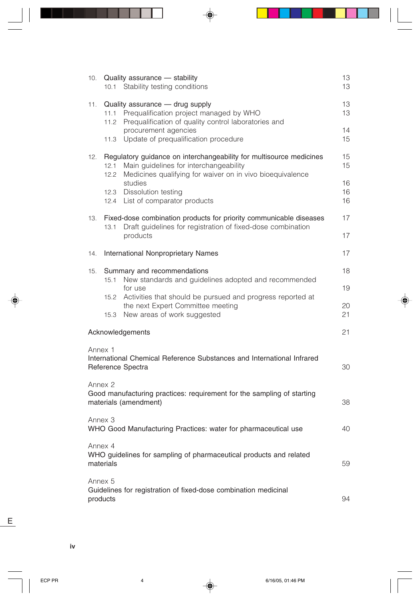|                                                                                            | 10. | Quality assurance - stability<br>10.1 Stability testing conditions                                                                                                                         | 13<br>13       |
|--------------------------------------------------------------------------------------------|-----|--------------------------------------------------------------------------------------------------------------------------------------------------------------------------------------------|----------------|
|                                                                                            | 11. | Quality assurance - drug supply<br>11.1 Prequalification project managed by WHO<br>11.2 Prequalification of quality control laboratories and                                               | 13<br>13       |
|                                                                                            |     | procurement agencies<br>11.3 Update of prequalification procedure                                                                                                                          | 14<br>15       |
|                                                                                            | 12. | Regulatory guidance on interchangeability for multisource medicines<br>Main guidelines for interchangeability<br>12.1<br>Medicines qualifying for waiver on in vivo bioequivalence<br>12.2 | 15<br>15       |
|                                                                                            |     | studies<br>Dissolution testing<br>12.3<br>12.4 List of comparator products                                                                                                                 | 16<br>16<br>16 |
|                                                                                            | 13. | Fixed-dose combination products for priority communicable diseases<br>Draft guidelines for registration of fixed-dose combination<br>13.1<br>products                                      | 17<br>17       |
|                                                                                            | 14. | International Nonproprietary Names                                                                                                                                                         | 17             |
|                                                                                            | 15. | Summary and recommendations<br>New standards and guidelines adopted and recommended<br>15.1                                                                                                | 18             |
|                                                                                            |     | for use<br>Activities that should be pursued and progress reported at<br>15.2<br>the next Expert Committee meeting<br>New areas of work suggested<br>15.3                                  | 19<br>20<br>21 |
|                                                                                            |     | Acknowledgements                                                                                                                                                                           | 21             |
|                                                                                            |     | Annex 1<br>International Chemical Reference Substances and International Infrared<br>Reference Spectra                                                                                     | 30             |
|                                                                                            |     | Annex 2<br>Good manufacturing practices: requirement for the sampling of starting<br>materials (amendment)                                                                                 | 38             |
|                                                                                            |     | Annex 3<br>WHO Good Manufacturing Practices: water for pharmaceutical use                                                                                                                  | 40             |
| Annex 4<br>WHO guidelines for sampling of pharmaceutical products and related<br>materials |     |                                                                                                                                                                                            | 59             |
|                                                                                            |     | Annex 5<br>Guidelines for registration of fixed-dose combination medicinal<br>products                                                                                                     | 94             |

 $\spadesuit$ 

 $\mathbb{R}^2$ 

 $\bigoplus$ 

 $\blacksquare$ 

ı.

- 1

<u> Tanzania de la pro</u>

E

 $\overline{\bigcirc}$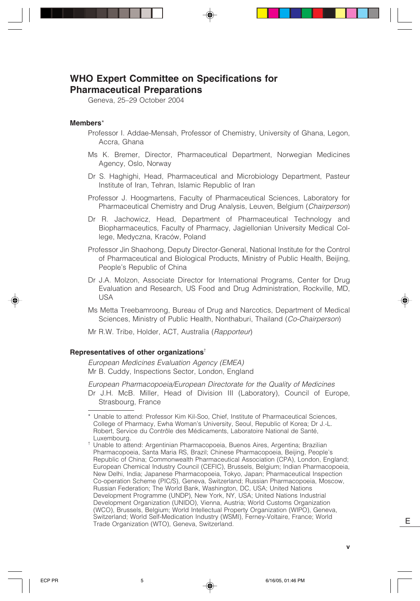### **WHO Expert Committee on Specifications for Pharmaceutical Preparations**

Geneva, 25–29 October 2004

#### **Members**\*

- Professor I. Addae-Mensah, Professor of Chemistry, University of Ghana, Legon, Accra, Ghana
- Ms K. Bremer, Director, Pharmaceutical Department, Norwegian Medicines Agency, Oslo, Norway
- Dr S. Haghighi, Head, Pharmaceutical and Microbiology Department, Pasteur Institute of Iran, Tehran, Islamic Republic of Iran
- Professor J. Hoogmartens, Faculty of Pharmaceutical Sciences, Laboratory for Pharmaceutical Chemistry and Drug Analysis, Leuven, Belgium (Chairperson)
- Dr R. Jachowicz, Head, Department of Pharmaceutical Technology and Biopharmaceutics, Faculty of Pharmacy, Jagiellonian University Medical College, Medyczna, Kraców, Poland
- Professor Jin Shaohong, Deputy Director-General, National Institute for the Control of Pharmaceutical and Biological Products, Ministry of Public Health, Beijing, People's Republic of China
- Dr J.A. Molzon, Associate Director for International Programs, Center for Drug Evaluation and Research, US Food and Drug Administration, Rockville, MD, USA
- Ms Metta Treebamroong, Bureau of Drug and Narcotics, Department of Medical Sciences, Ministry of Public Health, Nonthaburi, Thailand (Co-Chairperson)
- Mr R.W. Tribe, Holder, ACT, Australia (Rapporteur)

#### **Representatives of other organizations**†

European Medicines Evaluation Agency (EMEA) Mr B. Cuddy, Inspections Sector, London, England

European Pharmacopoeia/European Directorate for the Quality of Medicines Dr J.H. McB. Miller, Head of Division III (Laboratory), Council of Europe, Strasbourg, France

E

**v**

<sup>\*</sup> Unable to attend: Professor Kim Kil-Soo, Chief, Institute of Pharmaceutical Sciences, College of Pharmacy, Ewha Woman's University, Seoul, Republic of Korea; Dr J.-L. Robert, Service du Contrôle des Médicaments, Laboratoire National de Santé, Luxembourg.<br><sup>†</sup> Unable to attend: Argentinian Pharmacopoeia, Buenos Aires, Argentina; Brazilian

Pharmacopoeia, Santa Maria RS, Brazil; Chinese Pharmacopoeia, Beijing, People's Republic of China; Commonwealth Pharmaceutical Association (CPA), London, England; European Chemical Industry Council (CEFIC), Brussels, Belgium; Indian Pharmacopoeia, New Delhi, India; Japanese Pharmacopoeia, Tokyo, Japan; Pharmaceutical Inspection Co-operation Scheme (PIC/S), Geneva, Switzerland; Russian Pharmacopoeia, Moscow, Russian Federation; The World Bank, Washington, DC, USA; United Nations Development Programme (UNDP), New York, NY, USA; United Nations Industrial Development Organization (UNIDO), Vienna, Austria; World Customs Organization (WCO), Brussels, Belgium; World Intellectual Property Organization (WIPO), Geneva, Switzerland; World Self-Medication Industry (WSMI), Ferney-Voltaire, France; World Trade Organization (WTO), Geneva, Switzerland.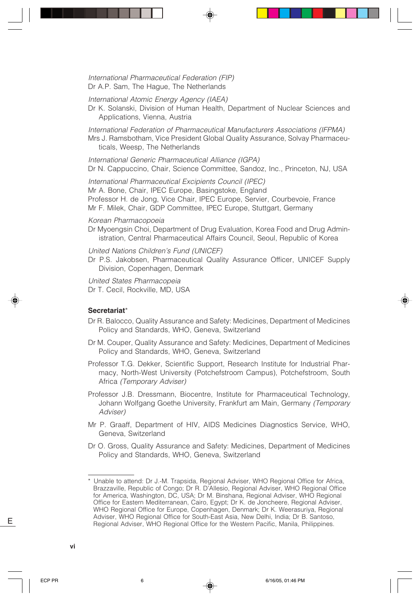International Pharmaceutical Federation (FIP) Dr A.P. Sam, The Hague, The Netherlands

International Atomic Energy Agency (IAEA)

Dr K. Solanski, Division of Human Health, Department of Nuclear Sciences and Applications, Vienna, Austria

International Federation of Pharmaceutical Manufacturers Associations (IFPMA) Mrs J. Ramsbotham, Vice President Global Quality Assurance, Solvay Pharmaceu-

ticals, Weesp, The Netherlands

International Generic Pharmaceutical Alliance (IGPA) Dr N. Cappuccino, Chair, Science Committee, Sandoz, Inc., Princeton, NJ, USA

International Pharmaceutical Excipients Council (IPEC) Mr A. Bone, Chair, IPEC Europe, Basingstoke, England Professor H. de Jong, Vice Chair, IPEC Europe, Servier, Courbevoie, France Mr F. Milek, Chair, GDP Committee, IPEC Europe, Stuttgart, Germany

#### Korean Pharmacopoeia

Dr Myoengsin Choi, Department of Drug Evaluation, Korea Food and Drug Administration, Central Pharmaceutical Affairs Council, Seoul, Republic of Korea

United Nations Children's Fund (UNICEF)

Dr P.S. Jakobsen, Pharmaceutical Quality Assurance Officer, UNICEF Supply Division, Copenhagen, Denmark

United States Pharmacopeia Dr T. Cecil, Rockville, MD, USA

#### **Secretariat**\*

- Dr R. Balocco, Quality Assurance and Safety: Medicines, Department of Medicines Policy and Standards, WHO, Geneva, Switzerland
- Dr M. Couper, Quality Assurance and Safety: Medicines, Department of Medicines Policy and Standards, WHO, Geneva, Switzerland
- Professor T.G. Dekker, Scientific Support, Research Institute for Industrial Pharmacy, North-West University (Potchefstroom Campus), Potchefstroom, South Africa (Temporary Adviser)
- Professor J.B. Dressmann, Biocentre, Institute for Pharmaceutical Technology, Johann Wolfgang Goethe University, Frankfurt am Main, Germany (Temporary Adviser)
- Mr P. Graaff, Department of HIV, AIDS Medicines Diagnostics Service, WHO, Geneva, Switzerland
- Dr O. Gross, Quality Assurance and Safety: Medicines, Department of Medicines Policy and Standards, WHO, Geneva, Switzerland

Unable to attend: Dr J.-M. Trapsida, Regional Adviser, WHO Regional Office for Africa, Brazzaville, Republic of Congo; Dr R. D'Allesio, Regional Adviser, WHO Regional Office for America, Washington, DC, USA; Dr M. Binshana, Regional Adviser, WHO Regional Office for Eastern Mediterranean, Cairo, Egypt; Dr K. de Joncheere, Regional Adviser, WHO Regional Office for Europe, Copenhagen, Denmark; Dr K. Weerasuriya, Regional Adviser, WHO Regional Office for South-East Asia, New Delhi, India; Dr B. Santoso, Regional Adviser, WHO Regional Office for the Western Pacific, Manila, Philippines.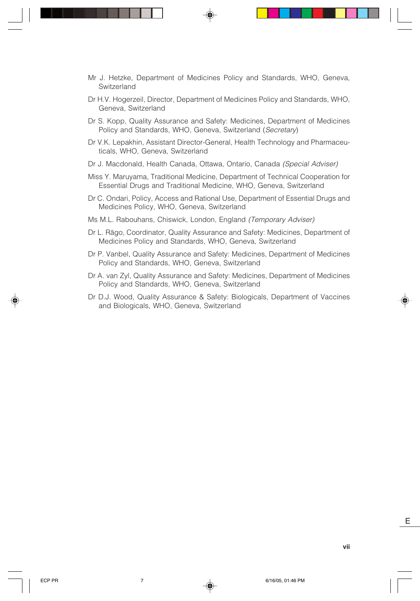- Mr J. Hetzke, Department of Medicines Policy and Standards, WHO, Geneva, Switzerland
- Dr H.V. Hogerzeil, Director, Department of Medicines Policy and Standards, WHO, Geneva, Switzerland
- Dr S. Kopp, Quality Assurance and Safety: Medicines, Department of Medicines Policy and Standards, WHO, Geneva, Switzerland (Secretary)
- Dr V.K. Lepakhin, Assistant Director-General, Health Technology and Pharmaceuticals, WHO, Geneva, Switzerland
- Dr J. Macdonald, Health Canada, Ottawa, Ontario, Canada (Special Adviser)
- Miss Y. Maruyama, Traditional Medicine, Department of Technical Cooperation for Essential Drugs and Traditional Medicine, WHO, Geneva, Switzerland
- Dr C. Ondari, Policy, Access and Rational Use, Department of Essential Drugs and Medicines Policy, WHO, Geneva, Switzerland
- Ms M.L. Rabouhans, Chiswick, London, England (Temporary Adviser)
- Dr L. Rägo, Coordinator, Quality Assurance and Safety: Medicines, Department of Medicines Policy and Standards, WHO, Geneva, Switzerland
- Dr P. Vanbel, Quality Assurance and Safety: Medicines, Department of Medicines Policy and Standards, WHO, Geneva, Switzerland
- Dr A. van Zyl, Quality Assurance and Safety: Medicines, Department of Medicines Policy and Standards, WHO, Geneva, Switzerland
- Dr D.J. Wood, Quality Assurance & Safety: Biologicals, Department of Vaccines and Biologicals, WHO, Geneva, Switzerland

**vii**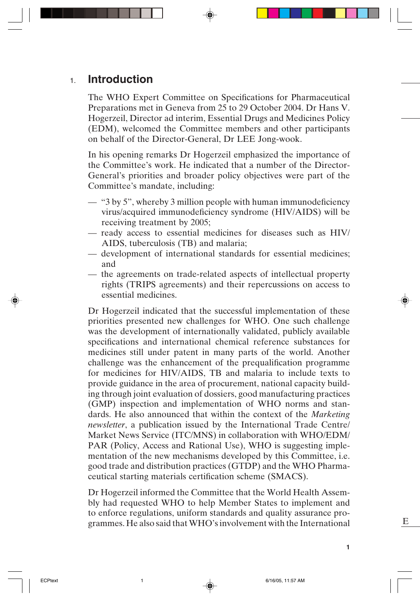### 1. **Introduction**

The WHO Expert Committee on Specifications for Pharmaceutical Preparations met in Geneva from 25 to 29 October 2004. Dr Hans V. Hogerzeil, Director ad interim, Essential Drugs and Medicines Policy (EDM), welcomed the Committee members and other participants on behalf of the Director-General, Dr LEE Jong-wook.

In his opening remarks Dr Hogerzeil emphasized the importance of the Committee's work. He indicated that a number of the Director-General's priorities and broader policy objectives were part of the Committee's mandate, including:

- "3 by 5", whereby 3 million people with human immunodeficiency virus/acquired immunodeficiency syndrome (HIV/AIDS) will be receiving treatment by 2005;
- ready access to essential medicines for diseases such as HIV/ AIDS, tuberculosis (TB) and malaria;
- development of international standards for essential medicines; and
- the agreements on trade-related aspects of intellectual property rights (TRIPS agreements) and their repercussions on access to essential medicines.

Dr Hogerzeil indicated that the successful implementation of these priorities presented new challenges for WHO. One such challenge was the development of internationally validated, publicly available specifications and international chemical reference substances for medicines still under patent in many parts of the world. Another challenge was the enhancement of the prequalification programme for medicines for HIV/AIDS, TB and malaria to include texts to provide guidance in the area of procurement, national capacity building through joint evaluation of dossiers, good manufacturing practices (GMP) inspection and implementation of WHO norms and standards. He also announced that within the context of the *Marketing newsletter*, a publication issued by the International Trade Centre/ Market News Service (ITC/MNS) in collaboration with WHO/EDM/ PAR (Policy, Access and Rational Use), WHO is suggesting implementation of the new mechanisms developed by this Committee, i.e. good trade and distribution practices (GTDP) and the WHO Pharmaceutical starting materials certification scheme (SMACS).

Dr Hogerzeil informed the Committee that the World Health Assembly had requested WHO to help Member States to implement and to enforce regulations, uniform standards and quality assurance programmes. He also said that WHO's involvement with the International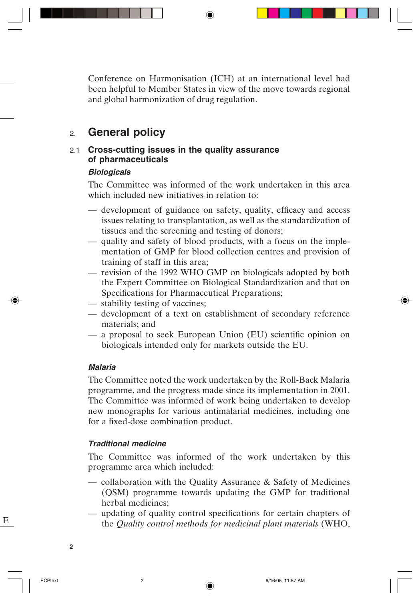Conference on Harmonisation (ICH) at an international level had been helpful to Member States in view of the move towards regional and global harmonization of drug regulation.

## 2. **General policy**

### 2.1 **Cross-cutting issues in the quality assurance of pharmaceuticals**

### **Biologicals**

The Committee was informed of the work undertaken in this area which included new initiatives in relation to:

- development of guidance on safety, quality, efficacy and access issues relating to transplantation, as well as the standardization of tissues and the screening and testing of donors;
- quality and safety of blood products, with a focus on the implementation of GMP for blood collection centres and provision of training of staff in this area;
- revision of the 1992 WHO GMP on biologicals adopted by both the Expert Committee on Biological Standardization and that on Specifications for Pharmaceutical Preparations;
- stability testing of vaccines;
- development of a text on establishment of secondary reference materials; and
- a proposal to seek European Union (EU) scientific opinion on biologicals intended only for markets outside the EU.

#### **Malaria**

The Committee noted the work undertaken by the Roll-Back Malaria programme, and the progress made since its implementation in 2001. The Committee was informed of work being undertaken to develop new monographs for various antimalarial medicines, including one for a fixed-dose combination product.

#### **Traditional medicine**

The Committee was informed of the work undertaken by this programme area which included:

- collaboration with the Quality Assurance & Safety of Medicines (QSM) programme towards updating the GMP for traditional herbal medicines;
- updating of quality control specifications for certain chapters of the *Quality control methods for medicinal plant materials* (WHO,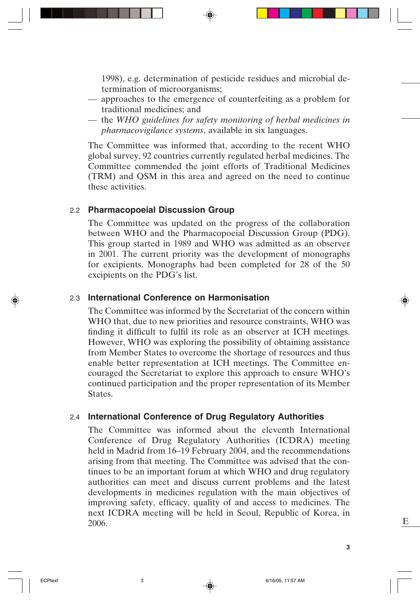1998), e.g. determination of pesticide residues and microbial determination of microorganisms;

- approaches to the emergence of counterfeiting as a problem for traditional medicines; and
- the *WHO guidelines for safety monitoring of herbal medicines in pharmacovigilance systems*, available in six languages.

The Committee was informed that, according to the recent WHO global survey, 92 countries currently regulated herbal medicines. The Committee commended the joint efforts of Traditional Medicines (TRM) and QSM in this area and agreed on the need to continue these activities.

#### 2.2 **Pharmacopoeial Discussion Group**

The Committee was updated on the progress of the collaboration between WHO and the Pharmacopoeial Discussion Group (PDG). This group started in 1989 and WHO was admitted as an observer in 2001. The current priority was the development of monographs for excipients. Monographs had been completed for 28 of the 50 excipients on the PDG's list.

#### 2.3 **International Conference on Harmonisation**

The Committee was informed by the Secretariat of the concern within WHO that, due to new priorities and resource constraints, WHO was finding it difficult to fulfil its role as an observer at ICH meetings. However, WHO was exploring the possibility of obtaining assistance from Member States to overcome the shortage of resources and thus enable better representation at ICH meetings. The Committee encouraged the Secretariat to explore this approach to ensure WHO's continued participation and the proper representation of its Member States.

#### 2.4 **International Conference of Drug Regulatory Authorities**

The Committee was informed about the eleventh International Conference of Drug Regulatory Authorities (ICDRA) meeting held in Madrid from 16–19 February 2004, and the recommendations arising from that meeting. The Committee was advised that the continues to be an important forum at which WHO and drug regulatory authorities can meet and discuss current problems and the latest developments in medicines regulation with the main objectives of improving safety, efficacy, quality of and access to medicines. The next ICDRA meeting will be held in Seoul, Republic of Korea, in 2006.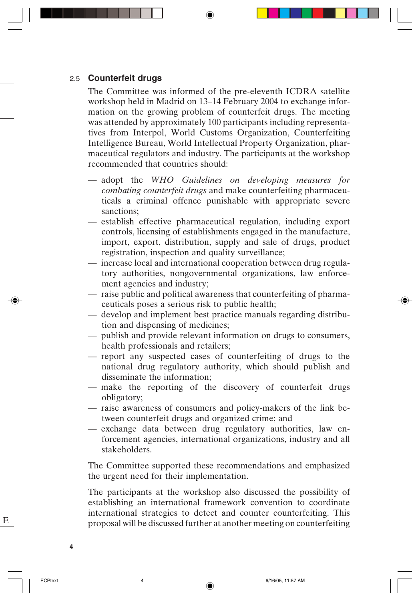#### 2.5 **Counterfeit drugs**

The Committee was informed of the pre-eleventh ICDRA satellite workshop held in Madrid on 13–14 February 2004 to exchange information on the growing problem of counterfeit drugs. The meeting was attended by approximately 100 participants including representatives from Interpol, World Customs Organization, Counterfeiting Intelligence Bureau, World Intellectual Property Organization, pharmaceutical regulators and industry. The participants at the workshop recommended that countries should:

- adopt the *WHO Guidelines on developing measures for combating counterfeit drugs* and make counterfeiting pharmaceuticals a criminal offence punishable with appropriate severe sanctions;
- establish effective pharmaceutical regulation, including export controls, licensing of establishments engaged in the manufacture, import, export, distribution, supply and sale of drugs, product registration, inspection and quality surveillance;
- increase local and international cooperation between drug regulatory authorities, nongovernmental organizations, law enforcement agencies and industry;
- raise public and political awareness that counterfeiting of pharmaceuticals poses a serious risk to public health;
- develop and implement best practice manuals regarding distribution and dispensing of medicines;
- publish and provide relevant information on drugs to consumers, health professionals and retailers;
- report any suspected cases of counterfeiting of drugs to the national drug regulatory authority, which should publish and disseminate the information;
- make the reporting of the discovery of counterfeit drugs obligatory;
- raise awareness of consumers and policy-makers of the link between counterfeit drugs and organized crime; and
- exchange data between drug regulatory authorities, law enforcement agencies, international organizations, industry and all stakeholders.

The Committee supported these recommendations and emphasized the urgent need for their implementation.

The participants at the workshop also discussed the possibility of establishing an international framework convention to coordinate international strategies to detect and counter counterfeiting. This proposal will be discussed further at another meeting on counterfeiting

**4**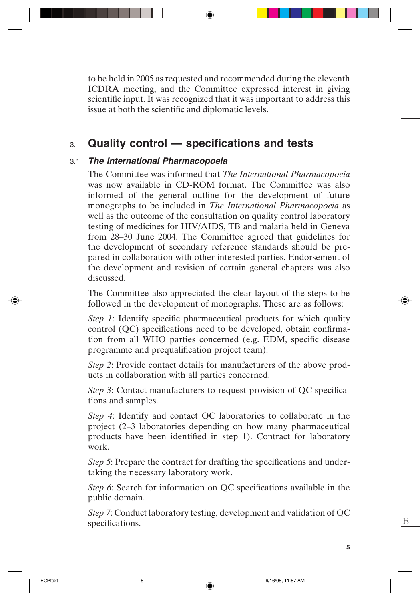to be held in 2005 as requested and recommended during the eleventh ICDRA meeting, and the Committee expressed interest in giving scientific input. It was recognized that it was important to address this issue at both the scientific and diplomatic levels.

### 3. **Quality control — specifications and tests**

#### 3.1 **The International Pharmacopoeia**

The Committee was informed that *The International Pharmacopoeia* was now available in CD-ROM format. The Committee was also informed of the general outline for the development of future monographs to be included in *The International Pharmacopoeia* as well as the outcome of the consultation on quality control laboratory testing of medicines for HIV/AIDS, TB and malaria held in Geneva from 28–30 June 2004. The Committee agreed that guidelines for the development of secondary reference standards should be prepared in collaboration with other interested parties. Endorsement of the development and revision of certain general chapters was also discussed.

The Committee also appreciated the clear layout of the steps to be followed in the development of monographs. These are as follows:

*Step 1*: Identify specific pharmaceutical products for which quality control (QC) specifications need to be developed, obtain confirmation from all WHO parties concerned (e.g. EDM, specific disease programme and prequalification project team).

*Step 2*: Provide contact details for manufacturers of the above products in collaboration with all parties concerned.

*Step 3*: Contact manufacturers to request provision of QC specifications and samples.

*Step 4*: Identify and contact QC laboratories to collaborate in the project (2–3 laboratories depending on how many pharmaceutical products have been identified in step 1). Contract for laboratory work.

*Step 5*: Prepare the contract for drafting the specifications and undertaking the necessary laboratory work.

*Step 6*: Search for information on QC specifications available in the public domain.

*Step 7*: Conduct laboratory testing, development and validation of QC specifications.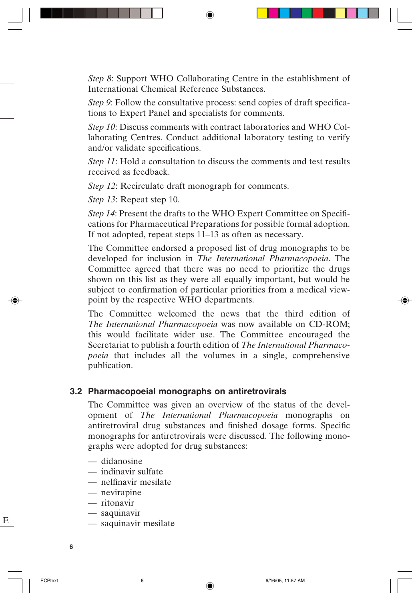*Step 8*: Support WHO Collaborating Centre in the establishment of International Chemical Reference Substances.

*Step 9*: Follow the consultative process: send copies of draft specifications to Expert Panel and specialists for comments.

*Step 10*: Discuss comments with contract laboratories and WHO Collaborating Centres. Conduct additional laboratory testing to verify and/or validate specifications.

*Step 11*: Hold a consultation to discuss the comments and test results received as feedback.

*Step 12*: Recirculate draft monograph for comments.

*Step 13*: Repeat step 10.

*Step 14*: Present the drafts to the WHO Expert Committee on Specifications for Pharmaceutical Preparations for possible formal adoption. If not adopted, repeat steps 11–13 as often as necessary.

The Committee endorsed a proposed list of drug monographs to be developed for inclusion in *The International Pharmacopoeia*. The Committee agreed that there was no need to prioritize the drugs shown on this list as they were all equally important, but would be subject to confirmation of particular priorities from a medical viewpoint by the respective WHO departments.

The Committee welcomed the news that the third edition of *The International Pharmacopoeia* was now available on CD-ROM; this would facilitate wider use. The Committee encouraged the Secretariat to publish a fourth edition of *The International Pharmacopoeia* that includes all the volumes in a single, comprehensive publication.

#### **3.2 Pharmacopoeial monographs on antiretrovirals**

The Committee was given an overview of the status of the development of *The International Pharmacopoeia* monographs on antiretroviral drug substances and finished dosage forms. Specific monographs for antiretrovirals were discussed. The following monographs were adopted for drug substances:

- didanosine
- indinavir sulfate
- nelfinavir mesilate
- nevirapine
- ritonavir
- saquinavir
- saquinavir mesilate
- **6**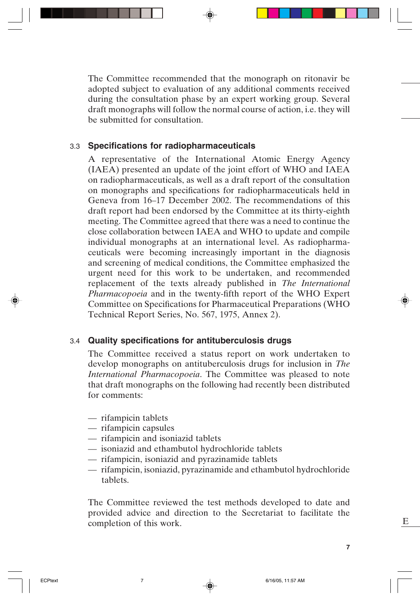The Committee recommended that the monograph on ritonavir be adopted subject to evaluation of any additional comments received during the consultation phase by an expert working group. Several draft monographs will follow the normal course of action, i.e. they will be submitted for consultation.

#### 3.3 **Specifications for radiopharmaceuticals**

A representative of the International Atomic Energy Agency (IAEA) presented an update of the joint effort of WHO and IAEA on radiopharmaceuticals, as well as a draft report of the consultation on monographs and specifications for radiopharmaceuticals held in Geneva from 16–17 December 2002. The recommendations of this draft report had been endorsed by the Committee at its thirty-eighth meeting. The Committee agreed that there was a need to continue the close collaboration between IAEA and WHO to update and compile individual monographs at an international level. As radiopharmaceuticals were becoming increasingly important in the diagnosis and screening of medical conditions, the Committee emphasized the urgent need for this work to be undertaken, and recommended replacement of the texts already published in *The International Pharmacopoeia* and in the twenty-fifth report of the WHO Expert Committee on Specifications for Pharmaceutical Preparations (WHO Technical Report Series, No. 567, 1975, Annex 2).

### 3.4 **Quality specifications for antituberculosis drugs**

The Committee received a status report on work undertaken to develop monographs on antituberculosis drugs for inclusion in *The International Pharmacopoeia*. The Committee was pleased to note that draft monographs on the following had recently been distributed for comments:

- rifampicin tablets
- rifampicin capsules
- rifampicin and isoniazid tablets
- isoniazid and ethambutol hydrochloride tablets
- rifampicin, isoniazid and pyrazinamide tablets
- rifampicin, isoniazid, pyrazinamide and ethambutol hydrochloride tablets.

The Committee reviewed the test methods developed to date and provided advice and direction to the Secretariat to facilitate the completion of this work.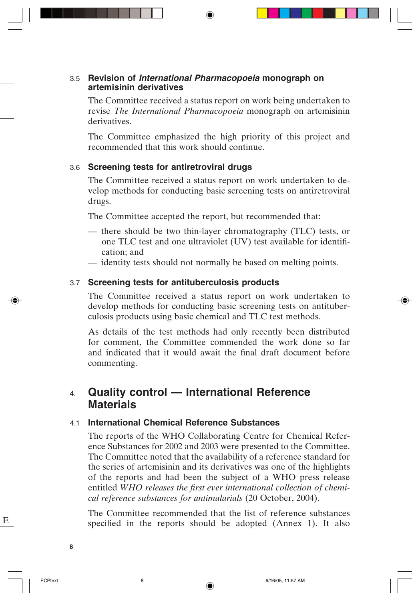### 3.5 **Revision of International Pharmacopoeia monograph on artemisinin derivatives**

The Committee received a status report on work being undertaken to revise *The International Pharmacopoeia* monograph on artemisinin derivatives.

The Committee emphasized the high priority of this project and recommended that this work should continue.

#### 3.6 **Screening tests for antiretroviral drugs**

The Committee received a status report on work undertaken to develop methods for conducting basic screening tests on antiretroviral drugs.

The Committee accepted the report, but recommended that:

- there should be two thin-layer chromatography (TLC) tests, or one TLC test and one ultraviolet (UV) test available for identification; and
- identity tests should not normally be based on melting points.

#### 3.7 **Screening tests for antituberculosis products**

The Committee received a status report on work undertaken to develop methods for conducting basic screening tests on antituberculosis products using basic chemical and TLC test methods.

As details of the test methods had only recently been distributed for comment, the Committee commended the work done so far and indicated that it would await the final draft document before commenting.

## 4. **Quality control — International Reference Materials**

#### 4.1 **International Chemical Reference Substances**

The reports of the WHO Collaborating Centre for Chemical Reference Substances for 2002 and 2003 were presented to the Committee. The Committee noted that the availability of a reference standard for the series of artemisinin and its derivatives was one of the highlights of the reports and had been the subject of a WHO press release entitled *WHO releases the first ever international collection of chemical reference substances for antimalarials* (20 October, 2004).

The Committee recommended that the list of reference substances specified in the reports should be adopted (Annex 1). It also

**8**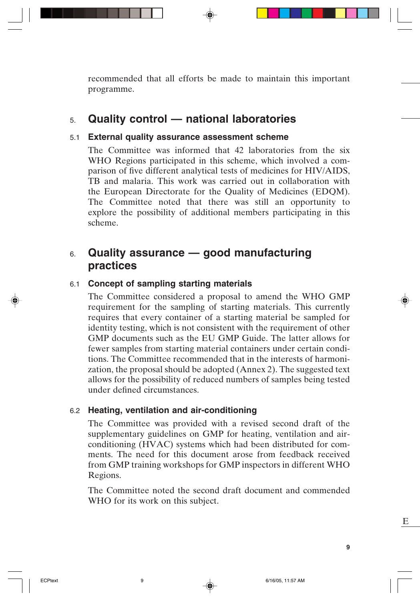recommended that all efforts be made to maintain this important programme.

### 5. **Quality control — national laboratories**

#### 5.1 **External quality assurance assessment scheme**

The Committee was informed that 42 laboratories from the six WHO Regions participated in this scheme, which involved a comparison of five different analytical tests of medicines for HIV/AIDS, TB and malaria. This work was carried out in collaboration with the European Directorate for the Quality of Medicines (EDQM). The Committee noted that there was still an opportunity to explore the possibility of additional members participating in this scheme.

## 6. **Quality assurance — good manufacturing practices**

#### 6.1 **Concept of sampling starting materials**

The Committee considered a proposal to amend the WHO GMP requirement for the sampling of starting materials. This currently requires that every container of a starting material be sampled for identity testing, which is not consistent with the requirement of other GMP documents such as the EU GMP Guide. The latter allows for fewer samples from starting material containers under certain conditions. The Committee recommended that in the interests of harmonization, the proposal should be adopted (Annex 2). The suggested text allows for the possibility of reduced numbers of samples being tested under defined circumstances.

#### 6.2 **Heating, ventilation and air-conditioning**

The Committee was provided with a revised second draft of the supplementary guidelines on GMP for heating, ventilation and airconditioning (HVAC) systems which had been distributed for comments. The need for this document arose from feedback received from GMP training workshops for GMP inspectors in different WHO Regions.

The Committee noted the second draft document and commended WHO for its work on this subject.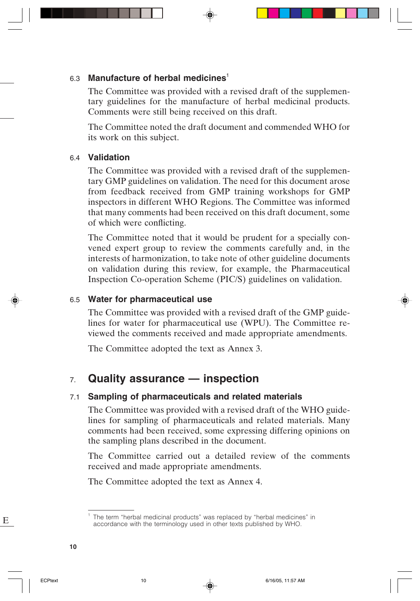#### 6.3 **Manufacture of herbal medicines**<sup>1</sup>

The Committee was provided with a revised draft of the supplementary guidelines for the manufacture of herbal medicinal products. Comments were still being received on this draft.

The Committee noted the draft document and commended WHO for its work on this subject.

#### 6.4 **Validation**

The Committee was provided with a revised draft of the supplementary GMP guidelines on validation. The need for this document arose from feedback received from GMP training workshops for GMP inspectors in different WHO Regions. The Committee was informed that many comments had been received on this draft document, some of which were conflicting.

The Committee noted that it would be prudent for a specially convened expert group to review the comments carefully and, in the interests of harmonization, to take note of other guideline documents on validation during this review, for example, the Pharmaceutical Inspection Co-operation Scheme (PIC/S) guidelines on validation.

#### 6.5 **Water for pharmaceutical use**

The Committee was provided with a revised draft of the GMP guidelines for water for pharmaceutical use (WPU). The Committee reviewed the comments received and made appropriate amendments.

The Committee adopted the text as Annex 3.

### 7. **Quality assurance — inspection**

#### 7.1 **Sampling of pharmaceuticals and related materials**

The Committee was provided with a revised draft of the WHO guidelines for sampling of pharmaceuticals and related materials. Many comments had been received, some expressing differing opinions on the sampling plans described in the document.

The Committee carried out a detailed review of the comments received and made appropriate amendments.

The Committee adopted the text as Annex 4.

**10**

The term "herbal medicinal products" was replaced by "herbal medicines" in accordance with the terminology used in other texts published by WHO.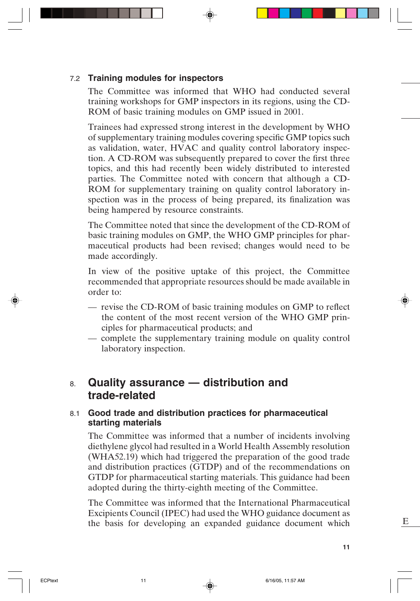### 7.2 **Training modules for inspectors**

The Committee was informed that WHO had conducted several training workshops for GMP inspectors in its regions, using the CD-ROM of basic training modules on GMP issued in 2001.

Trainees had expressed strong interest in the development by WHO of supplementary training modules covering specific GMP topics such as validation, water, HVAC and quality control laboratory inspection. A CD-ROM was subsequently prepared to cover the first three topics, and this had recently been widely distributed to interested parties. The Committee noted with concern that although a CD-ROM for supplementary training on quality control laboratory inspection was in the process of being prepared, its finalization was being hampered by resource constraints.

The Committee noted that since the development of the CD-ROM of basic training modules on GMP, the WHO GMP principles for pharmaceutical products had been revised; changes would need to be made accordingly.

In view of the positive uptake of this project, the Committee recommended that appropriate resources should be made available in order to:

- revise the CD-ROM of basic training modules on GMP to reflect the content of the most recent version of the WHO GMP principles for pharmaceutical products; and
- complete the supplementary training module on quality control laboratory inspection.

## 8. **Quality assurance — distribution and trade-related**

### 8.1 **Good trade and distribution practices for pharmaceutical starting materials**

The Committee was informed that a number of incidents involving diethylene glycol had resulted in a World Health Assembly resolution (WHA52.19) which had triggered the preparation of the good trade and distribution practices (GTDP) and of the recommendations on GTDP for pharmaceutical starting materials. This guidance had been adopted during the thirty-eighth meeting of the Committee.

The Committee was informed that the International Pharmaceutical Excipients Council (IPEC) had used the WHO guidance document as the basis for developing an expanded guidance document which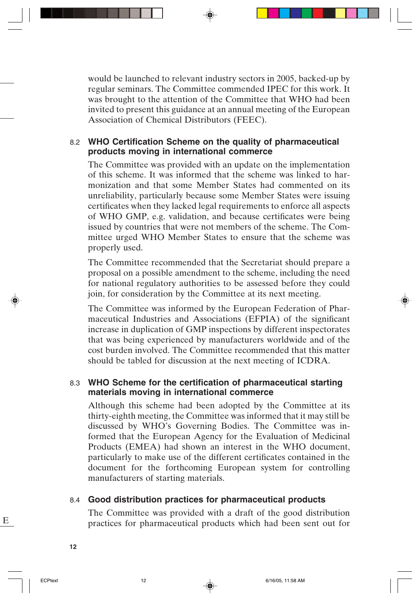would be launched to relevant industry sectors in 2005, backed-up by regular seminars. The Committee commended IPEC for this work. It was brought to the attention of the Committee that WHO had been invited to present this guidance at an annual meeting of the European Association of Chemical Distributors (FEEC).

### 8.2 **WHO Certification Scheme on the quality of pharmaceutical products moving in international commerce**

The Committee was provided with an update on the implementation of this scheme. It was informed that the scheme was linked to harmonization and that some Member States had commented on its unreliability, particularly because some Member States were issuing certificates when they lacked legal requirements to enforce all aspects of WHO GMP, e.g. validation, and because certificates were being issued by countries that were not members of the scheme. The Committee urged WHO Member States to ensure that the scheme was properly used.

The Committee recommended that the Secretariat should prepare a proposal on a possible amendment to the scheme, including the need for national regulatory authorities to be assessed before they could join, for consideration by the Committee at its next meeting.

The Committee was informed by the European Federation of Pharmaceutical Industries and Associations (EFPIA) of the significant increase in duplication of GMP inspections by different inspectorates that was being experienced by manufacturers worldwide and of the cost burden involved. The Committee recommended that this matter should be tabled for discussion at the next meeting of ICDRA.

#### 8.3 **WHO Scheme for the certification of pharmaceutical starting materials moving in international commerce**

Although this scheme had been adopted by the Committee at its thirty-eighth meeting, the Committee was informed that it may still be discussed by WHO's Governing Bodies. The Committee was informed that the European Agency for the Evaluation of Medicinal Products (EMEA) had shown an interest in the WHO document, particularly to make use of the different certificates contained in the document for the forthcoming European system for controlling manufacturers of starting materials.

#### 8.4 **Good distribution practices for pharmaceutical products**

The Committee was provided with a draft of the good distribution practices for pharmaceutical products which had been sent out for

**12**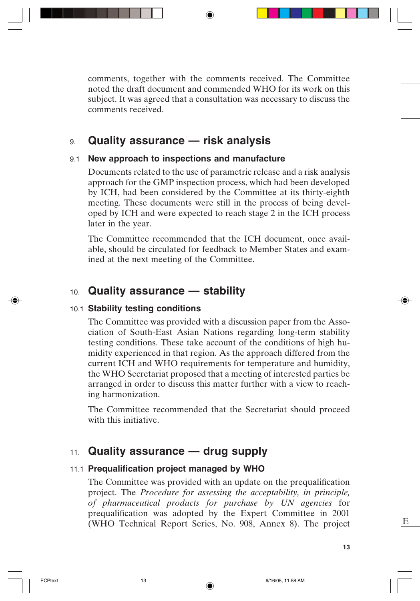comments, together with the comments received. The Committee noted the draft document and commended WHO for its work on this subject. It was agreed that a consultation was necessary to discuss the comments received.

### 9. **Quality assurance — risk analysis**

#### 9.1 **New approach to inspections and manufacture**

Documents related to the use of parametric release and a risk analysis approach for the GMP inspection process, which had been developed by ICH, had been considered by the Committee at its thirty-eighth meeting. These documents were still in the process of being developed by ICH and were expected to reach stage 2 in the ICH process later in the year.

The Committee recommended that the ICH document, once available, should be circulated for feedback to Member States and examined at the next meeting of the Committee.

### 10. **Quality assurance — stability**

#### 10.1 **Stability testing conditions**

The Committee was provided with a discussion paper from the Association of South-East Asian Nations regarding long-term stability testing conditions. These take account of the conditions of high humidity experienced in that region. As the approach differed from the current ICH and WHO requirements for temperature and humidity, the WHO Secretariat proposed that a meeting of interested parties be arranged in order to discuss this matter further with a view to reaching harmonization.

The Committee recommended that the Secretariat should proceed with this initiative.

### 11. **Quality assurance — drug supply**

#### 11.1 **Prequalification project managed by WHO**

The Committee was provided with an update on the prequalification project. The *Procedure for assessing the acceptability, in principle, of pharmaceutical products for purchase by UN agencies* for prequalification was adopted by the Expert Committee in 2001 (WHO Technical Report Series, No. 908, Annex 8). The project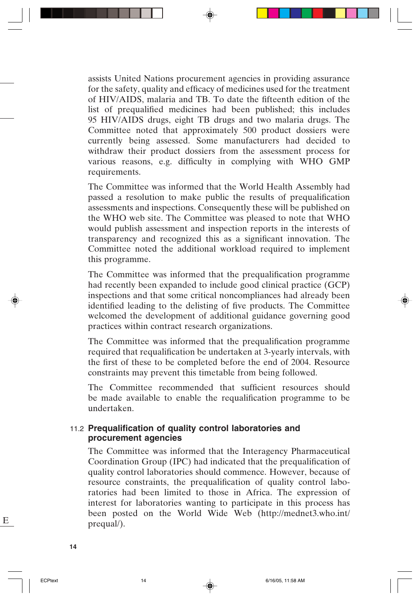assists United Nations procurement agencies in providing assurance for the safety, quality and efficacy of medicines used for the treatment of HIV/AIDS, malaria and TB. To date the fifteenth edition of the list of prequalified medicines had been published; this includes 95 HIV/AIDS drugs, eight TB drugs and two malaria drugs. The Committee noted that approximately 500 product dossiers were currently being assessed. Some manufacturers had decided to withdraw their product dossiers from the assessment process for various reasons, e.g. difficulty in complying with WHO GMP requirements.

The Committee was informed that the World Health Assembly had passed a resolution to make public the results of prequalification assessments and inspections. Consequently these will be published on the WHO web site. The Committee was pleased to note that WHO would publish assessment and inspection reports in the interests of transparency and recognized this as a significant innovation. The Committee noted the additional workload required to implement this programme.

The Committee was informed that the prequalification programme had recently been expanded to include good clinical practice (GCP) inspections and that some critical noncompliances had already been identified leading to the delisting of five products. The Committee welcomed the development of additional guidance governing good practices within contract research organizations.

The Committee was informed that the prequalification programme required that requalification be undertaken at 3-yearly intervals, with the first of these to be completed before the end of 2004. Resource constraints may prevent this timetable from being followed.

The Committee recommended that sufficient resources should be made available to enable the requalification programme to be undertaken.

### 11.2 **Prequalification of quality control laboratories and procurement agencies**

The Committee was informed that the Interagency Pharmaceutical Coordination Group (IPC) had indicated that the prequalification of quality control laboratories should commence. However, because of resource constraints, the prequalification of quality control laboratories had been limited to those in Africa. The expression of interest for laboratories wanting to participate in this process has been posted on the World Wide Web (http://mednet3.who.int/ prequal/).

**14**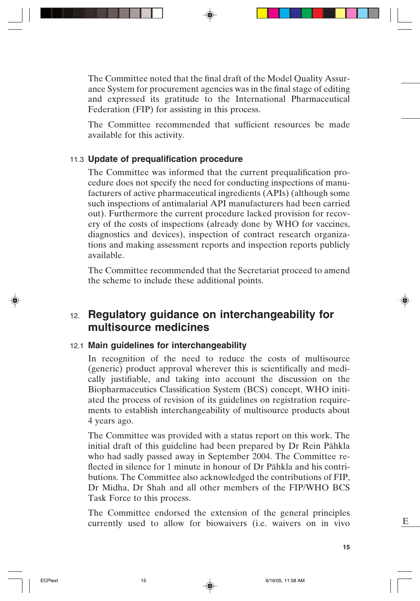The Committee noted that the final draft of the Model Quality Assurance System for procurement agencies was in the final stage of editing and expressed its gratitude to the International Pharmaceutical Federation (FIP) for assisting in this process.

The Committee recommended that sufficient resources be made available for this activity.

#### 11.3 **Update of prequalification procedure**

The Committee was informed that the current prequalification procedure does not specify the need for conducting inspections of manufacturers of active pharmaceutical ingredients (APIs) (although some such inspections of antimalarial API manufacturers had been carried out). Furthermore the current procedure lacked provision for recovery of the costs of inspections (already done by WHO for vaccines, diagnostics and devices), inspection of contract research organizations and making assessment reports and inspection reports publicly available.

The Committee recommended that the Secretariat proceed to amend the scheme to include these additional points.

## 12. **Regulatory guidance on interchangeability for multisource medicines**

#### 12.1 **Main guidelines for interchangeability**

In recognition of the need to reduce the costs of multisource (generic) product approval wherever this is scientifically and medically justifiable, and taking into account the discussion on the Biopharmaceutics Classification System (BCS) concept, WHO initiated the process of revision of its guidelines on registration requirements to establish interchangeability of multisource products about 4 years ago.

The Committee was provided with a status report on this work. The initial draft of this guideline had been prepared by Dr Rein Pähkla who had sadly passed away in September 2004. The Committee reflected in silence for 1 minute in honour of Dr Pähkla and his contributions. The Committee also acknowledged the contributions of FIP, Dr Midha, Dr Shah and all other members of the FIP/WHO BCS Task Force to this process.

The Committee endorsed the extension of the general principles currently used to allow for biowaivers (i.e. waivers on in vivo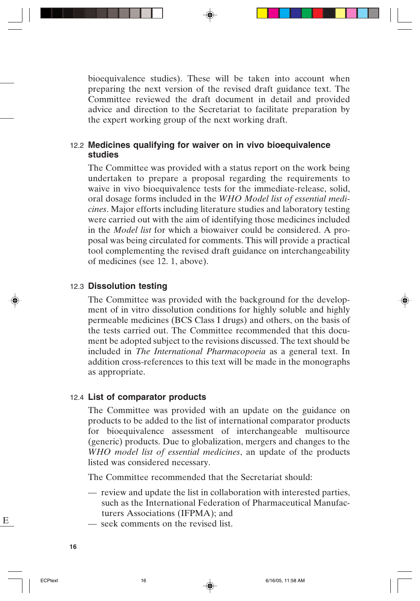bioequivalence studies). These will be taken into account when preparing the next version of the revised draft guidance text. The Committee reviewed the draft document in detail and provided advice and direction to the Secretariat to facilitate preparation by the expert working group of the next working draft.

#### 12.2 **Medicines qualifying for waiver on in vivo bioequivalence studies**

The Committee was provided with a status report on the work being undertaken to prepare a proposal regarding the requirements to waive in vivo bioequivalence tests for the immediate-release, solid, oral dosage forms included in the *WHO Model list of essential medicines*. Major efforts including literature studies and laboratory testing were carried out with the aim of identifying those medicines included in the *Model list* for which a biowaiver could be considered. A proposal was being circulated for comments. This will provide a practical tool complementing the revised draft guidance on interchangeability of medicines (see 12. 1, above).

#### 12.3 **Dissolution testing**

The Committee was provided with the background for the development of in vitro dissolution conditions for highly soluble and highly permeable medicines (BCS Class I drugs) and others, on the basis of the tests carried out. The Committee recommended that this document be adopted subject to the revisions discussed. The text should be included in *The International Pharmacopoeia* as a general text. In addition cross-references to this text will be made in the monographs as appropriate.

#### 12.4 **List of comparator products**

The Committee was provided with an update on the guidance on products to be added to the list of international comparator products for bioequivalence assessment of interchangeable multisource (generic) products. Due to globalization, mergers and changes to the *WHO model list of essential medicines*, an update of the products listed was considered necessary.

The Committee recommended that the Secretariat should:

- review and update the list in collaboration with interested parties, such as the International Federation of Pharmaceutical Manufacturers Associations (IFPMA); and
- seek comments on the revised list.

**16**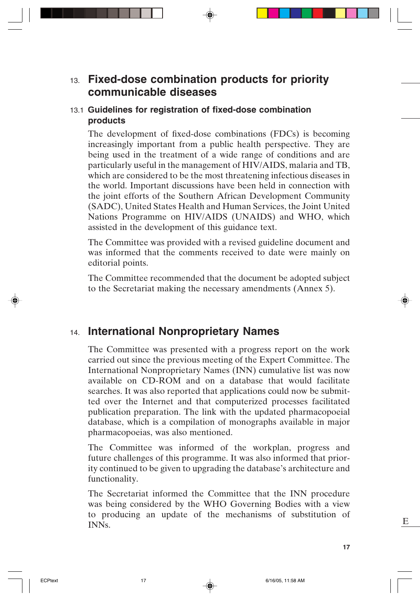## 13. **Fixed-dose combination products for priority communicable diseases**

### 13.1 **Guidelines for registration of fixed-dose combination products**

The development of fixed-dose combinations (FDCs) is becoming increasingly important from a public health perspective. They are being used in the treatment of a wide range of conditions and are particularly useful in the management of HIV/AIDS, malaria and TB, which are considered to be the most threatening infectious diseases in the world. Important discussions have been held in connection with the joint efforts of the Southern African Development Community (SADC), United States Health and Human Services, the Joint United Nations Programme on HIV/AIDS (UNAIDS) and WHO, which assisted in the development of this guidance text.

The Committee was provided with a revised guideline document and was informed that the comments received to date were mainly on editorial points.

The Committee recommended that the document be adopted subject to the Secretariat making the necessary amendments (Annex 5).

### 14. **International Nonproprietary Names**

The Committee was presented with a progress report on the work carried out since the previous meeting of the Expert Committee. The International Nonproprietary Names (INN) cumulative list was now available on CD-ROM and on a database that would facilitate searches. It was also reported that applications could now be submitted over the Internet and that computerized processes facilitated publication preparation. The link with the updated pharmacopoeial database, which is a compilation of monographs available in major pharmacopoeias, was also mentioned.

The Committee was informed of the workplan, progress and future challenges of this programme. It was also informed that priority continued to be given to upgrading the database's architecture and functionality.

The Secretariat informed the Committee that the INN procedure was being considered by the WHO Governing Bodies with a view to producing an update of the mechanisms of substitution of INNs.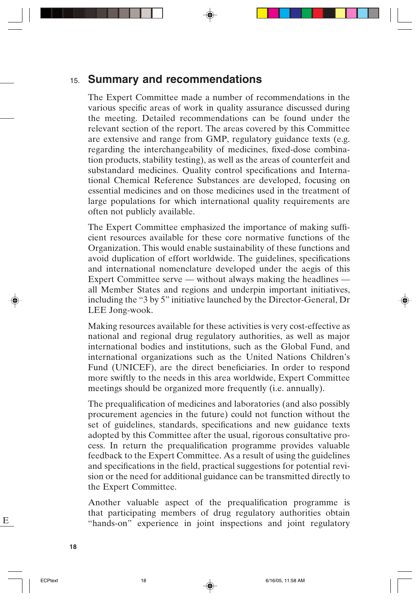### 15. **Summary and recommendations**

The Expert Committee made a number of recommendations in the various specific areas of work in quality assurance discussed during the meeting. Detailed recommendations can be found under the relevant section of the report. The areas covered by this Committee are extensive and range from GMP, regulatory guidance texts (e.g. regarding the interchangeability of medicines, fixed-dose combination products, stability testing), as well as the areas of counterfeit and substandard medicines. Quality control specifications and International Chemical Reference Substances are developed, focusing on essential medicines and on those medicines used in the treatment of large populations for which international quality requirements are often not publicly available.

The Expert Committee emphasized the importance of making sufficient resources available for these core normative functions of the Organization. This would enable sustainability of these functions and avoid duplication of effort worldwide. The guidelines, specifications and international nomenclature developed under the aegis of this Expert Committee serve — without always making the headlines all Member States and regions and underpin important initiatives, including the "3 by 5" initiative launched by the Director-General, Dr LEE Jong-wook.

Making resources available for these activities is very cost-effective as national and regional drug regulatory authorities, as well as major international bodies and institutions, such as the Global Fund, and international organizations such as the United Nations Children's Fund (UNICEF), are the direct beneficiaries. In order to respond more swiftly to the needs in this area worldwide, Expert Committee meetings should be organized more frequently (i.e. annually).

The prequalification of medicines and laboratories (and also possibly procurement agencies in the future) could not function without the set of guidelines, standards, specifications and new guidance texts adopted by this Committee after the usual, rigorous consultative process. In return the prequalification programme provides valuable feedback to the Expert Committee. As a result of using the guidelines and specifications in the field, practical suggestions for potential revision or the need for additional guidance can be transmitted directly to the Expert Committee.

Another valuable aspect of the prequalification programme is that participating members of drug regulatory authorities obtain "hands-on" experience in joint inspections and joint regulatory

**18**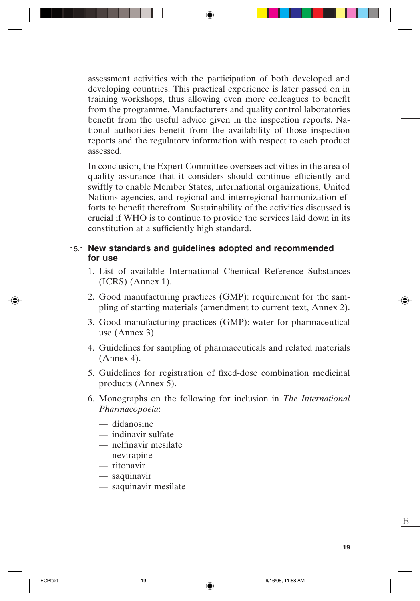assessment activities with the participation of both developed and developing countries. This practical experience is later passed on in training workshops, thus allowing even more colleagues to benefit from the programme. Manufacturers and quality control laboratories benefit from the useful advice given in the inspection reports. National authorities benefit from the availability of those inspection reports and the regulatory information with respect to each product assessed.

In conclusion, the Expert Committee oversees activities in the area of quality assurance that it considers should continue efficiently and swiftly to enable Member States, international organizations, United Nations agencies, and regional and interregional harmonization efforts to benefit therefrom. Sustainability of the activities discussed is crucial if WHO is to continue to provide the services laid down in its constitution at a sufficiently high standard.

### 15.1 **New standards and guidelines adopted and recommended for use**

- 1. List of available International Chemical Reference Substances (ICRS) (Annex 1).
- 2. Good manufacturing practices (GMP): requirement for the sampling of starting materials (amendment to current text, Annex 2).
- 3. Good manufacturing practices (GMP): water for pharmaceutical use (Annex 3).
- 4. Guidelines for sampling of pharmaceuticals and related materials (Annex 4).
- 5. Guidelines for registration of fixed-dose combination medicinal products (Annex 5).
- 6. Monographs on the following for inclusion in *The International Pharmacopoeia*:
	- didanosine
	- indinavir sulfate
	- nelfinavir mesilate
	- nevirapine
	- ritonavir
	- saquinavir
	- saquinavir mesilate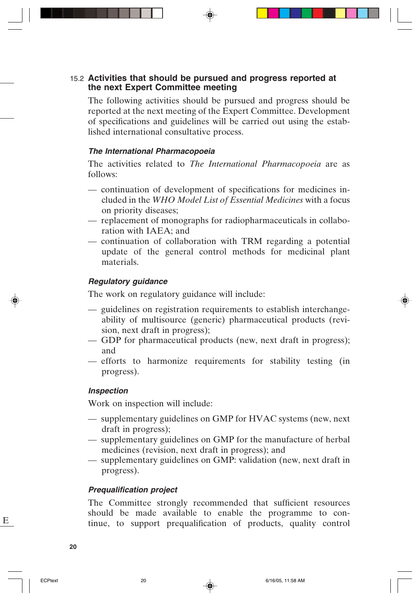### 15.2 **Activities that should be pursued and progress reported at the next Expert Committee meeting**

The following activities should be pursued and progress should be reported at the next meeting of the Expert Committee. Development of specifications and guidelines will be carried out using the established international consultative process.

#### **The International Pharmacopoeia**

The activities related to *The International Pharmacopoeia* are as follows:

- continuation of development of specifications for medicines included in the *WHO Model List of Essential Medicines* with a focus on priority diseases;
- replacement of monographs for radiopharmaceuticals in collaboration with IAEA; and
- continuation of collaboration with TRM regarding a potential update of the general control methods for medicinal plant materials.

#### **Regulatory guidance**

The work on regulatory guidance will include:

- guidelines on registration requirements to establish interchangeability of multisource (generic) pharmaceutical products (revision, next draft in progress);
- GDP for pharmaceutical products (new, next draft in progress); and
- efforts to harmonize requirements for stability testing (in progress).

#### **Inspection**

Work on inspection will include:

- supplementary guidelines on GMP for HVAC systems (new, next draft in progress);
- supplementary guidelines on GMP for the manufacture of herbal medicines (revision, next draft in progress); and
- supplementary guidelines on GMP: validation (new, next draft in progress).

#### **Prequalification project**

The Committee strongly recommended that sufficient resources should be made available to enable the programme to continue, to support prequalification of products, quality control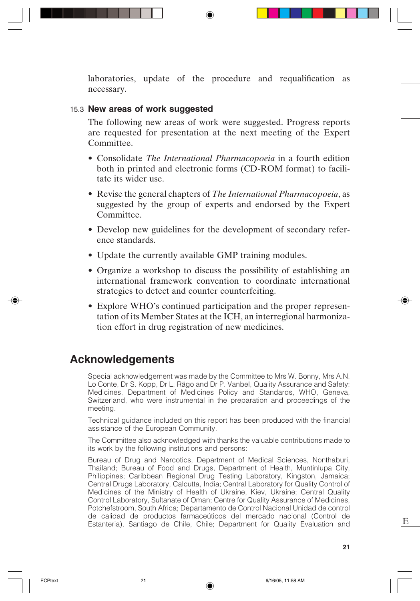laboratories, update of the procedure and requalification as necessary.

### 15.3 **New areas of work suggested**

The following new areas of work were suggested. Progress reports are requested for presentation at the next meeting of the Expert Committee.

- Consolidate *The International Pharmacopoeia* in a fourth edition both in printed and electronic forms (CD-ROM format) to facilitate its wider use.
- Revise the general chapters of *The International Pharmacopoeia*, as suggested by the group of experts and endorsed by the Expert Committee.
- Develop new guidelines for the development of secondary reference standards.
- Update the currently available GMP training modules.
- Organize a workshop to discuss the possibility of establishing an international framework convention to coordinate international strategies to detect and counter counterfeiting.
- Explore WHO's continued participation and the proper representation of its Member States at the ICH, an interregional harmonization effort in drug registration of new medicines.

## **Acknowledgements**

Special acknowledgement was made by the Committee to Mrs W. Bonny, Mrs A.N. Lo Conte, Dr S. Kopp, Dr L. Rägo and Dr P. Vanbel, Quality Assurance and Safety: Medicines, Department of Medicines Policy and Standards, WHO, Geneva, Switzerland, who were instrumental in the preparation and proceedings of the meeting.

Technical guidance included on this report has been produced with the financial assistance of the European Community.

The Committee also acknowledged with thanks the valuable contributions made to its work by the following institutions and persons:

Bureau of Drug and Narcotics, Department of Medical Sciences, Nonthaburi, Thailand; Bureau of Food and Drugs, Department of Health, Muntinlupa City, Philippines; Caribbean Regional Drug Testing Laboratory, Kingston, Jamaica; Central Drugs Laboratory, Calcutta, India; Central Laboratory for Quality Control of Medicines of the Ministry of Health of Ukraine, Kiev, Ukraine; Central Quality Control Laboratory, Sultanate of Oman; Centre for Quality Assurance of Medicines, Potchefstroom, South Africa; Departamento de Control Nacional Unidad de control de calidad de productos farmaceúticos del mercado nacional (Control de Estanteria), Santiago de Chile, Chile; Department for Quality Evaluation and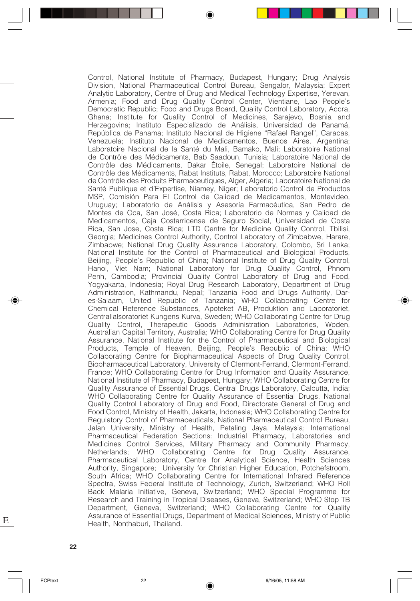Control, National Institute of Pharmacy, Budapest, Hungary; Drug Analysis Division, National Pharmaceutical Control Bureau, Sengalor, Malaysia; Expert Analytic Laboratory, Centre of Drug and Medical Technology Expertise, Yerevan, Armenia; Food and Drug Quality Control Center, Vientiane, Lao People's Democratic Republic; Food and Drugs Board, Quality Control Laboratory, Accra, Ghana; Institute for Quality Control of Medicines, Sarajevo, Bosnia and Herzegovina; Instituto Especializado de Análisis, Universidad de Panamá, República de Panama; Instituto Nacional de Higiene "Rafael Rangel", Caracas, Venezuela; Instituto Nacional de Medicamentos, Buenos Aires, Argentina; Laboratoire Nacional de la Santé du Mali, Bamako, Mali; Laboratoire National de Contrôle des Médicaments, Bab Saadoun, Tunisia; Laboratoire National de Contrôle des Médicaments, Dakar Étoile, Senegal; Laboratoire National de Contrôle des Médicaments, Rabat Instituts, Rabat, Morocco; Laboratoire National de Contrôle des Produits Pharmaceutiques, Alger, Algeria; Laboratoire National de Santé Publique et d'Expertise, Niamey, Niger; Laboratorio Control de Productos MSP, Comisión Para El Control de Calidad de Medicamentos, Montevideo, Uruguay; Laboratorio de Análisis y Asesoría Farmacéutica, San Pedro de Montes de Oca, San José, Costa Rica; Laboratorio de Normas y Calidad de Medicamentos, Caja Costarricense de Seguro Social, Universidad de Costa Rica, San Jose, Costa Rica; LTD Centre for Medicine Quality Control, Tbilisi, Georgia; Medicines Control Authority, Control Laboratory of Zimbabwe, Harare, Zimbabwe; National Drug Quality Assurance Laboratory, Colombo, Sri Lanka; National Institute for the Control of Pharmaceutical and Biological Products, Beijing, People's Republic of China; National Institute of Drug Quality Control, Hanoi, Viet Nam; National Laboratory for Drug Quality Control, Phnom Penh, Cambodia; Provincial Quality Control Laboratory of Drug and Food, Yogyakarta, Indonesia; Royal Drug Research Laboratory, Department of Drug Administration, Kathmandu, Nepal; Tanzania Food and Drugs Authority, Dares-Salaam, United Republic of Tanzania; WHO Collaborating Centre for Chemical Reference Substances, Apoteket AB, Produktion and Laboratoriet, Centrallalsoratoriet Kungens Kurva, Sweden; WHO Collaborating Centre for Drug Quality Control, Therapeutic Goods Administration Laboratories, Woden, Australian Capital Territory, Australia; WHO Collaborating Centre for Drug Quality Assurance, National Institute for the Control of Pharmaceutical and Biological Products, Temple of Heaven, Beijing, People's Republic of China; WHO Collaborating Centre for Biopharmaceutical Aspects of Drug Quality Control, Biopharmaceutical Laboratory, University of Clermont-Ferrand, Clermont-Ferrand, France; WHO Collaborating Centre for Drug Information and Quality Assurance, National Institute of Pharmacy, Budapest, Hungary; WHO Collaborating Centre for Quality Assurance of Essential Drugs, Central Drugs Laboratory, Calcutta, India; WHO Collaborating Centre for Quality Assurance of Essential Drugs, National Quality Control Laboratory of Drug and Food, Directorate General of Drug and Food Control, Ministry of Health, Jakarta, Indonesia; WHO Collaborating Centre for Regulatory Control of Pharmaceuticals, National Pharmaceutical Control Bureau, Jalan University, Ministry of Health, Petaling Jaya, Malaysia; International Pharmaceutical Federation Sections: Industrial Pharmacy, Laboratories and Medicines Control Services, Military Pharmacy and Community Pharmacy, Netherlands; WHO Collaborating Centre for Drug Quality Assurance, Pharmaceutical Laboratory, Centre for Analytical Science, Health Sciences Authority, Singapore; University for Christian Higher Education, Potchefstroom, South Africa; WHO Collaborating Centre for International Infrared Reference Spectra, Swiss Federal Institute of Technology, Zurich, Switzerland; WHO Roll Back Malaria Initiative, Geneva, Switzerland; WHO Special Programme for Research and Training in Tropical Diseases, Geneva, Switzerland; WHO Stop TB Department, Geneva, Switzerland; WHO Collaborating Centre for Quality Assurance of Essential Drugs, Department of Medical Sciences, Ministry of Public Health, Nonthaburi, Thailand.

**22**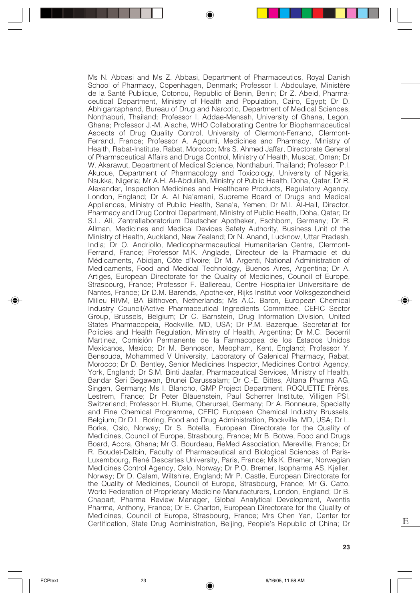Ms N. Abbasi and Ms Z. Abbasi, Department of Pharmaceutics, Royal Danish School of Pharmacy, Copenhagen, Denmark; Professor I. Abdoulaye, Minist ère de la Sant é Publique, Cotonou, Republic of Benin, Benin; Dr Z. Abeid, Pharmaceutical Department, Ministry of Health and Population, Cairo, Egypt; Dr D. Abhigantaphand, Bureau of Drug and Narcotic, Department of Medical Sciences, Nonthaburi, Thailand; Professor I. Addae-Mensah, University of Ghana, Legon, Ghana; Professor J.-M. Aiache, WHO Collaborating Centre for Biopharmaceutical Aspects of Drug Quality Control, University of Clermont-Ferrand, Clermont-Ferrand, France; Professor A. Agoumi, Medicines and Pharmacy, Ministry of Health, Rabat-Institute, Rabat, Morocco; Mrs S. Ahmed Jaffar, Directorate General of Pharmaceutical Affairs and Drugs Control, Ministry of Health, Muscat, Oman; Dr W. Akarawut, Department of Medical Science, Nonthaburi, Thailand; Professor P.I. Akubue, Department of Pharmacology and Toxicology, University of Nigeria, Nsukka, Nigeria; Mr A.H. Al-Abdullah, Ministry of Public Health, Doha, Qatar; Dr R. Alexander, Inspection Medicines and Healthcare Products, Regulatory Agency, London, England; Dr A. Al Na 'amani, Supreme Board of Drugs and Medical Appliances, Ministry of Public Health, Sana 'a, Yemen; Dr M.I. Al-Hail, Director, Pharmacy and Drug Control Department, Ministry of Public Health, Doha, Qatar; Dr S.L. Ali, Zentrallaboratorium Deutscher Apotheker, Eschborn, Germany; Dr R. Allman, Medicines and Medical Devices Safety Authority, Business Unit of the Ministry of Health, Auckland, New Zealand; Dr N. Anand, Lucknow, Uttar Pradesh, India; Dr O. Andriollo, Medicopharmaceutical Humanitarian Centre, Clermont-Ferrand, France; Professor M.K. Anglade, Directeur de la Pharmacie et du Médicaments, Abidjan, Côte d'Ivoire; Dr M. Argenti, National Administration of Medicaments, Food and Medical Technology, Buenos Aires, Argentina; Dr A. Artiges, European Directorate for the Quality of Medicines, Council of Europe, Strasbourg, France; Professor F. Ballereau, Centre Hospitalier Universitaire de Nantes, France; Dr D.M. Barends, Apotheker, Rijks Institut voor Volksgezondheid Milieu RIVM, BA Bilthoven, Netherlands; Ms A.C. Baron, European Chemical Industry Council/Active Pharmaceutical Ingredients Committee, CEFIC Sector Group, Brussels, Belgium; Dr C. Barnstein, Drug Information Division, United States Pharmacopeia, Rockville, MD, USA; Dr P.M. Bazerque, Secretariat for Policies and Health Regulation, Ministry of Health, Argentina; Dr M.C. Becerril Martinez, Comisi ón Permanente de la Farmacopea de los Estados Unidos Mexicanos, Mexico; Dr M. Bennoson, Meopham, Kent, England; Professor Y. Bensouda, Mohammed V University, Laboratory of Galenical Pharmacy, Rabat, Morocco; Dr D. Bentley, Senior Medicines Inspector, Medicines Control Agency, York, England; Dr S.M. Binti Jaafar, Pharmaceutical Services, Ministry of Health, Bandar Seri Begawan, Brunei Darussalam; Dr C.-E. Bittes, Altana Pharma AG, Singen, Germany; Ms I. Blancho, GMP Project Department, ROQUETTE Fr ères, Lestrem, France; Dr Peter Bl äuenstein, Paul Scherrer Institute, Villigen PSI, Switzerland; Professor H. Blume, Oberursel, Germany; Dr A. Bonneure, Specialty and Fine Chemical Programme, CEFIC European Chemical Industry Brussels, Belgium; Dr D.L. Boring, Food and Drug Administration, Rockville, MD, USA; Dr L. Borka, Oslo, Norway; Dr S. Botella, European Directorate for the Quality of Medicines, Council of Europe, Strasbourg, France; Mr B. Botwe, Food and Drugs Board, Accra, Ghana; Mr G. Bourdeau, ReMed Association, Mereville, France; Dr R. Boudet-Dalbin, Faculty of Pharmaceutical and Biological Sciences of Paris-Luxembourg, René Descartes University, Paris, France; Ms K. Bremer, Norwegian Medicines Control Agency, Oslo, Norway; Dr P.O. Bremer, Isopharma AS, Kjeller, Norway; Dr D. Calam, Wiltshire, England; Mr P. Castle, European Directorate for the Quality of Medicines, Council of Europe, Strasbourg, France; Mr G. Catto, World Federation of Proprietary Medicine Manufacturers, London, England; Dr B. Chapart, Pharma Review Manager, Global Analytical Development, Aventis Pharma, Anthony, France; Dr E. Charton, European Directorate for the Quality of Medicines, Council of Europe, Strasbourg, France; Mrs Chen Yan, Center for Certi fication, State Drug Administration, Beijing, People 's Republic of China; Dr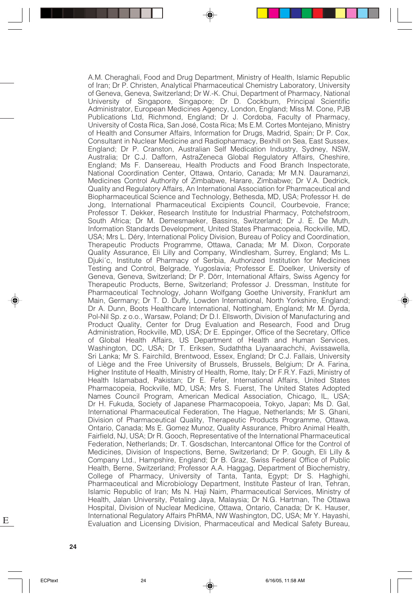A.M. Cheraghali, Food and Drug Department, Ministry of Health, Islamic Republic of Iran; Dr P. Christen, Analytical Pharmaceutical Chemistry Laboratory, University of Geneva, Geneva, Switzerland; Dr W.-K. Chui, Department of Pharmacy, National University of Singapore, Singapore; Dr D. Cockburn, Principal Scientific Administrator, European Medicines Agency, London, England; Miss M. Cone, PJB Publications Ltd, Richmond, England; Dr J. Cordoba, Faculty of Pharmacy, University of Costa Rica, San José, Costa Rica; Ms E.M. Cortes Montejano, Ministry of Health and Consumer Affairs, Information for Drugs, Madrid, Spain; Dr P. Cox, Consultant in Nuclear Medicine and Radiopharmacy, Bexhill on Sea, East Sussex, England; Dr P. Cranston, Australian Self Medication Industry, Sydney, NSW, Australia; Dr C.J. Dafforn, AstraZeneca Global Regulatory Affairs, Cheshire, England; Ms F. Dansereau, Health Products and Food Branch Inspectorate, National Coordination Center, Ottawa, Ontario, Canada; Mr M.N. Dauramanzi, Medicines Control Authority of Zimbabwe, Harare, Zimbabwe; Dr V.A. Dedrick, Quality and Regulatory Affairs, An International Association for Pharmaceutical and Biopharmaceutical Science and Technology, Bethesda, MD, USA; Professor H. de Jong, International Pharmaceutical Excipients Council, Courbevoie, France; Professor T. Dekker, Research Institute for Industrial Pharmacy, Potchefstroom, South Africa; Dr M. Demesmaeker, Bassins, Switzerland; Dr J. E. De Muth, Information Standards Development, United States Pharmacopeia, Rockville, MD, USA; Mrs L. Déry, International Policy Division, Bureau of Policy and Coordination, Therapeutic Products Programme, Ottawa, Canada; Mr M. Dixon, Corporate Quality Assurance, Eli Lilly and Company, Windlesham, Surrey, England; Ms L. Djuki´c, Institute of Pharmacy of Serbia, Authorized Institution for Medicines Testing and Control, Belgrade, Yugoslavia; Professor E. Doelker, University of Geneva, Geneva, Switzerland; Dr P. Dörr, International Affairs, Swiss Agency for Therapeutic Products, Berne, Switzerland; Professor J. Dressman, Institute for Pharmaceutical Technology, Johann Wolfgang Goethe University, Frankfurt am Main, Germany; Dr T. D. Duffy, Lowden International, North Yorkshire, England; Dr A. Dunn, Boots Healthcare International, Nottingham, England; Mr M. Dyrda, Pol-Nil Sp. z o.o., Warsaw, Poland; Dr D.I. Ellsworth, Division of Manufacturing and Product Quality, Center for Drug Evaluation and Research, Food and Drug Administration, Rockville, MD, USA; Dr E. Eppinger, Office of the Secretary, Office of Global Health Affairs, US Department of Health and Human Services, Washington, DC, USA; Dr T. Eriksen, Sudaththa Liyanaarachchi, Avissawella, Sri Lanka; Mr S. Fairchild, Brentwood, Essex, England; Dr C.J. Fallais, University of Liège and the Free University of Brussels, Brussels, Belgium; Dr A. Farina, Higher Institute of Health, Ministry of Health, Rome, Italy; Dr F.R.Y. Fazli, Ministry of Health Islamabad, Pakistan; Dr E. Fefer, International Affairs, United States Pharmacopeia, Rockville, MD, USA; Mrs S. Fuerst, The United States Adopted Names Council Program, American Medical Association, Chicago, IL, USA; Dr H. Fukuda, Society of Japanese Pharmacopoeia, Tokyo, Japan; Ms D. Gal, International Pharmaceutical Federation, The Hague, Netherlands; Mr S. Ghani, Division of Pharmaceutical Quality, Therapeutic Products Programme, Ottawa, Ontario, Canada; Ms E. Gomez Munoz, Quality Assurance, Phibro Animal Health, Fairfield, NJ, USA; Dr R. Gooch, Representative of the International Pharmaceutical Federation, Netherlands; Dr. T. Gosdschan, Intercantonal Office for the Control of Medicines, Division of Inspections, Berne, Switzerland; Dr P. Gough, Eli Lilly & Company Ltd., Hampshire, England; Dr B. Graz, Swiss Federal Office of Public Health, Berne, Switzerland; Professor A.A. Haggag, Department of Biochemistry, College of Pharmacy, University of Tanta, Tanta, Egypt; Dr S. Haghighi, Pharmaceutical and Microbiology Department, Institute Pasteur of Iran, Tehran, Islamic Republic of Iran; Ms N. Haji Naim, Pharmaceutical Services, Ministry of Health, Jalan University, Petaling Jaya, Malaysia; Dr N.G. Hartman, The Ottawa Hospital, Division of Nuclear Medicine, Ottawa, Ontario, Canada; Dr K. Hauser, International Regulatory Affairs PhRMA, NW Washington, DC, USA; Mr Y. Hayashi, Evaluation and Licensing Division, Pharmaceutical and Medical Safety Bureau,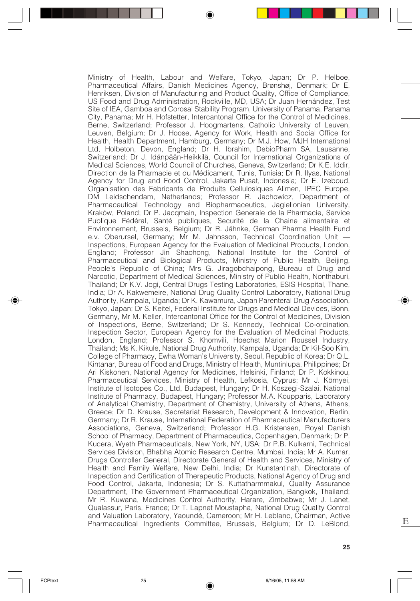Ministry of Health, Labour and Welfare, Tokyo, Japan; Dr P. Helboe, Pharmaceutical Affairs, Danish Medicines Agency, Br ønsh øj, Denmark; Dr E. Henriksen, Division of Manufacturing and Product Quality, Of fice of Compliance, US Food and Drug Administration, Rockville, MD, USA; Dr Juan Hern ández, Test Site of IEA, Gamboa and Corosal Stability Program, University of Panama, Panama City, Panama; Mr H. Hofstetter, Intercantonal Of fice for the Control of Medicines, Berne, Switzerland; Professor J. Hoogmartens, Catholic University of Leuven, Leuven, Belgium; Dr J. Hoose, Agency for Work, Health and Social Of fice for Health, Health Department, Hamburg, Germany; Dr M.J. How, MJH International Ltd, Holbeton, Devon, England; Dr H. Ibrahim, DebioPharm SA, Lausanne, Switzerland; Dr J. Id änpään-Heikkil ä, Council for International Organizations of Medical Sciences, World Council of Churches, Geneva, Switzerland; Dr K.E. Iddir, Direction de la Pharmacie et du M édicament, Tunis, Tunisia; Dr R. Ilyas, National Agency for Drug and Food Control, Jakarta Pusat, Indonesia; Dr E. Izeboud, Organisation des Fabricants de Produits Cellulosiques Alimen, IPEC Europe, DM Leidschendam, Netherlands; Professor R. Jachowicz, Department of Pharmaceutical Technology and Biopharmaceutics, Jagiellonian University, Krak ów, Poland; Dr P. Jacqmain, Inspection Generale de la Pharmacie, Service Publique Fédéral, Santé publiques, Securité de la Chaine alimentaire et Environnement, Brussels, Belgium; Dr R. J ähnke, German Pharma Health Fund e.v. Oberursel, Germany; Mr M. Jahnsson, Technical Coordination Unit — Inspections, European Agency for the Evaluation of Medicinal Products, London, England; Professor Jin Shaohong, National Institute for the Control of Pharmaceutical and Biological Products, Ministry of Public Health, Beijing, People 's Republic of China; Mrs G. Jiragobchaipong, Bureau of Drug and Narcotic, Department of Medical Sciences, Ministry of Public Health, Nonthaburi, Thailand; Dr K.V. Jogi, Central Drugs Testing Laboratories, ESIS Hospital, Thane, India; Dr A. Kakwemeire, National Drug Quality Control Laboratory, National Drug Authority, Kampala, Uganda; Dr K. Kawamura, Japan Parenteral Drug Association, Tokyo, Japan; Dr S. Keitel, Federal Institute for Drugs and Medical Devices, Bonn, Germany, Mr M. Keller, Intercantonal Of fice for the Control of Medicines, Division of Inspections, Berne, Switzerland; Dr S. Kennedy, Technical Co-ordination, Inspection Sector, European Agency for the Evaluation of Medicinal Products, London, England; Professor S. Khomvili, Hoechst Marion Roussel Industry, Thailand; Ms K. Kikule, National Drug Authority, Kampala, Uganda; Dr Kil-Soo Kim, College of Pharmacy, Ewha Woman 's University, Seoul, Republic of Korea; Dr Q.L. Kintanar, Bureau of Food and Drugs, Ministry of Health, Muntinlupa, Philippines; Dr Ari Kiskonen, National Agency for Medicines, Helsinki, Finland; Dr P. Kokkinou, Pharmaceutical Services, Ministry of Health, Lefkosia, Cyprus; Mr J. K örnyei, Institute of Isotopes Co., Ltd, Budapest, Hungary; Dr H. Koszegi-Szalai, National Institute of Pharmacy, Budapest, Hungary; Professor M.A. Koupparis, Laboratory of Analytical Chemistry, Department of Chemistry, University of Athens, Athens, Greece; Dr D. Krause, Secretariat Research, Development & Innovation, Berlin, Germany; Dr R. Krause, International Federation of Pharmaceutical Manufacturers Associations, Geneva, Switzerland; Professor H.G. Kristensen, Royal Danish School of Pharmacy, Department of Pharmaceutics, Copenhagen, Denmark; Dr P. Kucera, Wyeth Pharmaceuticals, New York, NY, USA; Dr P.B. Kulkarni, Technical Services Division, Bhabha Atomic Research Centre, Mumbai, India; Mr A. Kumar, Drugs Controller General, Directorate General of Health and Services, Ministry of Health and Family Welfare, New Delhi, India; Dr Kunstantinah, Directorate of Inspection and Certi fication of Therapeutic Products, National Agency of Drug and Food Control, Jakarta, Indonesia; Dr S. Kuttatharmmakul, Quality Assurance Department, The Government Pharmaceutical Organization, Bangkok, Thailand; Mr R. Kuwana, Medicines Control Authority, Harare, Zimbabwe; Mr J. Lanet, Qualassur, Paris, France; Dr T. Lapnet Moustapha, National Drug Quality Control and Valuation Laboratory, Yaound é, Cameroon; Mr H. Leblanc, Chairman, Active Pharmaceutical Ingredients Committee, Brussels, Belgium; Dr D. LeBlond,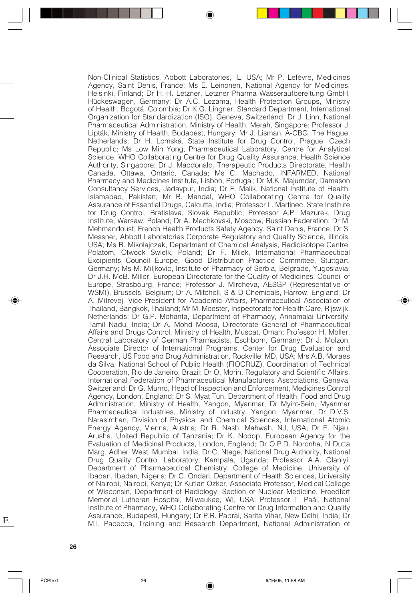Non-Clinical Statistics, Abbott Laboratories, IL, USA; Mr P. Lefévre, Medicines Agency, Saint Denis, France; Ms E. Leinonen, National Agency for Medicines, Helsinki, Finland; Dr H.-H. Letzner, Letzner Pharma Wasseraufbereitung GmbH, Hückeswagen, Germany; Dr A.C. Lezama, Health Protection Groups, Ministry of Health, Bogotá, Colombia; Dr K.G. Lingner, Standard Department, International Organization for Standardization (ISO), Geneva, Switzerland; Dr J. Linn, National Pharmaceutical Administration, Ministry of Health, Merah, Singapore; Professor J. Lipták, Ministry of Health, Budapest, Hungary; Mr J. Lisman, A-CBG, The Hague, Netherlands; Dr H. Lomská, State Institute for Drug Control, Prague, Czech Republic; Ms Low Min Yong, Pharmaceutical Laboratory, Centre for Analytical Science, WHO Collaborating Centre for Drug Quality Assurance, Health Science Authority, Singapore; Dr J. Macdonald, Therapeutic Products Directorate, Health Canada, Ottawa, Ontario, Canada; Ms C. Machado, INFARMED, National Pharmacy and Medicines Institute, Lisbon, Portugal; Dr M.K. Majumdar, Damason Consultancy Services, Jadavpur, India; Dr F. Malik, National Institute of Health, Islamabad, Pakistan; Mr B. Mandal, WHO Collaborating Centre for Quality Assurance of Essential Drugs, Calcutta, India; Professor L. Martinec, State Institute for Drug Control, Bratislava, Slovak Republic; Professor A.P. Mazurek, Drug Institute, Warsaw, Poland; Dr A. Mechkovski, Moscow, Russian Federation; Dr M. Mehmandoust, French Health Products Safety Agency, Saint Denis, France; Dr S. Messner, Abbott Laboratories Corporate Regulatory and Quality Science, Illinois, USA; Ms R. Mikolajczak, Department of Chemical Analysis, Radioisotope Centre, Polatom, Otwock Swielk, Poland; Dr F. Milek, International Pharmaceutical Excipients Council Europe, Good Distribution Practice Committee, Stuttgart, Germany; Ms M. Miljkovic, Institute of Pharmacy of Serbia, Belgrade, Yugoslavia; Dr J.H. McB. Miller, European Directorate for the Quality of Medicines, Council of Europe, Strasbourg, France; Professor J. Mircheva, AESGP (Representative of WSMI), Brussels, Belgium; Dr A. Mitchell, S & D Chemicals, Harrow, England; Dr A. Mitrevej, Vice-President for Academic Affairs, Pharmaceutical Association of Thailand, Bangkok, Thailand; Mr M. Moester, Inspectorate for Health Care, Rijswijk, Netherlands; Dr G.P. Mohanta, Department of Pharmacy, Annamalai University, Tamil Nadu, India; Dr A. Mohd Moosa, Directorate General of Pharmaceutical Affairs and Drugs Control, Ministry of Health, Muscat, Oman; Professor H. Möller, Central Laboratory of German Pharmacists, Eschborn, Germany; Dr J. Molzon, Associate Director of International Programs, Center for Drug Evaluation and Research, US Food and Drug Administration, Rockville, MD, USA; Mrs A.B. Moraes da Silva, National School of Public Health (FIOCRUZ), Coordination of Technical Cooperation, Rio de Janeiro, Brazil; Dr O. Morin, Regulatory and Scientific Affairs, International Federation of Pharmaceutical Manufacturers Associations, Geneva, Switzerland; Dr G. Munro, Head of Inspection and Enforcement, Medicines Control Agency, London, England; Dr S. Myat Tun, Department of Health, Food and Drug Administration, Ministry of Health, Yangon, Myanmar; Dr Myint-Sein, Myanmar Pharmaceutical Industries, Ministry of Industry, Yangon, Myanmar; Dr D.V.S. Narasimhan, Division of Physical and Chemical Sciences, International Atomic Energy Agency, Vienna, Austria; Dr R. Nash, Mahwah, NJ, USA; Dr E. Njau, Arusha, United Republic of Tanzania; Dr K. Nodop, European Agency for the Evaluation of Medicinal Products, London, England; Dr O.P.D. Noronha, N Dutta Marg, Adheri West, Mumbai, India; Dr C. Ntege, National Drug Authority, National Drug Quality Control Laboratory, Kampala, Uganda; Professor A.A. Olaniyi, Department of Pharmaceutical Chemistry, College of Medicine, University of Ibadan, Ibadan, Nigeria; Dr C. Ondari, Department of Health Sciences, University of Nairobi, Nairobi, Kenya; Dr Kutlan Ozker, Associate Professor, Medical College of Wisconsin, Department of Radiology, Section of Nuclear Medicine, Froedtert Memorial Lutheran Hospital, Milwaukee, WI, USA; Professor T. Paál, National Institute of Pharmacy, WHO Collaborating Centre for Drug Information and Quality Assurance, Budapest, Hungary; Dr P.R. Pabrai, Sarita Vihar, New Delhi, India; Dr M.I. Pacecca, Training and Research Department, National Administration of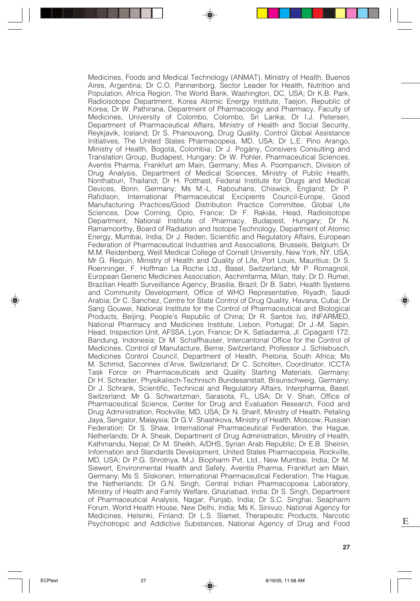Medicines, Foods and Medical Technology (ANMAT), Ministry of Health, Buenos Aires, Argentina; Dr C.O. Pannenborg, Sector Leader for Health, Nutrition and Population, Africa Region, The World Bank, Washington, DC, USA; Dr K.B. Park, Radioisotope Department, Korea Atomic Energy Institute, Taejon, Republic of Korea; Dr W. Pathirana, Department of Pharmacology and Pharmacy, Faculty of Medicines, University of Colombo, Colombo, Sri Lanka; Dr I.J. Petersen, Department of Pharmaceutical Affairs, Ministry of Health and Social Security, Reykjav ík, Iceland; Dr S. Phanouvong, Drug Quality, Control Global Assistance Initiatives, The United States Pharmacopeia, MD, USA; Dr L.E. Pino Arango, Ministry of Health, Bogot á, Colombia; Dr J. Pog ány, Consivers Consulting and Translation Group, Budapest, Hungary; Dr W. Pohler, Pharmaceutical Sciences, Aventis Pharma, Frankfurt am Main, Germany; Miss A. Poompanich, Division of Drug Analysis, Department of Medical Sciences, Ministry of Public Health, Nonthaburi, Thailand; Dr H. Potthast, Federal Institute for Drugs and Medical Devices, Bonn, Germany; Ms M.-L. Rabouhans, Chiswick, England; Dr P. Ra fidison, International Pharmaceutical Excipients Council-Europe, Good Manufacturing Practices/Good Distribution Practice Committee, Global Life Sciences, Dow Corning, Opio, France; Dr F. Raki ás, Head, Radioisotope Department, National Institute of Pharmacy, Budapest, Hungary; Dr N. Ramamoorthy, Board of Radiation and Isotope Technology, Department of Atomic Energy, Mumbai, India; Dr J. Reden, Scienti fic and Regulatory Affairs, European Federation of Pharmaceutical Industries and Associations, Brussels, Belgium; Dr M.M. Reidenberg, Weill Medical College of Cornell University, New York, NY, USA; Mr G. Requin, Ministry of Health and Quality of Life, Port Louis, Mauritius; Dr S. Roenninger, F. Hoffman La Roche Ltd., Basel, Switzerland; Mr P. Romagnoli, European Generic Medicines Association, Aschimfarma, Milan, Italy; Dr D. Rumel, Brazilian Health Surveillance Agency, Brasilia, Brazil; Dr B. Sabri, Health Systems and Community Development, Of fice of WHO Representative, Riyadh, Saudi Arabia; Dr C. Sanchez, Centre for State Control of Drug Quality, Havana, Cuba; Dr Sang Gouwei, National Institute for the Control of Pharmaceutical and Biological Products, Beijing, People 's Republic of China; Dr R. Santos Ivo, INFARMED, National Pharmacy and Medicines Institute, Lisbon, Portugal; Dr J.-M. Sapin, Head, Inspection Unit, AFSSA, Lyon, France; Dr K. Satiadarma, Jl. Cipaganti 172, Bandung, Indonesia; Dr M. Schaffhauser, Intercantonal Of fice for the Control of Medicines, Control of Manufacture, Berne, Switzerland; Professor J. Schlebusch, Medicines Control Council, Department of Health, Pretoria, South Africa; Ms M. Schmid, Saconnex d 'Arve, Switzerland; Dr C. Scholten, Coordinator, ICCTA Task Force on Pharmaceuticals and Quality Starting Materials, Germany; Dr H. Schrader, Physikalisch-Technisch Bundesanstalt, Braunschweig, Germany; Dr J. Schrank, Scienti fic, Technical and Regulatory Affairs, Interpharma, Basel, Switzerland; Mr G. Schwartzman, Sarasota, FL, USA; Dr V. Shah, Of fice of Pharmaceutical Science, Center for Drug and Evaluation Research, Food and Drug Administration, Rockville, MD, USA; Dr N. Sharif, Ministry of Health, Petaling Jaya, Sengalor, Malaysia; Dr G.V. Shashkova, Ministry of Health, Moscow, Russian Federation; Dr S. Shaw, International Pharmaceutical Federation, the Hague, Netherlands; Dr A. Sheak, Department of Drug Administration, Ministry of Health, Kathmandu, Nepal; Dr M. Sheikh, A/DHS, Syrian Arab Republic; Dr E.B. Sheinin, Information and Standards Development, United States Pharmacopeia, Rockville, MD, USA; Dr P.G. Shrotriya, M.J. Biopharm Pvt. Ltd., New Mumbai, India; Dr M. Siewert, Environmental Health and Safety, Aventis Pharma, Frankfurt am Main, Germany; Ms S. Siiskonen, International Pharmaceutical Federation, The Hague, the Netherlands; Dr G.N. Singh, Central Indian Pharmacopoeia Laboratory, Ministry of Health and Family Welfare, Ghaziabad, India; Dr S. Singh, Department of Pharmaceutical Analysis, Nagar, Punjab, India; Dr S.C. Singhai, Seapharm Forum, World Health House, New Delhi, India; Ms K. Sinivuo, National Agency for Medicines, Helsinki, Finland; Dr L.S. Slamet, Therapeutic Products, Narcotic Psychotropic and Addictive Substances, National Agency of Drug and Food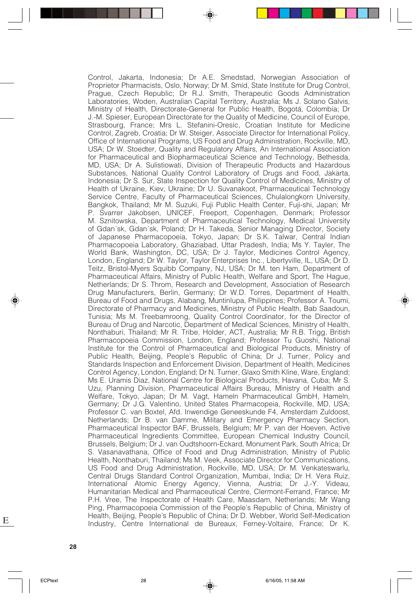Control, Jakarta, Indonesia; Dr A.E. Smedstad, Norwegian Association of Proprietor Pharmacists, Oslo, Norway; Dr M. Smíd, State Institute for Drug Control, Prague, Czech Republic; Dr R.J. Smith, Therapeutic Goods Administration Laboratories, Woden, Australian Capital Territory, Australia; Ms J. Solano Galvis, Ministry of Health, Directorate-General for Public Health, Bogotá, Colombia; Dr J.-M. Spieser, European Directorate for the Quality of Medicine, Council of Europe, Strasbourg, France; Mrs L. Stefanini-Oresíc, Croatian Institute for Medicine Control, Zagreb, Croatia; Dr W. Steiger, Associate Director for International Policy, Office of International Programs, US Food and Drug Administration, Rockville, MD, USA; Dr W. Stoedter, Quality and Regulatory Affairs, An International Association for Pharmaceutical and Biopharmaceutical Science and Technology, Bethesda, MD, USA; Dr A. Sulistiowati, Division of Therapeutic Products and Hazardous Substances, National Quality Control Laboratory of Drugs and Food, Jakarta, Indonesia; Dr S. Sur, State Inspection for Quality Control of Medicines, Ministry of Health of Ukraine, Kiev, Ukraine; Dr U. Suvanakoot, Pharmaceutical Technology Service Centre, Faculty of Pharmaceutical Sciences, Chulalongkorn University, Bangkok, Thailand; Mr M. Suzuki, Fuji Public Health Center, Fuji-shi, Japan; Mr P. Svarrer Jakobsen, UNICEF, Freeport, Copenhagen, Denmark; Professor M. Sznitowska, Department of Pharmaceutical Technology, Medical University of Gdan´sk, Gdan´sk, Poland; Dr H. Takeda, Senior Managing Director, Society of Japanese Pharmacopoeia, Tokyo, Japan; Dr S.K. Talwar, Central Indian Pharmacopoeia Laboratory, Ghaziabad, Uttar Pradesh, India; Ms Y. Tayler, The World Bank, Washington, DC, USA; Dr J. Taylor, Medicines Control Agency, London, England; Dr W. Taylor, Taylor Enterprises Inc., Libertyville, IL, USA; Dr D. Teitz, Bristol-Myers Squibb Company, NJ, USA; Dr M. ten Ham, Department of Pharmaceutical Affairs, Ministry of Public Health, Welfare and Sport, The Hague, Netherlands; Dr S. Throm, Research and Development, Association of Research Drug Manufacturers, Berlin, Germany; Dr W.D. Torres, Department of Health, Bureau of Food and Drugs, Alabang, Muntinlupa, Philippines; Professor A. Toumi, Directorate of Pharmacy and Medicines, Ministry of Public Health, Bab Saadoun, Tunisia; Ms M. Treebamroong, Quality Control Coordinator, for the Director of Bureau of Drug and Narcotic, Department of Medical Sciences, Ministry of Health, Nonthaburi, Thailand; Mr R. Tribe, Holder, ACT, Australia; Mr R.B. Trigg, British Pharmacopoeia Commission, London, England; Professor Tu Guoshi, National Institute for the Control of Pharmaceutical and Biological Products, Ministry of Public Health, Beijing, People's Republic of China; Dr J. Turner, Policy and Standards Inspection and Enforcement Division, Department of Health, Medicines Control Agency, London, England; Dr N. Turner, Glaxo Smith Kline, Ware, England; Ms E. Uramis Diaz, National Centre for Biological Products, Havana, Cuba; Mr S. Uzu, Planning Division, Pharmaceutical Affairs Bureau, Ministry of Health and Welfare, Tokyo, Japan; Dr M. Vagt, Hameln Pharmaceutical GmbH, Hameln, Germany; Dr J.G. Valentino, United States Pharmacopeia, Rockville, MD, USA; Professor C. van Boxtel, Afd. Inwendige Geneeskunde F4, Amsterdam Zuldoost, Netherlands; Dr B. van Damme, Military and Emergency Pharmacy Section, Pharmaceutical Inspector BAF, Brussels, Belgium; Mr P. van der Hoeven, Active Pharmaceutical Ingredients Committee, European Chemical Industry Council, Brussels, Belgium; Dr J. van Oudtshoorn-Eckard, Monument Park, South Africa; Dr S. Vasanavathana, Office of Food and Drug Administration, Ministry of Public Health, Nonthaburi, Thailand; Ms M. Veek, Associate Director for Communications, US Food and Drug Administration, Rockville, MD, USA; Dr M. Venkateswarlu, Central Drugs Standard Control Organization, Mumbai, India; Dr H. Vera Ruiz, International Atomic Energy Agency, Vienna, Austria; Dr J.-Y. Videau, Humanitarian Medical and Pharmaceutical Centre, Clermont-Ferrand, France; Mr P.H. Vree, The Inspectorate of Health Care, Maasdam, Netherlands; Mr Wang Ping, Pharmacopoeia Commission of the People's Republic of China, Ministry of Health, Beijing, People's Republic of China; Dr D. Webber, World Self-Medication Industry, Centre International de Bureaux, Ferney-Voltaire, France; Dr K.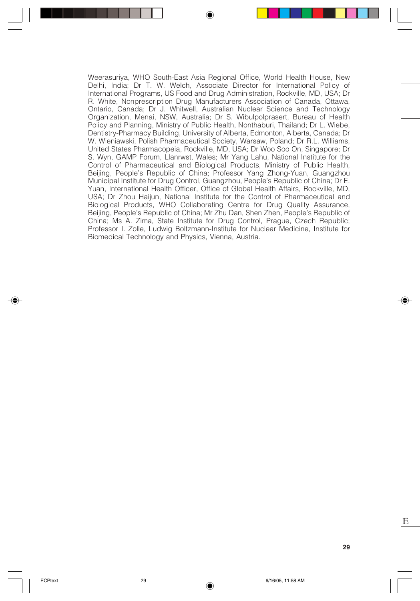Weerasuriya, WHO South-East Asia Regional Office, World Health House, New Delhi, India; Dr T. W. Welch, Associate Director for International Policy of International Programs, US Food and Drug Administration, Rockville, MD, USA; Dr R. White, Nonprescription Drug Manufacturers Association of Canada, Ottawa, Ontario, Canada; Dr J. Whitwell, Australian Nuclear Science and Technology Organization, Menai, NSW, Australia; Dr S. Wibulpolprasert, Bureau of Health Policy and Planning, Ministry of Public Health, Nonthaburi, Thailand; Dr L. Wiebe, Dentistry-Pharmacy Building, University of Alberta, Edmonton, Alberta, Canada; Dr W. Wieniawski, Polish Pharmaceutical Society, Warsaw, Poland; Dr R.L. Williams, United States Pharmacopeia, Rockville, MD, USA; Dr Woo Soo On, Singapore; Dr S. Wyn, GAMP Forum, Llanrwst, Wales; Mr Yang Lahu, National Institute for the Control of Pharmaceutical and Biological Products, Ministry of Public Health, Beijing, People's Republic of China; Professor Yang Zhong-Yuan, Guangzhou Municipal Institute for Drug Control, Guangzhou, People's Republic of China; Dr E. Yuan, International Health Officer, Office of Global Health Affairs, Rockville, MD, USA; Dr Zhou Haijun, National Institute for the Control of Pharmaceutical and Biological Products, WHO Collaborating Centre for Drug Quality Assurance, Beijing, People's Republic of China; Mr Zhu Dan, Shen Zhen, People's Republic of China; Ms A. Zima, State Institute for Drug Control, Prague, Czech Republic; Professor I. Zolle, Ludwig Boltzmann-Institute for Nuclear Medicine, Institute for Biomedical Technology and Physics, Vienna, Austria.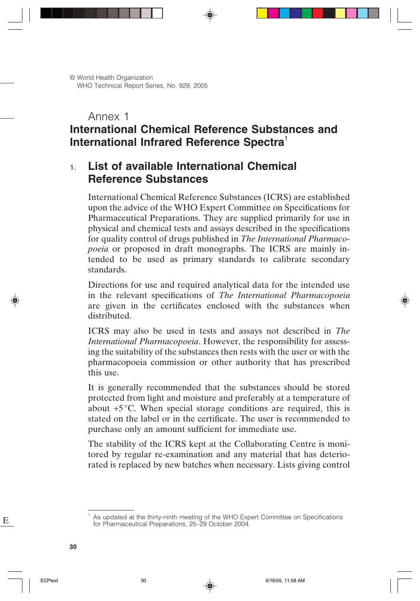© World Health Organization WHO Technical Report Series, No. 929, 2005

# Annex 1

# **International Chemical Reference Substances and International Infrared Reference Spectra**<sup>1</sup>

# 1. **List of available International Chemical Reference Substances**

International Chemical Reference Substances (ICRS) are established upon the advice of the WHO Expert Committee on Specifications for Pharmaceutical Preparations. They are supplied primarily for use in physical and chemical tests and assays described in the specifications for quality control of drugs published in *The International Pharmacopoeia* or proposed in draft monographs. The ICRS are mainly intended to be used as primary standards to calibrate secondary standards.

Directions for use and required analytical data for the intended use in the relevant specifications of *The International Pharmacopoeia* are given in the certificates enclosed with the substances when distributed.

ICRS may also be used in tests and assays not described in *The International Pharmacopoeia*. However, the responsibility for assessing the suitability of the substances then rests with the user or with the pharmacopoeia commission or other authority that has prescribed this use.

It is generally recommended that the substances should be stored protected from light and moisture and preferably at a temperature of about  $+5^{\circ}$ C. When special storage conditions are required, this is stated on the label or in the certificate. The user is recommended to purchase only an amount sufficient for immediate use.

The stability of the ICRS kept at the Collaborating Centre is monitored by regular re-examination and any material that has deteriorated is replaced by new batches when necessary. Lists giving control

**30**

As updated at the thirty-ninth meeting of the WHO Expert Committee on Specifications for Pharmaceutical Preparations, 25–29 October 2004.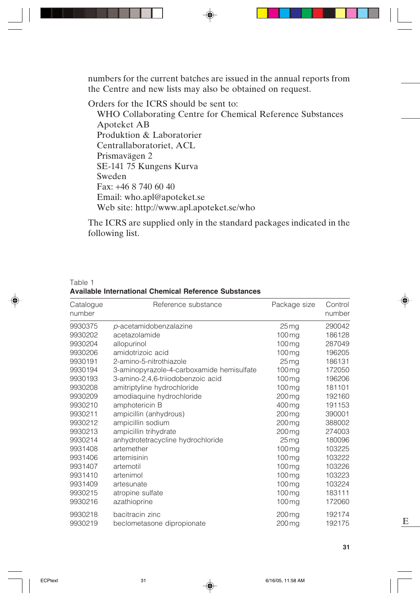numbers for the current batches are issued in the annual reports from the Centre and new lists may also be obtained on request.

Orders for the ICRS should be sent to:

WHO Collaborating Centre for Chemical Reference Substances Apoteket AB Produktion & Laboratorier Centrallaboratoriet, ACL Prismavägen 2 SE-141 75 Kungens Kurva Sweden Fax: +46 8 740 60 40 Email: who.apl@apoteket.se Web site: http://www.apl.apoteket.se/who

The ICRS are supplied only in the standard packages indicated in the following list.

| Catalogue<br>number | Reference substance                       | Package size        | Control<br>number |
|---------------------|-------------------------------------------|---------------------|-------------------|
| 9930375             | p-acetamidobenzalazine                    | 25 <sub>mg</sub>    | 290042            |
| 9930202             | acetazolamide                             | 100 <sub>mg</sub>   | 186128            |
| 9930204             | allopurinol                               | $100$ mg            | 287049            |
| 9930206             | amidotrizoic acid                         | 100 <sub>mg</sub>   | 196205            |
| 9930191             | 2-amino-5-nitrothiazole                   | 25 <sub>mg</sub>    | 186131            |
| 9930194             | 3-aminopyrazole-4-carboxamide hemisulfate | 100 <sub>mg</sub>   | 172050            |
| 9930193             | 3-amino-2,4,6-triiodobenzoic acid         | 100 <sub>mg</sub>   | 196206            |
| 9930208             | amitriptyline hydrochloride               | $100$ mg            | 181101            |
| 9930209             | amodiaquine hydrochloride                 | 200 mg              | 192160            |
| 9930210             | amphotericin B                            | 400 mg              | 191153            |
| 9930211             | ampicillin (anhydrous)                    | 200 mg              | 390001            |
| 9930212             | ampicillin sodium                         | 200 mg              | 388002            |
| 9930213             | ampicillin trihydrate                     | 200 mg              | 274003            |
| 9930214             | anhydrotetracycline hydrochloride         | 25 <sub>mg</sub>    | 180096            |
| 9931408             | artemether                                | $100$ mg            | 103225            |
| 9931406             | artemisinin                               | $100$ mg            | 103222            |
| 9931407             | artemotil                                 | 100 <sub>mg</sub>   | 103226            |
| 9931410             | artenimol                                 | $100$ mg            | 103223            |
| 9931409             | artesunate                                | $100$ mg            | 103224            |
| 9930215             | atropine sulfate                          | $100$ mg            | 183111            |
| 9930216             | azathioprine                              | $100 \,\mathrm{mg}$ | 172060            |
| 9930218             | bacitracin zinc                           | 200 mg              | 192174            |
| 9930219             | beclometasone dipropionate                | 200 mg              | 192175            |

Table 1 **Available International Chemical Reference Substances**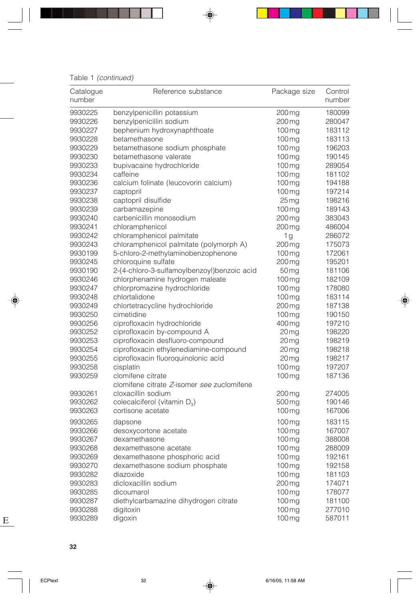| Catalogue<br>number | Reference substance                                       | Package size       | Control<br>number |
|---------------------|-----------------------------------------------------------|--------------------|-------------------|
|                     |                                                           |                    |                   |
| 9930225             | benzylpenicillin potassium                                | 200 mg             | 180099            |
| 9930226             | benzylpenicillin sodium                                   | 200 mg             | 280047            |
| 9930227             | bephenium hydroxynaphthoate                               | 100 mg             | 183112            |
| 9930228             | betamethasone                                             | $100$ mg           | 183113            |
| 9930229             | betamethasone sodium phosphate                            | 100 mg             | 196203            |
| 9930230             | betamethasone valerate                                    | $100$ mg           | 190145            |
| 9930233             | bupivacaine hydrochloride                                 | 100 mg             | 289054            |
| 9930234             | caffeine                                                  | 100 mg             | 181102            |
| 9930236<br>9930237  | calcium folinate (leucovorin calcium)<br>captopril        | 100 mg<br>100 mg   | 194188<br>197214  |
| 9930238             |                                                           |                    | 198216            |
|                     | captopril disulfide                                       | 25 <sub>mg</sub>   |                   |
| 9930239             | carbamazepine<br>carbenicillin monosodium                 | $100$ mg<br>200 mg | 189143            |
| 9930240<br>9930241  |                                                           | 200 mg             | 383043            |
|                     | chloramphenicol                                           |                    | 486004            |
| 9930242             | chloramphenicol palmitate                                 | 1 <sub>g</sub>     | 286072            |
| 9930243<br>9930199  | chloramphenicol palmitate (polymorph A)                   | 200 mg             | 175073            |
|                     | 5-chloro-2-methylaminobenzophenone<br>chloroquine sulfate | 100 mg             | 172061            |
| 9930245             |                                                           | 200 mg             | 195201            |
| 9930190<br>9930246  | 2-(4-chloro-3-sulfamoylbenzoyl)benzoic acid               | 50 <sub>mg</sub>   | 181106<br>182109  |
|                     | chlorphenamine hydrogen maleate                           | $100$ mg           |                   |
| 9930247<br>9930248  | chlorpromazine hydrochloride<br>chlortalidone             | 100 mg             | 178080            |
| 9930249             |                                                           | $100$ mg           | 183114            |
| 9930250             | chlortetracycline hydrochloride<br>cimetidine             | 200 mg             | 187138<br>190150  |
|                     | ciprofloxacin hydrochloride                               | $100$ mg<br>400 mg |                   |
| 9930256<br>9930252  | ciprofloxacin by-compound A                               | 20 <sub>mg</sub>   | 197210<br>198220  |
| 9930253             | ciprofloxacin desfluoro-compound                          | 20 <sub>mg</sub>   | 198219            |
| 9930254             | ciprofloxacin ethylenediamine-compound                    | 20 <sub>mg</sub>   | 198218            |
| 9930255             | ciprofloxacin fluoroquinolonic acid                       | 20 <sub>mg</sub>   | 198217            |
| 9930258             | cisplatin                                                 | $100$ mg           | 197207            |
| 9930259             | clomifene citrate                                         | $100$ mg           | 187136            |
|                     | clomifene citrate Z-isomer see zuclomifene                |                    |                   |
| 9930261             | cloxacillin sodium                                        | 200 mg             | 274005            |
| 9930262             | colecalciferol (vitamin D <sub>3</sub> )                  | 500 mg             | 190146            |
| 9930263             | cortisone acetate                                         | $100$ mg           | 167006            |
|                     |                                                           |                    |                   |
| 9930265             | dapsone                                                   | $100$ mg           | 183115            |
| 9930266             | desoxycortone acetate                                     | $100$ mg           | 167007            |
| 9930267             | dexamethasone                                             | 100 mg             | 388008            |
| 9930268             | dexamethasone acetate                                     | 100 <sub>mg</sub>  | 288009            |
| 9930269             | dexamethasone phosphoric acid                             | 100 mg             | 192161            |
| 9930270             | dexamethasone sodium phosphate                            | 100 <sub>mg</sub>  | 192158            |
| 9930282             | diazoxide                                                 | $100$ mg           | 181103            |
| 9930283             | dicloxacillin sodium                                      | 200 mg             | 174071            |
| 9930285             | dicoumarol                                                | $100$ mg           | 178077            |
| 9930287             | diethylcarbamazine dihydrogen citrate                     | $100$ mg           | 181100            |
| 9930288             | digitoxin                                                 | 100 mg             | 277010            |
| 9930289             | digoxin                                                   | 100 mg             | 587011            |

 $\spadesuit$ 

 $\Box$ 

 $\bigoplus$ 

- 1 ı

 $\overline{\bullet}$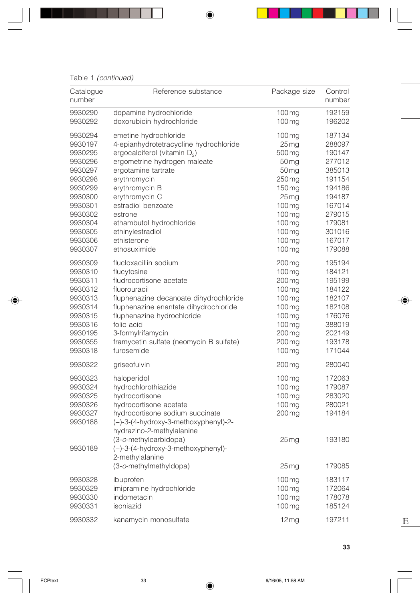| $10010 + 10011111000$                                                                                                                                  |                                                                                                                                                                                                                                                                                                                                        |                                                                                                                                                                                                    |                                                                                                                                          |
|--------------------------------------------------------------------------------------------------------------------------------------------------------|----------------------------------------------------------------------------------------------------------------------------------------------------------------------------------------------------------------------------------------------------------------------------------------------------------------------------------------|----------------------------------------------------------------------------------------------------------------------------------------------------------------------------------------------------|------------------------------------------------------------------------------------------------------------------------------------------|
| Catalogue<br>number                                                                                                                                    | Reference substance                                                                                                                                                                                                                                                                                                                    | Package size                                                                                                                                                                                       | Control<br>number                                                                                                                        |
| 9930290<br>9930292                                                                                                                                     | dopamine hydrochloride<br>doxorubicin hydrochloride                                                                                                                                                                                                                                                                                    | 100 mg<br>$100$ mg                                                                                                                                                                                 | 192159<br>196202                                                                                                                         |
| 9930294<br>9930197<br>9930295<br>9930296<br>9930297<br>9930298<br>9930299<br>9930300<br>9930301<br>9930302<br>9930304<br>9930305<br>9930306<br>9930307 | emetine hydrochloride<br>4-epianhydrotetracycline hydrochloride<br>ergocalciferol (vitamin D <sub>2</sub> )<br>ergometrine hydrogen maleate<br>ergotamine tartrate<br>erythromycin<br>erythromycin B<br>erythromycin C<br>estradiol benzoate<br>estrone<br>ethambutol hydrochloride<br>ethinylestradiol<br>ethisterone<br>ethosuximide | 100 <sub>mg</sub><br>25 <sub>mg</sub><br>500 mg<br>50 <sub>mg</sub><br>50 mg<br>250 mg<br>150mg<br>25 <sub>mg</sub><br>$100$ mg<br>100 mg<br>$100$ mg<br>$100$ mg<br>$100$ mg<br>100 <sub>mg</sub> | 187134<br>288097<br>190147<br>277012<br>385013<br>191154<br>194186<br>194187<br>167014<br>279015<br>179081<br>301016<br>167017<br>179088 |
| 9930309<br>9930310<br>9930311<br>9930312<br>9930313<br>9930314<br>9930315<br>9930316<br>9930195<br>9930355<br>9930318                                  | flucloxacillin sodium<br>flucytosine<br>fludrocortisone acetate<br>fluorouracil<br>fluphenazine decanoate dihydrochloride<br>fluphenazine enantate dihydrochloride<br>fluphenazine hydrochloride<br>folic acid<br>3-formylrifamycin<br>framycetin sulfate (neomycin B sulfate)<br>furosemide                                           | 200 mg<br>100 <sub>mg</sub><br>200 mg<br>100 <sub>mg</sub><br>$100$ mg<br>100 <sub>mg</sub><br>$100$ mg<br>$100$ mg<br>200 mg<br>200 mg<br>$100$ mg                                                | 195194<br>184121<br>195199<br>184122<br>182107<br>182108<br>176076<br>388019<br>202149<br>193178<br>171044                               |
| 9930322                                                                                                                                                | griseofulvin                                                                                                                                                                                                                                                                                                                           | 200 mg                                                                                                                                                                                             | 280040                                                                                                                                   |
| 9930323<br>9930324<br>9930325<br>9930326<br>9930327<br>9930188                                                                                         | haloperidol<br>hydrochlorothiazide<br>hydrocortisone<br>hydrocortisone acetate<br>hydrocortisone sodium succinate<br>(-)-3-(4-hydroxy-3-methoxyphenyl)-2-<br>hydrazino-2-methylalanine<br>(3-o-methylcarbidopa)                                                                                                                        | 100 <sub>mg</sub><br>$100$ mg<br>100 <sub>mg</sub><br>100 mg<br>200 mg<br>25 mg                                                                                                                    | 172063<br>179087<br>283020<br>280021<br>194184<br>193180                                                                                 |
| 9930189                                                                                                                                                | (-)-3-(4-hydroxy-3-methoxyphenyl)-<br>2-methylalanine<br>(3-o-methylmethyldopa)                                                                                                                                                                                                                                                        | 25 <sub>mg</sub>                                                                                                                                                                                   | 179085                                                                                                                                   |
| 9930328<br>9930329<br>9930330<br>9930331                                                                                                               | ibuprofen<br>imipramine hydrochloride<br>indometacin<br>isoniazid                                                                                                                                                                                                                                                                      | 100 <sub>mg</sub><br>$100$ mg<br>$100$ mg<br>$100$ mg                                                                                                                                              | 183117<br>172064<br>178078<br>185124                                                                                                     |
| 9930332                                                                                                                                                | kanamycin monosulfate                                                                                                                                                                                                                                                                                                                  | 12mg                                                                                                                                                                                               | 197211                                                                                                                                   |

 $\Rightarrow$ 

### Table 1 (continued)

**33**

 $E$ 

◈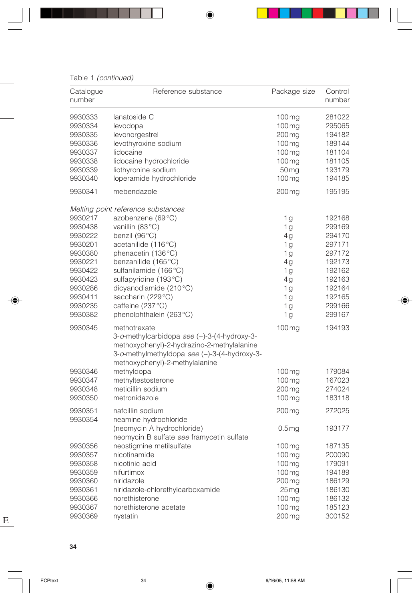| Table 1 (continued) |                                                                                                                                                                                             |                                  |                   |
|---------------------|---------------------------------------------------------------------------------------------------------------------------------------------------------------------------------------------|----------------------------------|-------------------|
| Catalogue<br>number | Reference substance                                                                                                                                                                         | Package size                     | Control<br>number |
| 9930333             | lanatoside C                                                                                                                                                                                | 100 <sub>mg</sub>                | 281022            |
| 9930334             | levodopa                                                                                                                                                                                    | $100$ mg                         | 295065            |
| 9930335             | levonorgestrel                                                                                                                                                                              | 200 mg                           | 194182            |
| 9930336             | levothyroxine sodium                                                                                                                                                                        | $100$ mg                         | 189144            |
| 9930337             | lidocaine                                                                                                                                                                                   | $100$ mg                         | 181104            |
| 9930338             | lidocaine hydrochloride                                                                                                                                                                     | 100 <sub>mg</sub>                | 181105            |
| 9930339             | liothyronine sodium                                                                                                                                                                         | 50 <sub>mg</sub>                 | 193179            |
| 9930340             | loperamide hydrochloride                                                                                                                                                                    | $100$ mg                         | 194185            |
| 9930341             | mebendazole                                                                                                                                                                                 | $200$ mg                         | 195195            |
|                     | Melting point reference substances                                                                                                                                                          |                                  |                   |
| 9930217             | azobenzene (69°C)                                                                                                                                                                           | 1g                               | 192168            |
| 9930438             | vanillin (83°C)                                                                                                                                                                             | 1 <sub>g</sub>                   | 299169            |
| 9930222             | benzil (96°C)                                                                                                                                                                               | 4g                               | 294170            |
| 9930201             | acetanilide (116°C)                                                                                                                                                                         | 1g                               | 297171            |
| 9930380             | phenacetin (136°C)                                                                                                                                                                          | 1g                               | 297172            |
| 9930221             | benzanilide (165°C)                                                                                                                                                                         | 4g                               | 192173            |
| 9930422             | sulfanilamide (166°C)                                                                                                                                                                       | 1g                               | 192162            |
| 9930423             | sulfapyridine (193°C)                                                                                                                                                                       | 4g                               | 192163            |
| 9930286<br>9930411  | dicyanodiamide (210°C)<br>saccharin (229°C)                                                                                                                                                 | 1 <sub>g</sub><br>1 <sub>g</sub> | 192164<br>192165  |
| 9930235             | caffeine (237°C)                                                                                                                                                                            |                                  | 299166            |
| 9930382             | phenolphthalein (263°C)                                                                                                                                                                     | 1g<br>1 <sub>g</sub>             | 299167            |
|                     |                                                                                                                                                                                             |                                  |                   |
| 9930345             | methotrexate<br>3-o-methylcarbidopa see (-)-3-(4-hydroxy-3-<br>methoxyphenyl)-2-hydrazino-2-methylalanine<br>3-o-methylmethyldopa see (-)-3-(4-hydroxy-3-<br>methoxyphenyl)-2-methylalanine | $100 \,\mathrm{mg}$              | 194193            |
| 9930346             | methyldopa                                                                                                                                                                                  | $100 \,\mathrm{mg}$              | 179084            |
| 9930347             | methyltestosterone                                                                                                                                                                          | $100$ mg                         | 167023            |
| 9930348             | meticillin sodium                                                                                                                                                                           | 200 mg                           | 274024            |
| 9930350             | metronidazole                                                                                                                                                                               | $100$ mg                         | 183118            |
| 9930351<br>9930354  | nafcillin sodium<br>neamine hydrochloride                                                                                                                                                   | $200$ mg                         | 272025            |
|                     | (neomycin A hydrochloride)<br>neomycin B sulfate see framycetin sulfate                                                                                                                     | 0.5 <sub>mg</sub>                | 193177            |
| 9930356             | neostigmine metilsulfate                                                                                                                                                                    | $100 \,\mathrm{mg}$              | 187135            |
| 9930357             | nicotinamide                                                                                                                                                                                | 100 mg                           | 200090            |
| 9930358             | nicotinic acid                                                                                                                                                                              | $100$ mg                         | 179091            |
| 9930359             | nifurtimox                                                                                                                                                                                  | $100$ mg                         | 194189            |
| 9930360             | niridazole                                                                                                                                                                                  | 200 mg                           | 186129            |
| 9930361             | niridazole-chlorethylcarboxamide                                                                                                                                                            | 25 <sub>mg</sub>                 | 186130            |
| 9930366             | norethisterone                                                                                                                                                                              | 100 mg                           | 186132            |
| 9930367             | norethisterone acetate                                                                                                                                                                      | 100 mg                           | 185123            |
| 9930369             | nystatin                                                                                                                                                                                    | 200 mg                           | 300152            |

 $\Rightarrow$ 

 $E_{\perp}$ 

 $\bigoplus$ 

**34**

 $\bigoplus$ 

 $\overline{\phantom{a}}$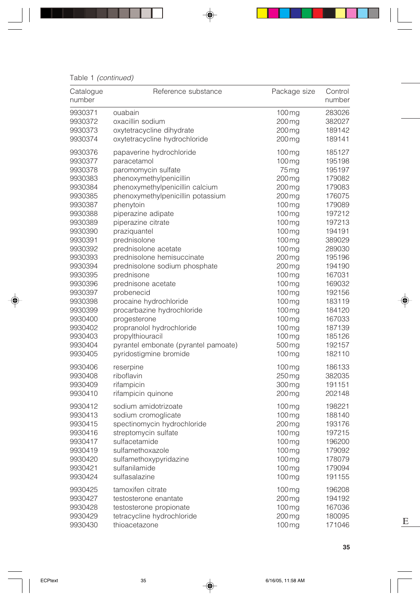| Table 1 (continued) |                                                                |                             |                   |
|---------------------|----------------------------------------------------------------|-----------------------------|-------------------|
| Catalogue<br>number | Reference substance                                            | Package size                | Control<br>number |
| 9930371             | ouabain                                                        | 100 <sub>mg</sub>           | 283026            |
| 9930372             | oxacillin sodium                                               | 200 mg                      | 382027            |
| 9930373             | oxytetracycline dihydrate                                      | 200 mg                      | 189142            |
| 9930374             | oxytetracycline hydrochloride                                  | 200 mg                      | 189141            |
| 9930376             | papaverine hydrochloride                                       | $100$ mg                    | 185127            |
| 9930377             | paracetamol                                                    | $100$ mg                    | 195198            |
| 9930378             | paromomycin sulfate                                            | 75 mg                       | 195197            |
| 9930383             | phenoxymethylpenicillin                                        | 200 mg                      | 179082            |
| 9930384             | phenoxymethylpenicillin calcium                                | 200 mg                      | 179083            |
| 9930385             | phenoxymethylpenicillin potassium                              | 200 mg                      | 176075            |
| 9930387             | phenytoin                                                      | $100$ mg                    | 179089            |
| 9930388             | piperazine adipate                                             | 100 mg                      | 197212            |
| 9930389             | piperazine citrate                                             | $100$ mg                    | 197213            |
| 9930390             | praziquantel                                                   | $100$ mg                    | 194191            |
| 9930391             | prednisolone                                                   | $100$ mg                    | 389029            |
| 9930392             | prednisolone acetate                                           | $100$ mg                    | 289030            |
| 9930393             | prednisolone hemisuccinate                                     | 200 mg                      | 195196            |
| 9930394             | prednisolone sodium phosphate                                  | 200 mg                      | 194190            |
| 9930395             | prednisone                                                     | $100$ mg                    | 167031            |
| 9930396             | prednisone acetate                                             | $100$ mg                    | 169032            |
| 9930397             | probenecid                                                     | 100 <sub>mg</sub>           | 192156            |
| 9930398             | procaine hydrochloride                                         | 100 <sub>mg</sub>           | 183119            |
| 9930399             | procarbazine hydrochloride                                     | $100$ mg                    | 184120            |
| 9930400             | progesterone                                                   | 100 mg                      | 167033            |
| 9930402             | propranolol hydrochloride                                      | $100$ mg                    | 187139            |
| 9930403             | propylthiouracil                                               | $100$ mg                    | 185126            |
| 9930404<br>9930405  | pyrantel embonate (pyrantel pamoate)<br>pyridostigmine bromide | 500 mg<br>$100$ mg          | 192157<br>182110  |
|                     |                                                                |                             |                   |
| 9930406             | reserpine<br>riboflavin                                        | 100 mg                      | 186133            |
| 9930408<br>9930409  | rifampicin                                                     | 250 mg<br>300 mg            | 382035<br>191151  |
| 9930410             | rifampicin quinone                                             | 200 mg                      | 202148            |
|                     |                                                                |                             |                   |
| 9930412             | sodium amidotrizoate                                           | 100 mg                      | 198221            |
| 9930413<br>9930415  | sodium cromoglicate                                            | $100$ mg<br>200 mg          | 188140<br>193176  |
|                     | spectinomycin hydrochloride                                    |                             |                   |
| 9930416<br>9930417  | streptomycin sulfate<br>sulfacetamide                          | 100 mg                      | 197215<br>196200  |
| 9930419             | sulfamethoxazole                                               | 100 <sub>mg</sub><br>100 mg | 179092            |
| 9930420             | sulfamethoxypyridazine                                         | $100$ mg                    | 178079            |
| 9930421             | sulfanilamide                                                  | $100$ mg                    | 179094            |
| 9930424             | sulfasalazine                                                  | $100$ mg                    | 191155            |
| 9930425             | tamoxifen citrate                                              | $100 \,\mathrm{mg}$         | 196208            |
| 9930427             | testosterone enantate                                          | 200 mg                      | 194192            |
| 9930428             | testosterone propionate                                        | 100 mg                      | 167036            |
| 9930429             | tetracycline hydrochloride                                     | 200 mg                      | 180095            |
| 9930430             | thioacetazone                                                  | 100 mg                      | 171046            |

 $\bigoplus$ 

 $E$ 

◈

**35**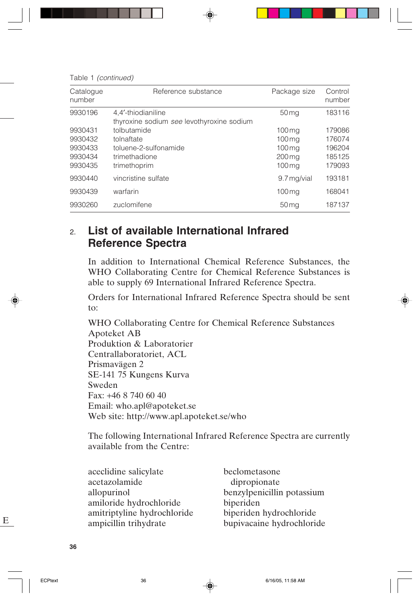Table 1 (continued)

| Catalogue<br>number | Reference substance                                             | Package size      | Control<br>number |
|---------------------|-----------------------------------------------------------------|-------------------|-------------------|
| 9930196             | 4,4'-thiodianiline<br>thyroxine sodium see levothyroxine sodium | 50 <sub>mg</sub>  | 183116            |
| 9930431             | tolbutamide                                                     | 100 <sub>ma</sub> | 179086            |
| 9930432             | tolnaftate                                                      | 100 <sub>ma</sub> | 176074            |
| 9930433             | toluene-2-sulfonamide                                           | 100 <sub>ma</sub> | 196204            |
| 9930434             | trimethadione                                                   | 200 mg            | 185125            |
| 9930435             | trimethoprim                                                    | 100 <sub>ma</sub> | 179093            |
| 9930440             | vincristine sulfate                                             | 9.7 mg/vial       | 193181            |
| 9930439             | warfarin                                                        | $100$ ma          | 168041            |
| 9930260             | zuclomifene                                                     | 50 <sub>mg</sub>  | 187137            |

# 2. **List of available International Infrared Reference Spectra**

In addition to International Chemical Reference Substances, the WHO Collaborating Centre for Chemical Reference Substances is able to supply 69 International Infrared Reference Spectra.

Orders for International Infrared Reference Spectra should be sent to:

WHO Collaborating Centre for Chemical Reference Substances Apoteket AB Produktion & Laboratorier Centrallaboratoriet, ACL Prismavägen 2 SE-141 75 Kungens Kurva Sweden Fax: +46 8 740 60 40 Email: who.apl@apoteket.se Web site: http://www.apl.apoteket.se/who

The following International Infrared Reference Spectra are currently available from the Centre:

aceclidine salicylate acetazolamide allopurinol amiloride hydrochloride amitriptyline hydrochloride ampicillin trihydrate

beclometasone dipropionate benzylpenicillin potassium biperiden biperiden hydrochloride bupivacaine hydrochloride

**36**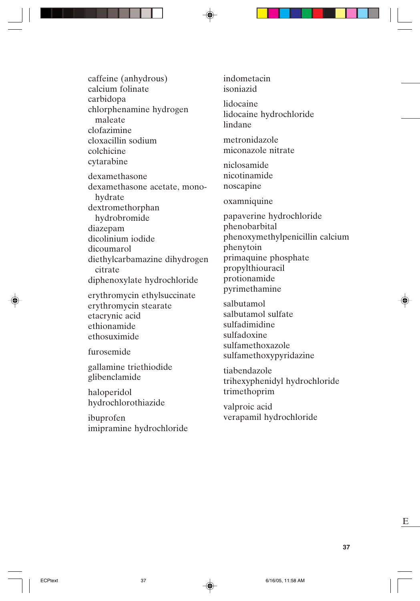caffeine (anhydrous) calcium folinate carbidopa chlorphenamine hydrogen maleate clofazimine cloxacillin sodium colchicine cytarabine

dexamethasone dexamethasone acetate, monohydrate dextromethorphan hydrobromide diazepam dicolinium iodide dicoumarol diethylcarbamazine dihydrogen citrate diphenoxylate hydrochloride

erythromycin ethylsuccinate erythromycin stearate etacrynic acid ethionamide ethosuximide

furosemide

gallamine triethiodide glibenclamide

haloperidol hydrochlorothiazide

ibuprofen imipramine hydrochloride indometacin isoniazid

lidocaine lidocaine hydrochloride lindane

metronidazole miconazole nitrate

niclosamide nicotinamide noscapine

oxamniquine

papaverine hydrochloride phenobarbital phenoxymethylpenicillin calcium phenytoin primaquine phosphate propylthiouracil protionamide pyrimethamine

salbutamol salbutamol sulfate sulfadimidine sulfadoxine sulfamethoxazole sulfamethoxypyridazine

tiabendazole trihexyphenidyl hydrochloride trimethoprim

valproic acid verapamil hydrochloride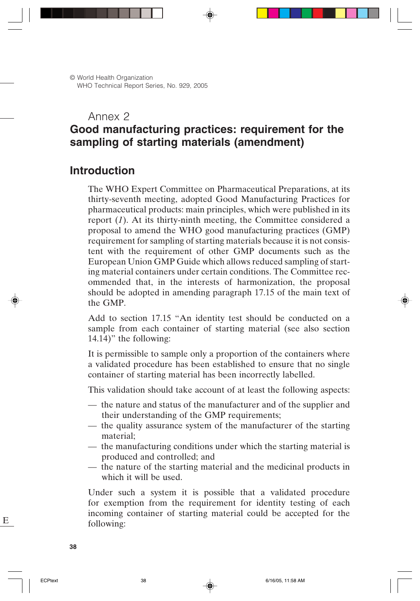© World Health Organization WHO Technical Report Series, No. 929, 2005

# Annex 2

# **Good manufacturing practices: requirement for the sampling of starting materials (amendment)**

# **Introduction**

The WHO Expert Committee on Pharmaceutical Preparations, at its thirty-seventh meeting, adopted Good Manufacturing Practices for pharmaceutical products: main principles, which were published in its report (*1*). At its thirty-ninth meeting, the Committee considered a proposal to amend the WHO good manufacturing practices (GMP) requirement for sampling of starting materials because it is not consistent with the requirement of other GMP documents such as the European Union GMP Guide which allows reduced sampling of starting material containers under certain conditions. The Committee recommended that, in the interests of harmonization, the proposal should be adopted in amending paragraph 17.15 of the main text of the GMP.

Add to section 17.15 "An identity test should be conducted on a sample from each container of starting material (see also section 14.14)" the following:

It is permissible to sample only a proportion of the containers where a validated procedure has been established to ensure that no single container of starting material has been incorrectly labelled.

This validation should take account of at least the following aspects:

- the nature and status of the manufacturer and of the supplier and their understanding of the GMP requirements;
- the quality assurance system of the manufacturer of the starting material;
- the manufacturing conditions under which the starting material is produced and controlled; and
- the nature of the starting material and the medicinal products in which it will be used.

Under such a system it is possible that a validated procedure for exemption from the requirement for identity testing of each incoming container of starting material could be accepted for the following:

**38**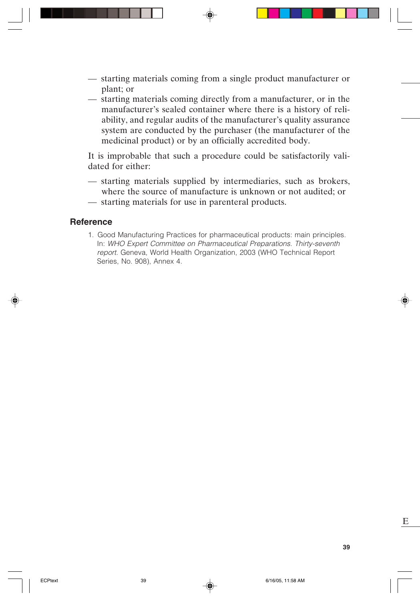- starting materials coming from a single product manufacturer or plant; or
- starting materials coming directly from a manufacturer, or in the manufacturer's sealed container where there is a history of reliability, and regular audits of the manufacturer's quality assurance system are conducted by the purchaser (the manufacturer of the medicinal product) or by an officially accredited body.

It is improbable that such a procedure could be satisfactorily validated for either:

- starting materials supplied by intermediaries, such as brokers, where the source of manufacture is unknown or not audited; or
- starting materials for use in parenteral products.

#### **Reference**

1. Good Manufacturing Practices for pharmaceutical products: main principles. In: WHO Expert Committee on Pharmaceutical Preparations. Thirty-seventh report. Geneva, World Health Organization, 2003 (WHO Technical Report Series, No. 908), Annex 4.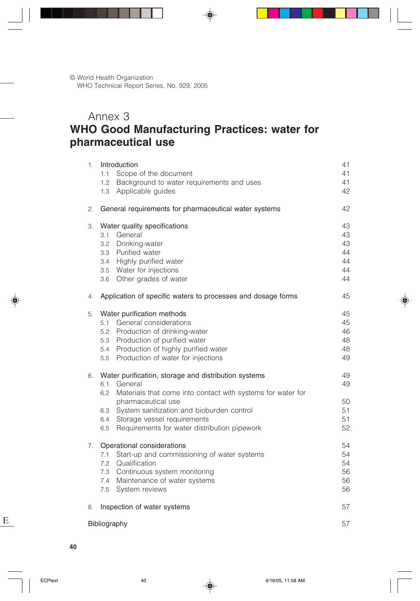© World Health Organization WHO Technical Report Series, No. 929, 2005

# Annex 3 **WHO Good Manufacturing Practices: water for pharmaceutical use**

◈

| 1. | Introduction                                                           | 41       |  |
|----|------------------------------------------------------------------------|----------|--|
|    | Scope of the document<br>1.1                                           | 41       |  |
|    | 1.2<br>Background to water requirements and uses                       | 41       |  |
|    | Applicable guides<br>1.3                                               | 42       |  |
| 2. | General requirements for pharmaceutical water systems                  | 42       |  |
| З. | Water quality specifications                                           | 43       |  |
|    | General<br>3.1                                                         | 43       |  |
|    | 3.2<br>Drinking-water                                                  | 43       |  |
|    | 3.3 Purified water                                                     | 44       |  |
|    | 3.4 Highly purified water<br>3.5 Water for injections                  | 44<br>44 |  |
|    | Other grades of water<br>3.6                                           | 44       |  |
| 4. | Application of specific waters to processes and dosage forms           | 45       |  |
| 5. | Water purification methods                                             | 45       |  |
|    | General considerations<br>5.1                                          | 45       |  |
|    | 5.2<br>Production of drinking-water                                    | 46       |  |
|    | 5.3 Production of purified water                                       | 48       |  |
|    | Production of highly purified water<br>5.4                             | 48       |  |
|    | 5.5<br>Production of water for injections                              | 49       |  |
| 6. | Water purification, storage and distribution systems                   | 49       |  |
|    | 6.1<br>General                                                         | 49       |  |
|    | 6.2<br>Materials that come into contact with systems for water for     | 50       |  |
|    | pharmaceutical use<br>System sanitization and bioburden control<br>6.3 | 51       |  |
|    | Storage vessel requirements<br>6.4                                     | 51       |  |
|    | Requirements for water distribution pipework<br>6.5                    | 52       |  |
|    |                                                                        |          |  |
| 7. | Operational considerations                                             | 54       |  |
|    | 7.1<br>Start-up and commissioning of water systems<br>Qualification    | 54<br>54 |  |
|    | 7.2<br>7.3<br>Continuous system monitoring                             | 56       |  |
|    | Maintenance of water systems<br>7.4                                    | 56       |  |
|    | 7.5<br>System reviews                                                  | 56       |  |
|    |                                                                        |          |  |
| 8. | Inspection of water systems                                            | 57       |  |
|    | 57<br>Bibliography                                                     |          |  |

**40**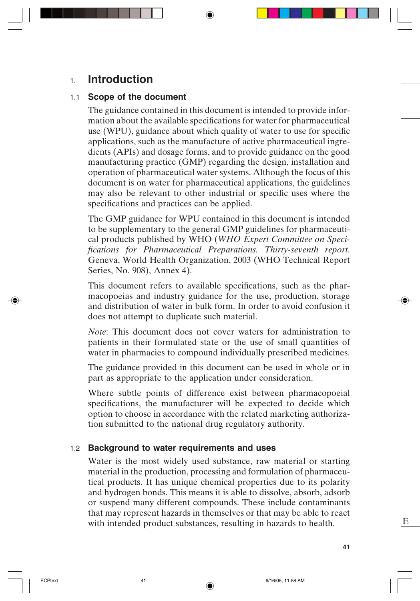# 1. **Introduction**

# 1.1 **Scope of the document**

The guidance contained in this document is intended to provide information about the available specifications for water for pharmaceutical use (WPU), guidance about which quality of water to use for specific applications, such as the manufacture of active pharmaceutical ingredients (APIs) and dosage forms, and to provide guidance on the good manufacturing practice (GMP) regarding the design, installation and operation of pharmaceutical water systems. Although the focus of this document is on water for pharmaceutical applications, the guidelines may also be relevant to other industrial or specific uses where the specifications and practices can be applied.

The GMP guidance for WPU contained in this document is intended to be supplementary to the general GMP guidelines for pharmaceutical products published by WHO (*WHO Expert Committee on Specifications for Pharmaceutical Preparations. Thirty-seventh report*. Geneva, World Health Organization, 2003 (WHO Technical Report Series, No. 908), Annex 4).

This document refers to available specifications, such as the pharmacopoeias and industry guidance for the use, production, storage and distribution of water in bulk form. In order to avoid confusion it does not attempt to duplicate such material.

*Note*: This document does not cover waters for administration to patients in their formulated state or the use of small quantities of water in pharmacies to compound individually prescribed medicines.

The guidance provided in this document can be used in whole or in part as appropriate to the application under consideration.

Where subtle points of difference exist between pharmacopoeial specifications, the manufacturer will be expected to decide which option to choose in accordance with the related marketing authorization submitted to the national drug regulatory authority.

### 1.2 **Background to water requirements and uses**

Water is the most widely used substance, raw material or starting material in the production, processing and formulation of pharmaceutical products. It has unique chemical properties due to its polarity and hydrogen bonds. This means it is able to dissolve, absorb, adsorb or suspend many different compounds. These include contaminants that may represent hazards in themselves or that may be able to react with intended product substances, resulting in hazards to health.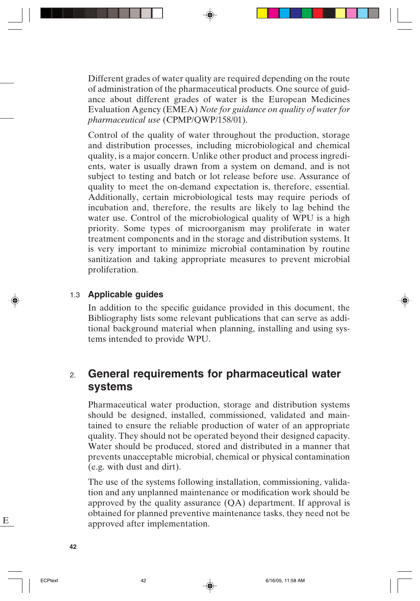Different grades of water quality are required depending on the route of administration of the pharmaceutical products. One source of guidance about different grades of water is the European Medicines Evaluation Agency (EMEA) *Note for guidance on quality of water for pharmaceutical use* (CPMP/QWP/158/01).

Control of the quality of water throughout the production, storage and distribution processes, including microbiological and chemical quality, is a major concern. Unlike other product and process ingredients, water is usually drawn from a system on demand, and is not subject to testing and batch or lot release before use. Assurance of quality to meet the on-demand expectation is, therefore, essential. Additionally, certain microbiological tests may require periods of incubation and, therefore, the results are likely to lag behind the water use. Control of the microbiological quality of WPU is a high priority. Some types of microorganism may proliferate in water treatment components and in the storage and distribution systems. It is very important to minimize microbial contamination by routine sanitization and taking appropriate measures to prevent microbial proliferation.

## 1.3 **Applicable guides**

In addition to the specific guidance provided in this document, the Bibliography lists some relevant publications that can serve as additional background material when planning, installing and using systems intended to provide WPU.

# 2. **General requirements for pharmaceutical water systems**

Pharmaceutical water production, storage and distribution systems should be designed, installed, commissioned, validated and maintained to ensure the reliable production of water of an appropriate quality. They should not be operated beyond their designed capacity. Water should be produced, stored and distributed in a manner that prevents unacceptable microbial, chemical or physical contamination (e.g. with dust and dirt).

The use of the systems following installation, commissioning, validation and any unplanned maintenance or modification work should be approved by the quality assurance (QA) department. If approval is obtained for planned preventive maintenance tasks, they need not be approved after implementation.

**42**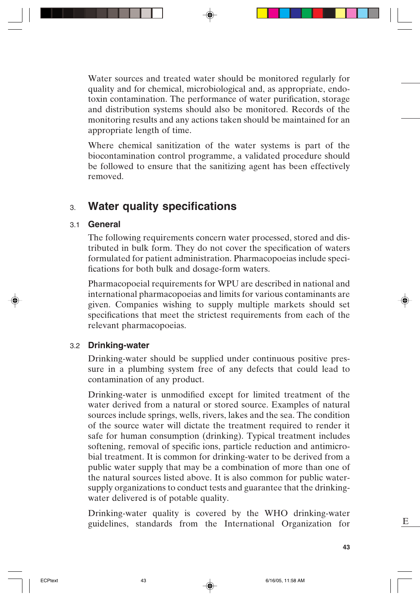Water sources and treated water should be monitored regularly for quality and for chemical, microbiological and, as appropriate, endotoxin contamination. The performance of water purification, storage and distribution systems should also be monitored. Records of the monitoring results and any actions taken should be maintained for an appropriate length of time.

Where chemical sanitization of the water systems is part of the biocontamination control programme, a validated procedure should be followed to ensure that the sanitizing agent has been effectively removed.

# 3. **Water quality specifications**

# 3.1 **General**

The following requirements concern water processed, stored and distributed in bulk form. They do not cover the specification of waters formulated for patient administration. Pharmacopoeias include specifications for both bulk and dosage-form waters.

Pharmacopoeial requirements for WPU are described in national and international pharmacopoeias and limits for various contaminants are given. Companies wishing to supply multiple markets should set specifications that meet the strictest requirements from each of the relevant pharmacopoeias.

### 3.2 **Drinking-water**

Drinking-water should be supplied under continuous positive pressure in a plumbing system free of any defects that could lead to contamination of any product.

Drinking-water is unmodified except for limited treatment of the water derived from a natural or stored source. Examples of natural sources include springs, wells, rivers, lakes and the sea. The condition of the source water will dictate the treatment required to render it safe for human consumption (drinking). Typical treatment includes softening, removal of specific ions, particle reduction and antimicrobial treatment. It is common for drinking-water to be derived from a public water supply that may be a combination of more than one of the natural sources listed above. It is also common for public watersupply organizations to conduct tests and guarantee that the drinkingwater delivered is of potable quality.

Drinking-water quality is covered by the WHO drinking-water guidelines, standards from the International Organization for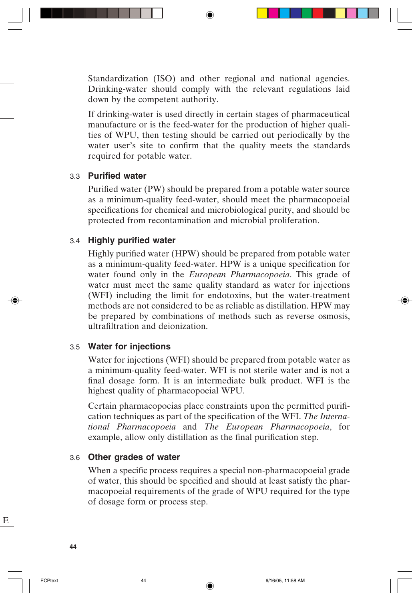Standardization (ISO) and other regional and national agencies. Drinking-water should comply with the relevant regulations laid down by the competent authority.

If drinking-water is used directly in certain stages of pharmaceutical manufacture or is the feed-water for the production of higher qualities of WPU, then testing should be carried out periodically by the water user's site to confirm that the quality meets the standards required for potable water.

#### 3.3 **Purified water**

Purified water (PW) should be prepared from a potable water source as a minimum-quality feed-water, should meet the pharmacopoeial specifications for chemical and microbiological purity, and should be protected from recontamination and microbial proliferation.

## 3.4 **Highly purified water**

Highly purified water (HPW) should be prepared from potable water as a minimum-quality feed-water. HPW is a unique specification for water found only in the *European Pharmacopoeia*. This grade of water must meet the same quality standard as water for injections (WFI) including the limit for endotoxins, but the water-treatment methods are not considered to be as reliable as distillation. HPW may be prepared by combinations of methods such as reverse osmosis, ultrafiltration and deionization.

### 3.5 **Water for injections**

Water for injections (WFI) should be prepared from potable water as a minimum-quality feed-water. WFI is not sterile water and is not a final dosage form. It is an intermediate bulk product. WFI is the highest quality of pharmacopoeial WPU.

Certain pharmacopoeias place constraints upon the permitted purification techniques as part of the specification of the WFI. *The International Pharmacopoeia* and *The European Pharmacopoeia*, for example, allow only distillation as the final purification step.

## 3.6 **Other grades of water**

When a specific process requires a special non-pharmacopoeial grade of water, this should be specified and should at least satisfy the pharmacopoeial requirements of the grade of WPU required for the type of dosage form or process step.

**44**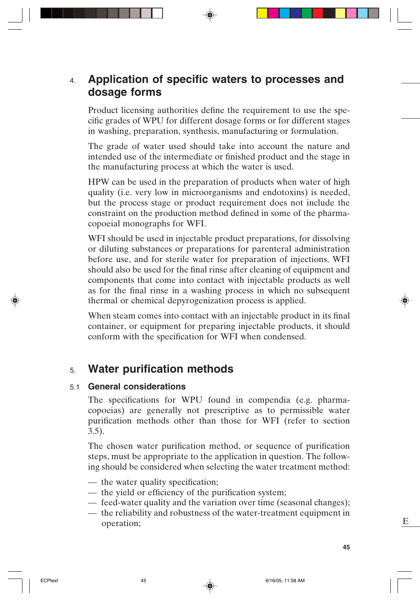# 4. **Application of specific waters to processes and dosage forms**

Product licensing authorities define the requirement to use the specific grades of WPU for different dosage forms or for different stages in washing, preparation, synthesis, manufacturing or formulation.

The grade of water used should take into account the nature and intended use of the intermediate or finished product and the stage in the manufacturing process at which the water is used.

HPW can be used in the preparation of products when water of high quality (i.e. very low in microorganisms and endotoxins) is needed, but the process stage or product requirement does not include the constraint on the production method defined in some of the pharmacopoeial monographs for WFI.

WFI should be used in injectable product preparations, for dissolving or diluting substances or preparations for parenteral administration before use, and for sterile water for preparation of injections. WFI should also be used for the final rinse after cleaning of equipment and components that come into contact with injectable products as well as for the final rinse in a washing process in which no subsequent thermal or chemical depyrogenization process is applied.

When steam comes into contact with an injectable product in its final container, or equipment for preparing injectable products, it should conform with the specification for WFI when condensed.

# 5. **Water purification methods**

### 5.1 **General considerations**

The specifications for WPU found in compendia (e.g. pharmacopoeias) are generally not prescriptive as to permissible water purification methods other than those for WFI (refer to section 3.5).

The chosen water purification method, or sequence of purification steps, must be appropriate to the application in question. The following should be considered when selecting the water treatment method:

- the water quality specification;
- the yield or efficiency of the purification system;
- feed-water quality and the variation over time (seasonal changes);
- the reliability and robustness of the water-treatment equipment in operation;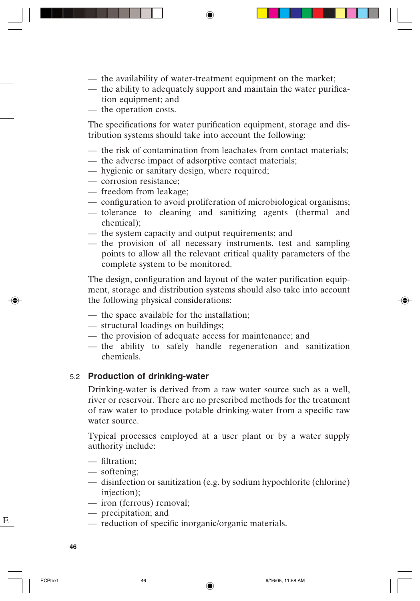- the availability of water-treatment equipment on the market;
- the ability to adequately support and maintain the water purification equipment; and
- the operation costs.

The specifications for water purification equipment, storage and distribution systems should take into account the following:

- the risk of contamination from leachates from contact materials;
- the adverse impact of adsorptive contact materials;
- hygienic or sanitary design, where required;
- corrosion resistance;
- freedom from leakage;
- configuration to avoid proliferation of microbiological organisms;
- tolerance to cleaning and sanitizing agents (thermal and chemical);
- the system capacity and output requirements; and
- the provision of all necessary instruments, test and sampling points to allow all the relevant critical quality parameters of the complete system to be monitored.

The design, configuration and layout of the water purification equipment, storage and distribution systems should also take into account the following physical considerations:

- the space available for the installation;
- structural loadings on buildings;
- the provision of adequate access for maintenance; and
- the ability to safely handle regeneration and sanitization chemicals.

### 5.2 **Production of drinking-water**

Drinking-water is derived from a raw water source such as a well, river or reservoir. There are no prescribed methods for the treatment of raw water to produce potable drinking-water from a specific raw water source.

Typical processes employed at a user plant or by a water supply authority include:

- filtration;
- softening;
- disinfection or sanitization (e.g. by sodium hypochlorite (chlorine) injection);
- iron (ferrous) removal;
- precipitation; and
- reduction of specific inorganic/organic materials.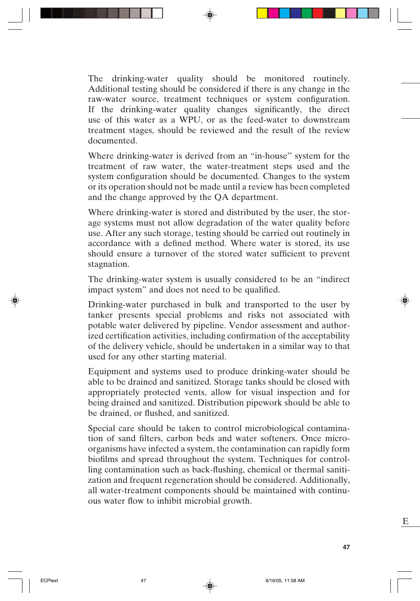The drinking-water quality should be monitored routinely. Additional testing should be considered if there is any change in the raw-water source, treatment techniques or system configuration. If the drinking-water quality changes significantly, the direct use of this water as a WPU, or as the feed-water to downstream treatment stages, should be reviewed and the result of the review documented.

Where drinking-water is derived from an "in-house" system for the treatment of raw water, the water-treatment steps used and the system configuration should be documented. Changes to the system or its operation should not be made until a review has been completed and the change approved by the QA department.

Where drinking-water is stored and distributed by the user, the storage systems must not allow degradation of the water quality before use. After any such storage, testing should be carried out routinely in accordance with a defined method. Where water is stored, its use should ensure a turnover of the stored water sufficient to prevent stagnation.

The drinking-water system is usually considered to be an "indirect impact system" and does not need to be qualified.

Drinking-water purchased in bulk and transported to the user by tanker presents special problems and risks not associated with potable water delivered by pipeline. Vendor assessment and authorized certification activities, including confirmation of the acceptability of the delivery vehicle, should be undertaken in a similar way to that used for any other starting material.

Equipment and systems used to produce drinking-water should be able to be drained and sanitized. Storage tanks should be closed with appropriately protected vents, allow for visual inspection and for being drained and sanitized. Distribution pipework should be able to be drained, or flushed, and sanitized.

Special care should be taken to control microbiological contamination of sand filters, carbon beds and water softeners. Once microorganisms have infected a system, the contamination can rapidly form biofilms and spread throughout the system. Techniques for controlling contamination such as back-flushing, chemical or thermal sanitization and frequent regeneration should be considered. Additionally, all water-treatment components should be maintained with continuous water flow to inhibit microbial growth.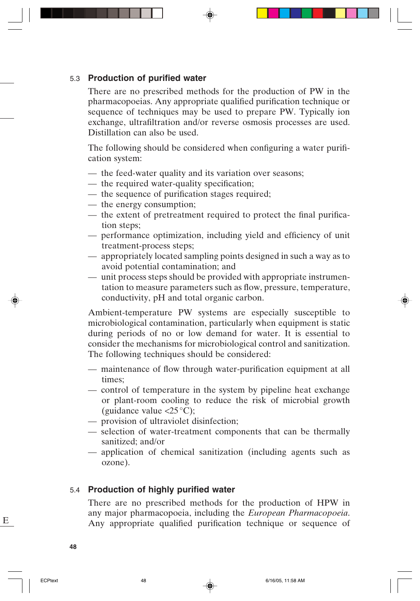## 5.3 **Production of purified water**

There are no prescribed methods for the production of PW in the pharmacopoeias. Any appropriate qualified purification technique or sequence of techniques may be used to prepare PW. Typically ion exchange, ultrafiltration and/or reverse osmosis processes are used. Distillation can also be used.

The following should be considered when configuring a water purification system:

- the feed-water quality and its variation over seasons;
- the required water-quality specification;
- the sequence of purification stages required;
- the energy consumption;
- the extent of pretreatment required to protect the final purification steps;
- performance optimization, including yield and efficiency of unit treatment-process steps;
- appropriately located sampling points designed in such a way as to avoid potential contamination; and
- unit process steps should be provided with appropriate instrumentation to measure parameters such as flow, pressure, temperature, conductivity, pH and total organic carbon.

Ambient-temperature PW systems are especially susceptible to microbiological contamination, particularly when equipment is static during periods of no or low demand for water. It is essential to consider the mechanisms for microbiological control and sanitization. The following techniques should be considered:

- maintenance of flow through water-purification equipment at all times;
- control of temperature in the system by pipeline heat exchange or plant-room cooling to reduce the risk of microbial growth (guidance value  $\langle 25^{\circ}$ C);
- provision of ultraviolet disinfection;
- selection of water-treatment components that can be thermally sanitized; and/or
- application of chemical sanitization (including agents such as ozone).

### 5.4 **Production of highly purified water**

There are no prescribed methods for the production of HPW in any major pharmacopoeia, including the *European Pharmacopoeia*. Any appropriate qualified purification technique or sequence of

**48**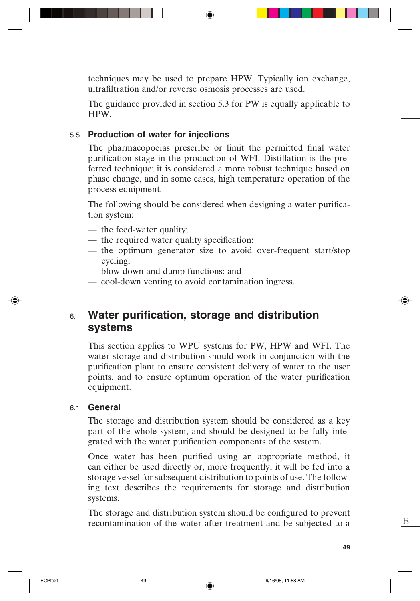techniques may be used to prepare HPW. Typically ion exchange, ultrafiltration and/or reverse osmosis processes are used.

The guidance provided in section 5.3 for PW is equally applicable to HPW.

## 5.5 **Production of water for injections**

The pharmacopoeias prescribe or limit the permitted final water purification stage in the production of WFI. Distillation is the preferred technique; it is considered a more robust technique based on phase change, and in some cases, high temperature operation of the process equipment.

The following should be considered when designing a water purification system:

- the feed-water quality;
- the required water quality specification;
- the optimum generator size to avoid over-frequent start/stop cycling;
- blow-down and dump functions; and
- cool-down venting to avoid contamination ingress.

# 6. **Water purification, storage and distribution systems**

This section applies to WPU systems for PW, HPW and WFI. The water storage and distribution should work in conjunction with the purification plant to ensure consistent delivery of water to the user points, and to ensure optimum operation of the water purification equipment.

### 6.1 **General**

The storage and distribution system should be considered as a key part of the whole system, and should be designed to be fully integrated with the water purification components of the system.

Once water has been purified using an appropriate method, it can either be used directly or, more frequently, it will be fed into a storage vessel for subsequent distribution to points of use. The following text describes the requirements for storage and distribution systems.

The storage and distribution system should be configured to prevent recontamination of the water after treatment and be subjected to a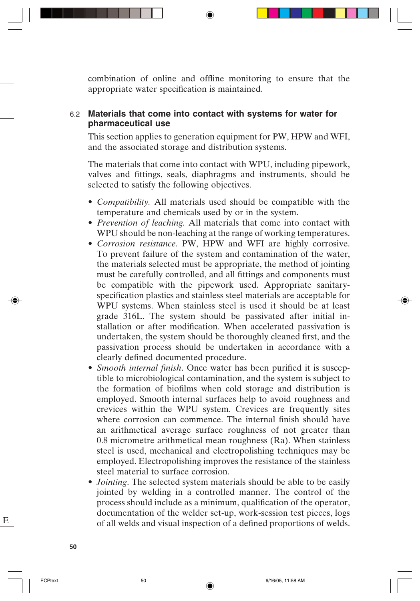combination of online and offline monitoring to ensure that the appropriate water specification is maintained.

# 6.2 **Materials that come into contact with systems for water for pharmaceutical use**

This section applies to generation equipment for PW, HPW and WFI, and the associated storage and distribution systems.

The materials that come into contact with WPU, including pipework, valves and fittings, seals, diaphragms and instruments, should be selected to satisfy the following objectives.

- *Compatibility.* All materials used should be compatible with the temperature and chemicals used by or in the system.
- *Prevention of leaching.* All materials that come into contact with WPU should be non-leaching at the range of working temperatures.
- *Corrosion resistance*. PW, HPW and WFI are highly corrosive. To prevent failure of the system and contamination of the water, the materials selected must be appropriate, the method of jointing must be carefully controlled, and all fittings and components must be compatible with the pipework used. Appropriate sanitaryspecification plastics and stainless steel materials are acceptable for WPU systems. When stainless steel is used it should be at least grade 316L. The system should be passivated after initial installation or after modification. When accelerated passivation is undertaken, the system should be thoroughly cleaned first, and the passivation process should be undertaken in accordance with a clearly defined documented procedure.
- *Smooth internal finish*. Once water has been purified it is susceptible to microbiological contamination, and the system is subject to the formation of biofilms when cold storage and distribution is employed. Smooth internal surfaces help to avoid roughness and crevices within the WPU system. Crevices are frequently sites where corrosion can commence. The internal finish should have an arithmetical average surface roughness of not greater than 0.8 micrometre arithmetical mean roughness (Ra). When stainless steel is used, mechanical and electropolishing techniques may be employed. Electropolishing improves the resistance of the stainless steel material to surface corrosion.
- *Jointing*. The selected system materials should be able to be easily jointed by welding in a controlled manner. The control of the process should include as a minimum, qualification of the operator, documentation of the welder set-up, work-session test pieces, logs of all welds and visual inspection of a defined proportions of welds.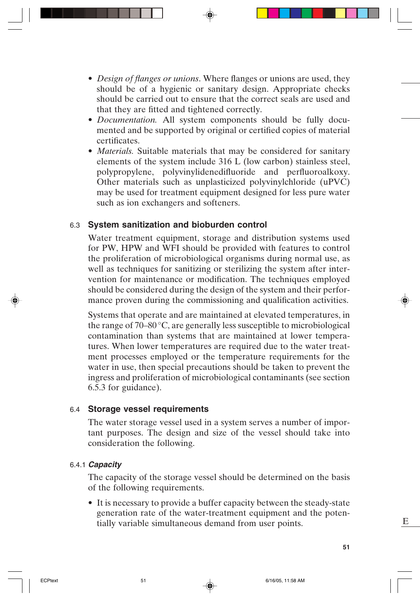- *Design of flanges or unions*. Where flanges or unions are used, they should be of a hygienic or sanitary design. Appropriate checks should be carried out to ensure that the correct seals are used and that they are fitted and tightened correctly.
- *Documentation.* All system components should be fully documented and be supported by original or certified copies of material certificates.
- *Materials.* Suitable materials that may be considered for sanitary elements of the system include 316 L (low carbon) stainless steel, polypropylene, polyvinylidenedifluoride and perfluoroalkoxy. Other materials such as unplasticized polyvinylchloride (uPVC) may be used for treatment equipment designed for less pure water such as ion exchangers and softeners.

## 6.3 **System sanitization and bioburden control**

Water treatment equipment, storage and distribution systems used for PW, HPW and WFI should be provided with features to control the proliferation of microbiological organisms during normal use, as well as techniques for sanitizing or sterilizing the system after intervention for maintenance or modification. The techniques employed should be considered during the design of the system and their performance proven during the commissioning and qualification activities.

Systems that operate and are maintained at elevated temperatures, in the range of 70–80 °C, are generally less susceptible to microbiological contamination than systems that are maintained at lower temperatures. When lower temperatures are required due to the water treatment processes employed or the temperature requirements for the water in use, then special precautions should be taken to prevent the ingress and proliferation of microbiological contaminants (see section 6.5.3 for guidance).

### 6.4 **Storage vessel requirements**

The water storage vessel used in a system serves a number of important purposes. The design and size of the vessel should take into consideration the following.

#### 6.4.1 **Capacity**

The capacity of the storage vessel should be determined on the basis of the following requirements.

• It is necessary to provide a buffer capacity between the steady-state generation rate of the water-treatment equipment and the potentially variable simultaneous demand from user points.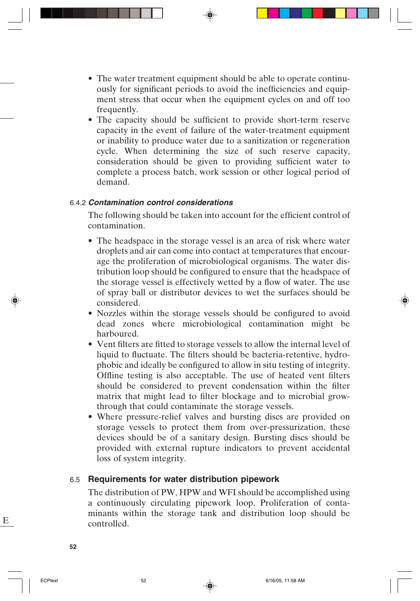- The water treatment equipment should be able to operate continuously for significant periods to avoid the inefficiencies and equipment stress that occur when the equipment cycles on and off too frequently.
- The capacity should be sufficient to provide short-term reserve capacity in the event of failure of the water-treatment equipment or inability to produce water due to a sanitization or regeneration cycle. When determining the size of such reserve capacity, consideration should be given to providing sufficient water to complete a process batch, work session or other logical period of demand.

### 6.4.2 **Contamination control considerations**

The following should be taken into account for the efficient control of contamination.

- The headspace in the storage vessel is an area of risk where water droplets and air can come into contact at temperatures that encourage the proliferation of microbiological organisms. The water distribution loop should be configured to ensure that the headspace of the storage vessel is effectively wetted by a flow of water. The use of spray ball or distributor devices to wet the surfaces should be considered.
- Nozzles within the storage vessels should be configured to avoid dead zones where microbiological contamination might be harboured.
- Vent filters are fitted to storage vessels to allow the internal level of liquid to fluctuate. The filters should be bacteria-retentive, hydrophobic and ideally be configured to allow in situ testing of integrity. Offline testing is also acceptable. The use of heated vent filters should be considered to prevent condensation within the filter matrix that might lead to filter blockage and to microbial growthrough that could contaminate the storage vessels.
- Where pressure-relief valves and bursting discs are provided on storage vessels to protect them from over-pressurization, these devices should be of a sanitary design. Bursting discs should be provided with external rupture indicators to prevent accidental loss of system integrity.

# 6.5 **Requirements for water distribution pipework**

The distribution of PW, HPW and WFI should be accomplished using a continuously circulating pipework loop. Proliferation of contaminants within the storage tank and distribution loop should be controlled.

**52**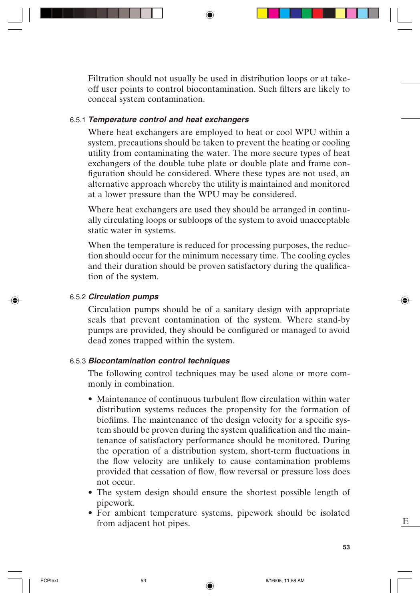Filtration should not usually be used in distribution loops or at takeoff user points to control biocontamination. Such filters are likely to conceal system contamination.

#### 6.5.1 **Temperature control and heat exchangers**

Where heat exchangers are employed to heat or cool WPU within a system, precautions should be taken to prevent the heating or cooling utility from contaminating the water. The more secure types of heat exchangers of the double tube plate or double plate and frame configuration should be considered. Where these types are not used, an alternative approach whereby the utility is maintained and monitored at a lower pressure than the WPU may be considered.

Where heat exchangers are used they should be arranged in continually circulating loops or subloops of the system to avoid unacceptable static water in systems.

When the temperature is reduced for processing purposes, the reduction should occur for the minimum necessary time. The cooling cycles and their duration should be proven satisfactory during the qualification of the system.

#### 6.5.2 **Circulation pumps**

Circulation pumps should be of a sanitary design with appropriate seals that prevent contamination of the system. Where stand-by pumps are provided, they should be configured or managed to avoid dead zones trapped within the system.

#### 6.5.3 **Biocontamination control techniques**

The following control techniques may be used alone or more commonly in combination.

- Maintenance of continuous turbulent flow circulation within water distribution systems reduces the propensity for the formation of biofilms. The maintenance of the design velocity for a specific system should be proven during the system qualification and the maintenance of satisfactory performance should be monitored. During the operation of a distribution system, short-term fluctuations in the flow velocity are unlikely to cause contamination problems provided that cessation of flow, flow reversal or pressure loss does not occur.
- The system design should ensure the shortest possible length of pipework.
- For ambient temperature systems, pipework should be isolated from adjacent hot pipes.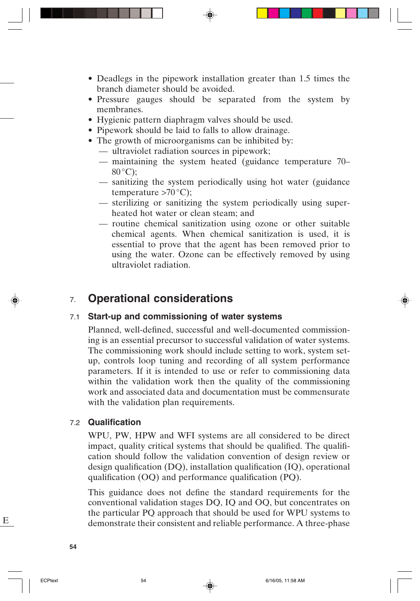- Deadlegs in the pipework installation greater than 1.5 times the branch diameter should be avoided.
- Pressure gauges should be separated from the system by membranes.
- Hygienic pattern diaphragm valves should be used.
- Pipework should be laid to falls to allow drainage.
- The growth of microorganisms can be inhibited by:
	- ultraviolet radiation sources in pipework;
	- maintaining the system heated (guidance temperature 70–  $80^{\circ}$ C):
	- sanitizing the system periodically using hot water (guidance temperature  $>70^{\circ}$ C);
	- sterilizing or sanitizing the system periodically using superheated hot water or clean steam; and
	- routine chemical sanitization using ozone or other suitable chemical agents. When chemical sanitization is used, it is essential to prove that the agent has been removed prior to using the water. Ozone can be effectively removed by using ultraviolet radiation.

# 7. **Operational considerations**

### 7.1 **Start-up and commissioning of water systems**

Planned, well-defined, successful and well-documented commissioning is an essential precursor to successful validation of water systems. The commissioning work should include setting to work, system setup, controls loop tuning and recording of all system performance parameters. If it is intended to use or refer to commissioning data within the validation work then the quality of the commissioning work and associated data and documentation must be commensurate with the validation plan requirements.

# 7.2 **Qualification**

WPU, PW, HPW and WFI systems are all considered to be direct impact, quality critical systems that should be qualified. The qualification should follow the validation convention of design review or design qualification (DQ), installation qualification (IQ), operational qualification (OQ) and performance qualification (PQ).

This guidance does not define the standard requirements for the conventional validation stages DQ, IQ and OQ, but concentrates on the particular PQ approach that should be used for WPU systems to demonstrate their consistent and reliable performance. A three-phase

**54**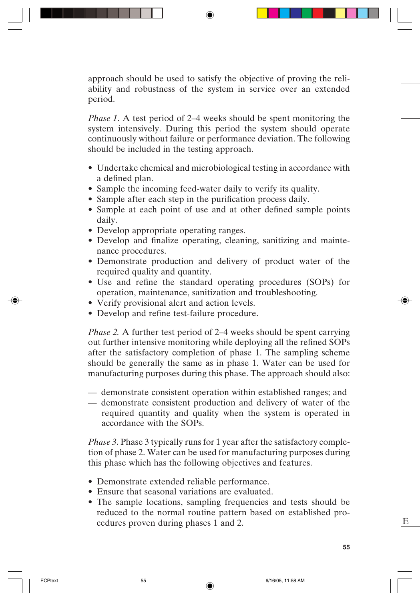approach should be used to satisfy the objective of proving the reliability and robustness of the system in service over an extended period.

*Phase 1*. A test period of 2–4 weeks should be spent monitoring the system intensively. During this period the system should operate continuously without failure or performance deviation. The following should be included in the testing approach.

- Undertake chemical and microbiological testing in accordance with a defined plan.
- Sample the incoming feed-water daily to verify its quality.
- Sample after each step in the purification process daily.
- Sample at each point of use and at other defined sample points daily.
- Develop appropriate operating ranges.
- Develop and finalize operating, cleaning, sanitizing and maintenance procedures.
- Demonstrate production and delivery of product water of the required quality and quantity.
- Use and refine the standard operating procedures (SOPs) for operation, maintenance, sanitization and troubleshooting.
- Verify provisional alert and action levels.
- Develop and refine test-failure procedure.

*Phase 2.* A further test period of 2–4 weeks should be spent carrying out further intensive monitoring while deploying all the refined SOPs after the satisfactory completion of phase 1. The sampling scheme should be generally the same as in phase 1. Water can be used for manufacturing purposes during this phase. The approach should also:

- demonstrate consistent operation within established ranges; and
- demonstrate consistent production and delivery of water of the required quantity and quality when the system is operated in accordance with the SOPs.

*Phase 3*. Phase 3 typically runs for 1 year after the satisfactory completion of phase 2. Water can be used for manufacturing purposes during this phase which has the following objectives and features.

- Demonstrate extended reliable performance.
- Ensure that seasonal variations are evaluated.
- The sample locations, sampling frequencies and tests should be reduced to the normal routine pattern based on established procedures proven during phases 1 and 2.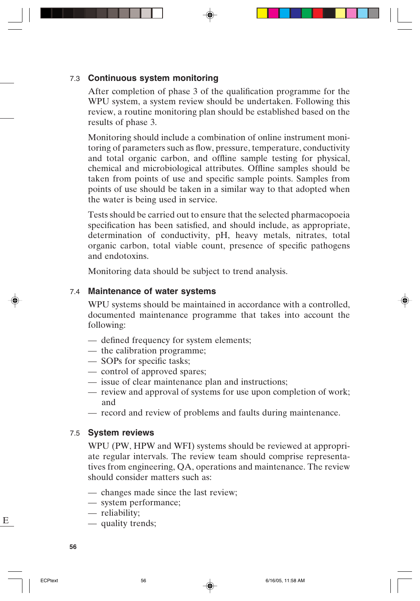# 7.3 **Continuous system monitoring**

After completion of phase 3 of the qualification programme for the WPU system, a system review should be undertaken. Following this review, a routine monitoring plan should be established based on the results of phase 3.

Monitoring should include a combination of online instrument monitoring of parameters such as flow, pressure, temperature, conductivity and total organic carbon, and offline sample testing for physical, chemical and microbiological attributes. Offline samples should be taken from points of use and specific sample points. Samples from points of use should be taken in a similar way to that adopted when the water is being used in service.

Tests should be carried out to ensure that the selected pharmacopoeia specification has been satisfied, and should include, as appropriate, determination of conductivity, pH, heavy metals, nitrates, total organic carbon, total viable count, presence of specific pathogens and endotoxins.

Monitoring data should be subject to trend analysis.

#### 7.4 **Maintenance of water systems**

WPU systems should be maintained in accordance with a controlled, documented maintenance programme that takes into account the following:

- defined frequency for system elements;
- the calibration programme;
- SOPs for specific tasks;
- control of approved spares;
- issue of clear maintenance plan and instructions;
- review and approval of systems for use upon completion of work; and
- record and review of problems and faults during maintenance.

#### 7.5 **System reviews**

WPU (PW, HPW and WFI) systems should be reviewed at appropriate regular intervals. The review team should comprise representatives from engineering, QA, operations and maintenance. The review should consider matters such as:

- changes made since the last review;
- system performance;
- reliability;
- quality trends;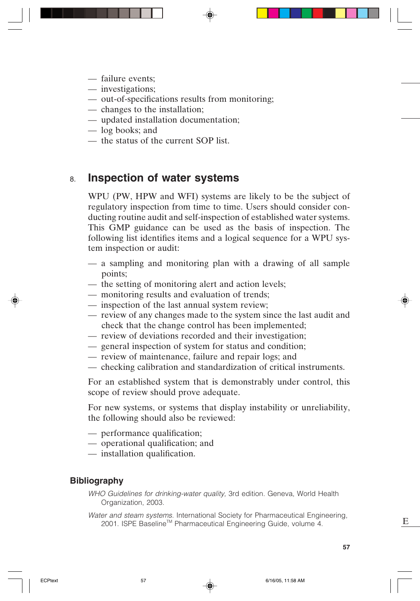- failure events;
- investigations;
- out-of-specifications results from monitoring;
- changes to the installation;
- updated installation documentation;
- log books; and
- the status of the current SOP list.

# 8. **Inspection of water systems**

WPU (PW, HPW and WFI) systems are likely to be the subject of regulatory inspection from time to time. Users should consider conducting routine audit and self-inspection of established water systems. This GMP guidance can be used as the basis of inspection. The following list identifies items and a logical sequence for a WPU system inspection or audit:

- a sampling and monitoring plan with a drawing of all sample points;
- the setting of monitoring alert and action levels;
- monitoring results and evaluation of trends;
- inspection of the last annual system review;
- review of any changes made to the system since the last audit and check that the change control has been implemented;
- review of deviations recorded and their investigation;
- general inspection of system for status and condition;
- review of maintenance, failure and repair logs; and
- checking calibration and standardization of critical instruments.

For an established system that is demonstrably under control, this scope of review should prove adequate.

For new systems, or systems that display instability or unreliability, the following should also be reviewed:

- performance qualification;
- operational qualification; and
- installation qualification.

### **Bibliography**

WHO Guidelines for drinking-water quality, 3rd edition. Geneva, World Health Organization, 2003.

Water and steam systems. International Society for Pharmaceutical Engineering, 2001. ISPE Baseline<sup>™</sup> Pharmaceutical Engineering Guide, volume 4.

**57**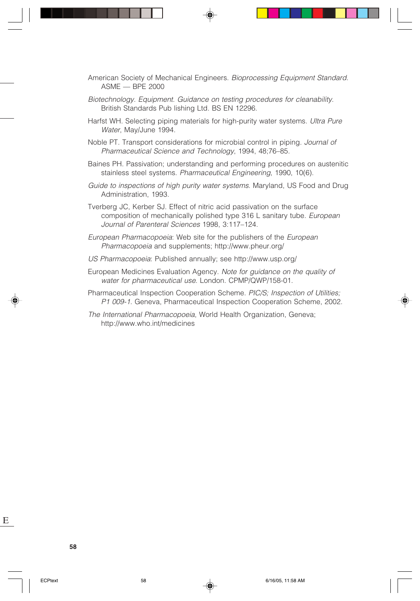- American Society of Mechanical Engineers. Bioprocessing Equipment Standard. ASME — BPE 2000
- Biotechnology. Equipment. Guidance on testing procedures for cleanability. British Standards Pub lishing Ltd. BS EN 12296.
- Harfst WH. Selecting piping materials for high-purity water systems. Ultra Pure Water, May/June 1994.
- Noble PT. Transport considerations for microbial control in piping. Journal of Pharmaceutical Science and Technology, 1994, 48;76–85.
- Baines PH. Passivation; understanding and performing procedures on austenitic stainless steel systems. Pharmaceutical Engineering, 1990, 10(6).
- Guide to inspections of high purity water systems. Maryland, US Food and Drug Administration, 1993.
- Tverberg JC, Kerber SJ. Effect of nitric acid passivation on the surface composition of mechanically polished type 316 L sanitary tube. European Journal of Parenteral Sciences 1998, 3:117–124.
- European Pharmacopoeia: Web site for the publishers of the European Pharmacopoeia and supplements; http://www.pheur.org/
- US Pharmacopoeia: Published annually; see http://www.usp.org/
- European Medicines Evaluation Agency. Note for guidance on the quality of water for pharmaceutical use. London. CPMP/QWP/158-01.
- Pharmaceutical Inspection Cooperation Scheme. PIC/S; Inspection of Utilities; P1 009-1. Geneva, Pharmaceutical Inspection Cooperation Scheme, 2002.
- The International Pharmacopoeia, World Health Organization, Geneva; http://www.who.int/medicines

**58**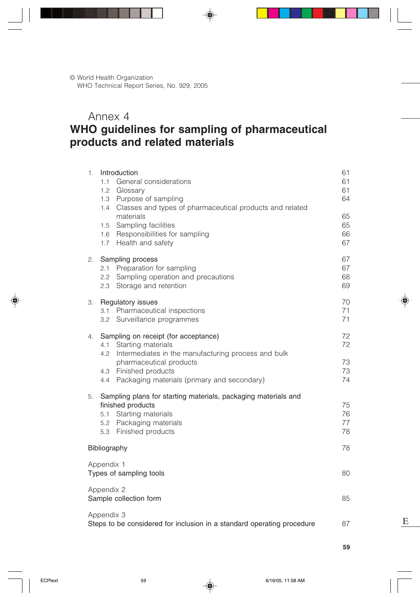© World Health Organization WHO Technical Report Series, No. 929, 2005

# Annex 4 **WHO guidelines for sampling of pharmaceutical products and related materials**

♠

| 1. |            | Introduction                                                           | 61 |
|----|------------|------------------------------------------------------------------------|----|
|    | 1.1        | General considerations                                                 | 61 |
|    |            | 1.2 Glossary                                                           | 61 |
|    |            | 1.3 Purpose of sampling                                                | 64 |
|    | 1.4        | Classes and types of pharmaceutical products and related<br>materials  | 65 |
|    | 1.5        | Sampling facilities                                                    | 65 |
|    |            | 1.6 Responsibilities for sampling                                      | 66 |
|    |            | 1.7 Health and safety                                                  | 67 |
| 2. |            | Sampling process                                                       | 67 |
|    |            | 2.1 Preparation for sampling                                           | 67 |
|    |            | 2.2 Sampling operation and precautions                                 | 68 |
|    |            | 2.3 Storage and retention                                              | 69 |
|    |            |                                                                        |    |
| 3. |            | Regulatory issues                                                      | 70 |
|    |            | 3.1 Pharmaceutical inspections                                         | 71 |
|    |            | 3.2 Surveillance programmes                                            | 71 |
| 4. |            | Sampling on receipt (for acceptance)                                   | 72 |
|    |            | 4.1 Starting materials                                                 | 72 |
|    | 4.2        | Intermediates in the manufacturing process and bulk                    |    |
|    |            | pharmaceutical products                                                | 73 |
|    |            | 4.3 Finished products                                                  | 73 |
|    |            | 4.4 Packaging materials (primary and secondary)                        | 74 |
| 5. |            | Sampling plans for starting materials, packaging materials and         |    |
|    |            | finished products                                                      | 75 |
|    |            | 5.1 Starting materials                                                 | 76 |
|    |            | 5.2 Packaging materials                                                | 77 |
|    |            | 5.3 Finished products                                                  | 78 |
|    |            |                                                                        |    |
|    |            | Bibliography                                                           | 78 |
|    | Appendix 1 |                                                                        |    |
|    |            | Types of sampling tools                                                | 80 |
|    |            |                                                                        |    |
|    | Appendix 2 |                                                                        |    |
|    |            | Sample collection form                                                 | 85 |
|    | Appendix 3 |                                                                        |    |
|    |            | Steps to be considered for inclusion in a standard operating procedure | 87 |
|    |            |                                                                        |    |
|    |            |                                                                        |    |

**59**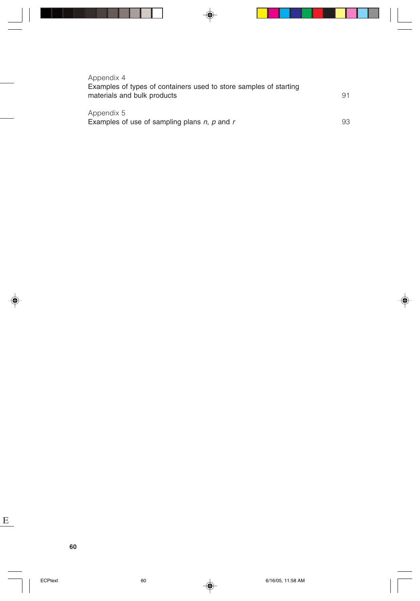| Appendix 4                                                                                       |    |
|--------------------------------------------------------------------------------------------------|----|
| Examples of types of containers used to store samples of starting<br>materials and bulk products | 91 |
| Appendix 5<br>Examples of use of sampling plans $n$ , $p$ and $r$                                | 93 |

 $\spadesuit$ 

 $\Box$ 

 $\bigoplus$ 

 $\overline{\phantom{a}}$ 

a ka

 $E$ 

 $\overline{\bigcirc}$ 

**60**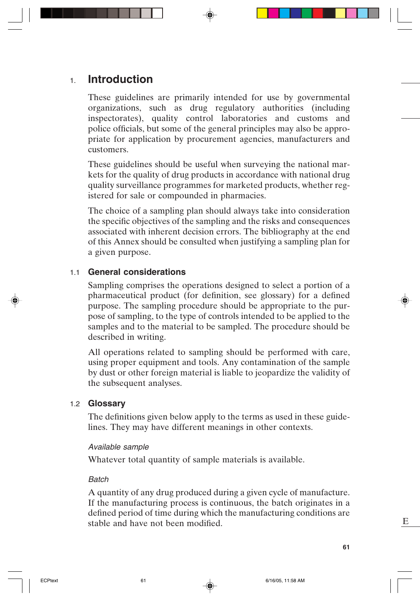# 1. **Introduction**

These guidelines are primarily intended for use by governmental organizations, such as drug regulatory authorities (including inspectorates), quality control laboratories and customs and police officials, but some of the general principles may also be appropriate for application by procurement agencies, manufacturers and customers.

These guidelines should be useful when surveying the national markets for the quality of drug products in accordance with national drug quality surveillance programmes for marketed products, whether registered for sale or compounded in pharmacies.

The choice of a sampling plan should always take into consideration the specific objectives of the sampling and the risks and consequences associated with inherent decision errors. The bibliography at the end of this Annex should be consulted when justifying a sampling plan for a given purpose.

# 1.1 **General considerations**

Sampling comprises the operations designed to select a portion of a pharmaceutical product (for definition, see glossary) for a defined purpose. The sampling procedure should be appropriate to the purpose of sampling, to the type of controls intended to be applied to the samples and to the material to be sampled. The procedure should be described in writing.

All operations related to sampling should be performed with care, using proper equipment and tools. Any contamination of the sample by dust or other foreign material is liable to jeopardize the validity of the subsequent analyses.

# 1.2 **Glossary**

The definitions given below apply to the terms as used in these guidelines. They may have different meanings in other contexts.

#### Available sample

Whatever total quantity of sample materials is available.

#### **Batch**

A quantity of any drug produced during a given cycle of manufacture. If the manufacturing process is continuous, the batch originates in a defined period of time during which the manufacturing conditions are stable and have not been modified.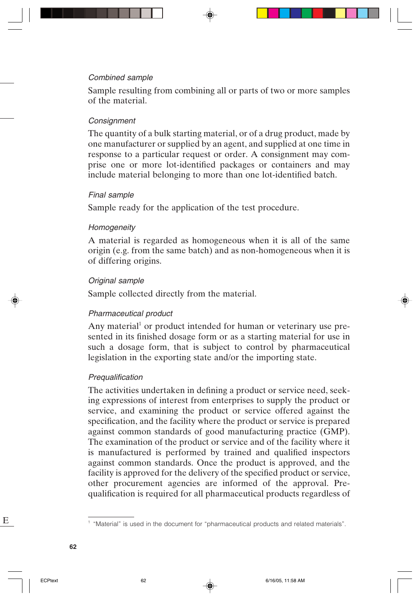#### Combined sample

Sample resulting from combining all or parts of two or more samples of the material.

#### **Consignment**

The quantity of a bulk starting material, or of a drug product, made by one manufacturer or supplied by an agent, and supplied at one time in response to a particular request or order. A consignment may comprise one or more lot-identified packages or containers and may include material belonging to more than one lot-identified batch.

#### Final sample

Sample ready for the application of the test procedure.

#### **Homogeneity**

A material is regarded as homogeneous when it is all of the same origin (e.g. from the same batch) and as non-homogeneous when it is of differing origins.

#### Original sample

Sample collected directly from the material.

#### Pharmaceutical product

Any material<sup>1</sup> or product intended for human or veterinary use presented in its finished dosage form or as a starting material for use in such a dosage form, that is subject to control by pharmaceutical legislation in the exporting state and/or the importing state.

#### **Prequalification**

The activities undertaken in defining a product or service need, seeking expressions of interest from enterprises to supply the product or service, and examining the product or service offered against the specification, and the facility where the product or service is prepared against common standards of good manufacturing practice (GMP). The examination of the product or service and of the facility where it is manufactured is performed by trained and qualified inspectors against common standards. Once the product is approved, and the facility is approved for the delivery of the specified product or service, other procurement agencies are informed of the approval. Prequalification is required for all pharmaceutical products regardless of

<sup>1</sup> "Material" is used in the document for "pharmaceutical products and related materials".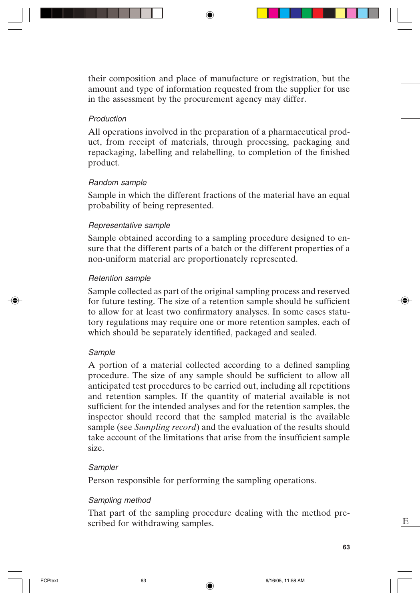their composition and place of manufacture or registration, but the amount and type of information requested from the supplier for use in the assessment by the procurement agency may differ.

### Production

All operations involved in the preparation of a pharmaceutical product, from receipt of materials, through processing, packaging and repackaging, labelling and relabelling, to completion of the finished product.

#### Random sample

Sample in which the different fractions of the material have an equal probability of being represented.

#### Representative sample

Sample obtained according to a sampling procedure designed to ensure that the different parts of a batch or the different properties of a non-uniform material are proportionately represented.

#### Retention sample

Sample collected as part of the original sampling process and reserved for future testing. The size of a retention sample should be sufficient to allow for at least two confirmatory analyses. In some cases statutory regulations may require one or more retention samples, each of which should be separately identified, packaged and sealed.

#### Sample

A portion of a material collected according to a defined sampling procedure. The size of any sample should be sufficient to allow all anticipated test procedures to be carried out, including all repetitions and retention samples. If the quantity of material available is not sufficient for the intended analyses and for the retention samples, the inspector should record that the sampled material is the available sample (see *Sampling record*) and the evaluation of the results should take account of the limitations that arise from the insufficient sample size.

#### **Sampler**

Person responsible for performing the sampling operations.

#### Sampling method

That part of the sampling procedure dealing with the method prescribed for withdrawing samples.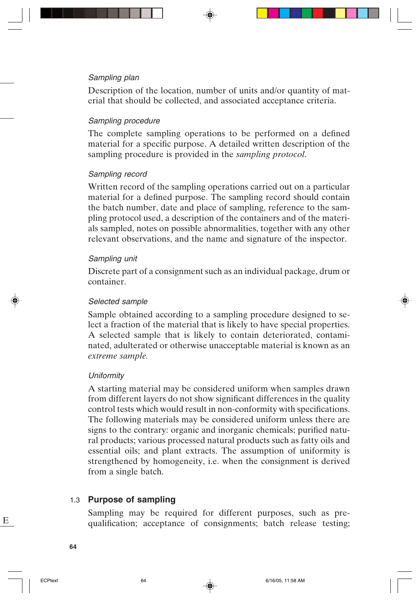#### Sampling plan

Description of the location, number of units and/or quantity of material that should be collected, and associated acceptance criteria.

#### Sampling procedure

The complete sampling operations to be performed on a defined material for a specific purpose. A detailed written description of the sampling procedure is provided in the *sampling protocol*.

#### Sampling record

Written record of the sampling operations carried out on a particular material for a defined purpose. The sampling record should contain the batch number, date and place of sampling, reference to the sampling protocol used, a description of the containers and of the materials sampled, notes on possible abnormalities, together with any other relevant observations, and the name and signature of the inspector.

#### Sampling unit

Discrete part of a consignment such as an individual package, drum or container.

#### Selected sample

Sample obtained according to a sampling procedure designed to select a fraction of the material that is likely to have special properties. A selected sample that is likely to contain deteriorated, contaminated, adulterated or otherwise unacceptable material is known as an *extreme sample.*

#### **Uniformity**

A starting material may be considered uniform when samples drawn from different layers do not show significant differences in the quality control tests which would result in non-conformity with specifications. The following materials may be considered uniform unless there are signs to the contrary: organic and inorganic chemicals; purified natural products; various processed natural products such as fatty oils and essential oils; and plant extracts. The assumption of uniformity is strengthened by homogeneity, i.e. when the consignment is derived from a single batch.

### 1.3 **Purpose of sampling**

Sampling may be required for different purposes, such as prequalification; acceptance of consignments; batch release testing;

**64**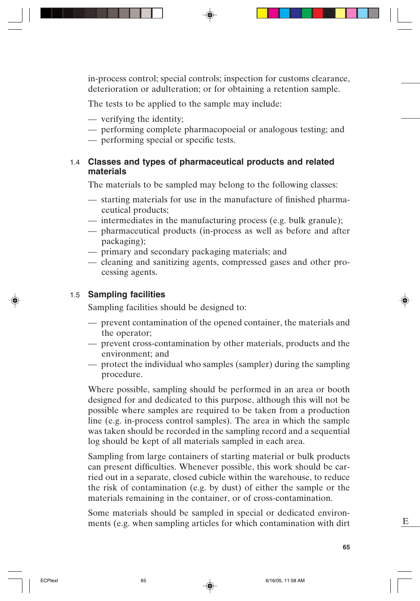in-process control; special controls; inspection for customs clearance, deterioration or adulteration; or for obtaining a retention sample.

The tests to be applied to the sample may include:

- verifying the identity;
- performing complete pharmacopoeial or analogous testing; and
- performing special or specific tests.

# 1.4 **Classes and types of pharmaceutical products and related materials**

The materials to be sampled may belong to the following classes:

- starting materials for use in the manufacture of finished pharmaceutical products;
- intermediates in the manufacturing process (e.g. bulk granule);
- pharmaceutical products (in-process as well as before and after packaging);
- primary and secondary packaging materials; and
- cleaning and sanitizing agents, compressed gases and other processing agents.

## 1.5 **Sampling facilities**

Sampling facilities should be designed to:

- prevent contamination of the opened container, the materials and the operator;
- prevent cross-contamination by other materials, products and the environment; and
- protect the individual who samples (sampler) during the sampling procedure.

Where possible, sampling should be performed in an area or booth designed for and dedicated to this purpose, although this will not be possible where samples are required to be taken from a production line (e.g. in-process control samples). The area in which the sample was taken should be recorded in the sampling record and a sequential log should be kept of all materials sampled in each area.

Sampling from large containers of starting material or bulk products can present difficulties. Whenever possible, this work should be carried out in a separate, closed cubicle within the warehouse, to reduce the risk of contamination (e.g. by dust) of either the sample or the materials remaining in the container, or of cross-contamination.

Some materials should be sampled in special or dedicated environments (e.g. when sampling articles for which contamination with dirt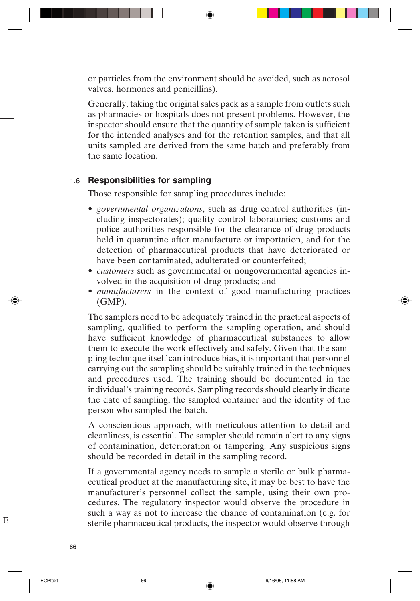or particles from the environment should be avoided, such as aerosol valves, hormones and penicillins).

Generally, taking the original sales pack as a sample from outlets such as pharmacies or hospitals does not present problems. However, the inspector should ensure that the quantity of sample taken is sufficient for the intended analyses and for the retention samples, and that all units sampled are derived from the same batch and preferably from the same location.

# 1.6 **Responsibilities for sampling**

Those responsible for sampling procedures include:

- *governmental organizations*, such as drug control authorities (including inspectorates); quality control laboratories; customs and police authorities responsible for the clearance of drug products held in quarantine after manufacture or importation, and for the detection of pharmaceutical products that have deteriorated or have been contaminated, adulterated or counterfeited;
- *customers* such as governmental or nongovernmental agencies involved in the acquisition of drug products; and
- *manufacturers* in the context of good manufacturing practices (GMP).

The samplers need to be adequately trained in the practical aspects of sampling, qualified to perform the sampling operation, and should have sufficient knowledge of pharmaceutical substances to allow them to execute the work effectively and safely. Given that the sampling technique itself can introduce bias, it is important that personnel carrying out the sampling should be suitably trained in the techniques and procedures used. The training should be documented in the individual's training records. Sampling records should clearly indicate the date of sampling, the sampled container and the identity of the person who sampled the batch.

A conscientious approach, with meticulous attention to detail and cleanliness, is essential. The sampler should remain alert to any signs of contamination, deterioration or tampering. Any suspicious signs should be recorded in detail in the sampling record.

If a governmental agency needs to sample a sterile or bulk pharmaceutical product at the manufacturing site, it may be best to have the manufacturer's personnel collect the sample, using their own procedures. The regulatory inspector would observe the procedure in such a way as not to increase the chance of contamination (e.g. for sterile pharmaceutical products, the inspector would observe through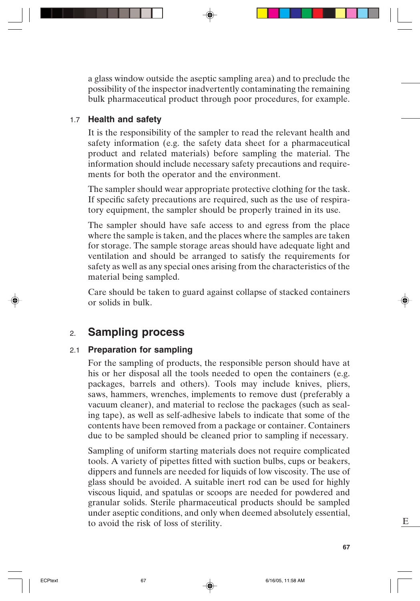a glass window outside the aseptic sampling area) and to preclude the possibility of the inspector inadvertently contaminating the remaining bulk pharmaceutical product through poor procedures, for example.

# 1.7 **Health and safety**

It is the responsibility of the sampler to read the relevant health and safety information (e.g. the safety data sheet for a pharmaceutical product and related materials) before sampling the material. The information should include necessary safety precautions and requirements for both the operator and the environment.

The sampler should wear appropriate protective clothing for the task. If specific safety precautions are required, such as the use of respiratory equipment, the sampler should be properly trained in its use.

The sampler should have safe access to and egress from the place where the sample is taken, and the places where the samples are taken for storage. The sample storage areas should have adequate light and ventilation and should be arranged to satisfy the requirements for safety as well as any special ones arising from the characteristics of the material being sampled.

Care should be taken to guard against collapse of stacked containers or solids in bulk.

# 2. **Sampling process**

## 2.1 **Preparation for sampling**

For the sampling of products, the responsible person should have at his or her disposal all the tools needed to open the containers (e.g. packages, barrels and others). Tools may include knives, pliers, saws, hammers, wrenches, implements to remove dust (preferably a vacuum cleaner), and material to reclose the packages (such as sealing tape), as well as self-adhesive labels to indicate that some of the contents have been removed from a package or container. Containers due to be sampled should be cleaned prior to sampling if necessary.

Sampling of uniform starting materials does not require complicated tools. A variety of pipettes fitted with suction bulbs, cups or beakers, dippers and funnels are needed for liquids of low viscosity. The use of glass should be avoided. A suitable inert rod can be used for highly viscous liquid, and spatulas or scoops are needed for powdered and granular solids. Sterile pharmaceutical products should be sampled under aseptic conditions, and only when deemed absolutely essential, to avoid the risk of loss of sterility.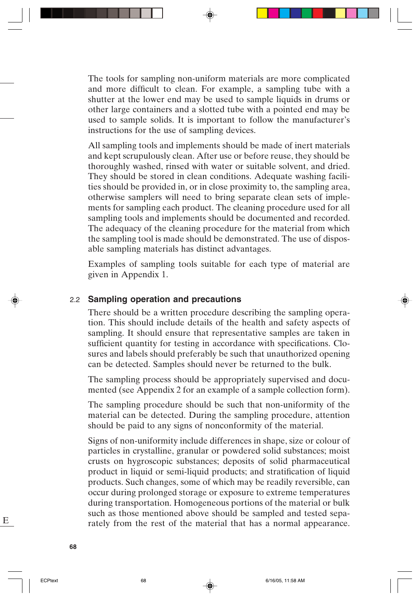The tools for sampling non-uniform materials are more complicated and more difficult to clean. For example, a sampling tube with a shutter at the lower end may be used to sample liquids in drums or other large containers and a slotted tube with a pointed end may be used to sample solids. It is important to follow the manufacturer's instructions for the use of sampling devices.

All sampling tools and implements should be made of inert materials and kept scrupulously clean. After use or before reuse, they should be thoroughly washed, rinsed with water or suitable solvent, and dried. They should be stored in clean conditions. Adequate washing facilities should be provided in, or in close proximity to, the sampling area, otherwise samplers will need to bring separate clean sets of implements for sampling each product. The cleaning procedure used for all sampling tools and implements should be documented and recorded. The adequacy of the cleaning procedure for the material from which the sampling tool is made should be demonstrated. The use of disposable sampling materials has distinct advantages.

Examples of sampling tools suitable for each type of material are given in Appendix 1.

## 2.2 **Sampling operation and precautions**

There should be a written procedure describing the sampling operation. This should include details of the health and safety aspects of sampling. It should ensure that representative samples are taken in sufficient quantity for testing in accordance with specifications. Closures and labels should preferably be such that unauthorized opening can be detected. Samples should never be returned to the bulk.

The sampling process should be appropriately supervised and documented (see Appendix 2 for an example of a sample collection form).

The sampling procedure should be such that non-uniformity of the material can be detected. During the sampling procedure, attention should be paid to any signs of nonconformity of the material.

Signs of non-uniformity include differences in shape, size or colour of particles in crystalline, granular or powdered solid substances; moist crusts on hygroscopic substances; deposits of solid pharmaceutical product in liquid or semi-liquid products; and stratification of liquid products. Such changes, some of which may be readily reversible, can occur during prolonged storage or exposure to extreme temperatures during transportation. Homogeneous portions of the material or bulk such as those mentioned above should be sampled and tested separately from the rest of the material that has a normal appearance.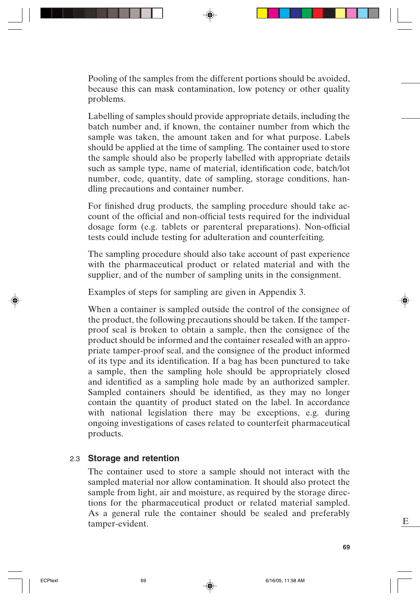Pooling of the samples from the different portions should be avoided, because this can mask contamination, low potency or other quality problems.

Labelling of samples should provide appropriate details, including the batch number and, if known, the container number from which the sample was taken, the amount taken and for what purpose. Labels should be applied at the time of sampling. The container used to store the sample should also be properly labelled with appropriate details such as sample type, name of material, identification code, batch/lot number, code, quantity, date of sampling, storage conditions, handling precautions and container number.

For finished drug products, the sampling procedure should take account of the official and non-official tests required for the individual dosage form (e.g. tablets or parenteral preparations). Non-official tests could include testing for adulteration and counterfeiting*.*

The sampling procedure should also take account of past experience with the pharmaceutical product or related material and with the supplier, and of the number of sampling units in the consignment.

Examples of steps for sampling are given in Appendix 3.

When a container is sampled outside the control of the consignee of the product, the following precautions should be taken. If the tamperproof seal is broken to obtain a sample, then the consignee of the product should be informed and the container resealed with an appropriate tamper-proof seal, and the consignee of the product informed of its type and its identification. If a bag has been punctured to take a sample, then the sampling hole should be appropriately closed and identified as a sampling hole made by an authorized sampler. Sampled containers should be identified, as they may no longer contain the quantity of product stated on the label. In accordance with national legislation there may be exceptions, e.g. during ongoing investigations of cases related to counterfeit pharmaceutical products.

# 2.3 **Storage and retention**

The container used to store a sample should not interact with the sampled material nor allow contamination. It should also protect the sample from light, air and moisture, as required by the storage directions for the pharmaceutical product or related material sampled. As a general rule the container should be sealed and preferably tamper-evident.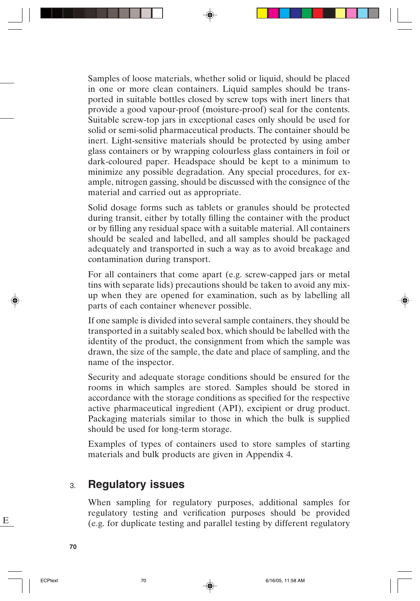Samples of loose materials, whether solid or liquid, should be placed in one or more clean containers. Liquid samples should be transported in suitable bottles closed by screw tops with inert liners that provide a good vapour-proof (moisture-proof) seal for the contents. Suitable screw-top jars in exceptional cases only should be used for solid or semi-solid pharmaceutical products. The container should be inert. Light-sensitive materials should be protected by using amber glass containers or by wrapping colourless glass containers in foil or dark-coloured paper. Headspace should be kept to a minimum to minimize any possible degradation. Any special procedures, for example, nitrogen gassing, should be discussed with the consignee of the material and carried out as appropriate.

Solid dosage forms such as tablets or granules should be protected during transit, either by totally filling the container with the product or by filling any residual space with a suitable material. All containers should be sealed and labelled, and all samples should be packaged adequately and transported in such a way as to avoid breakage and contamination during transport.

For all containers that come apart (e.g. screw-capped jars or metal tins with separate lids) precautions should be taken to avoid any mixup when they are opened for examination, such as by labelling all parts of each container whenever possible.

If one sample is divided into several sample containers, they should be transported in a suitably sealed box, which should be labelled with the identity of the product, the consignment from which the sample was drawn, the size of the sample, the date and place of sampling, and the name of the inspector.

Security and adequate storage conditions should be ensured for the rooms in which samples are stored. Samples should be stored in accordance with the storage conditions as specified for the respective active pharmaceutical ingredient (API), excipient or drug product. Packaging materials similar to those in which the bulk is supplied should be used for long-term storage.

Examples of types of containers used to store samples of starting materials and bulk products are given in Appendix 4.

# 3. **Regulatory issues**

When sampling for regulatory purposes, additional samples for regulatory testing and verification purposes should be provided (e.g. for duplicate testing and parallel testing by different regulatory

**70**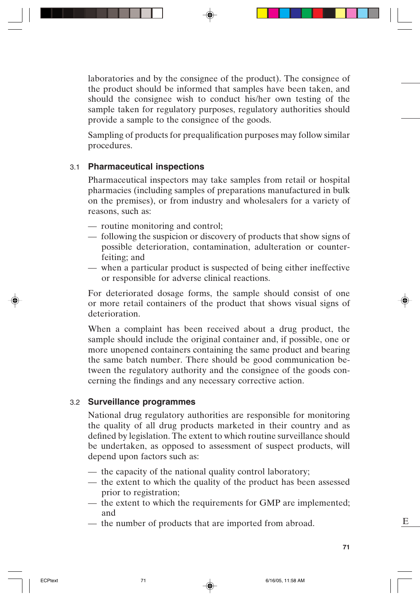laboratories and by the consignee of the product). The consignee of the product should be informed that samples have been taken, and should the consignee wish to conduct his/her own testing of the sample taken for regulatory purposes, regulatory authorities should provide a sample to the consignee of the goods.

Sampling of products for prequalification purposes may follow similar procedures.

# 3.1 **Pharmaceutical inspections**

Pharmaceutical inspectors may take samples from retail or hospital pharmacies (including samples of preparations manufactured in bulk on the premises), or from industry and wholesalers for a variety of reasons, such as:

- routine monitoring and control;
- following the suspicion or discovery of products that show signs of possible deterioration, contamination, adulteration or counterfeiting; and
- when a particular product is suspected of being either ineffective or responsible for adverse clinical reactions.

For deteriorated dosage forms, the sample should consist of one or more retail containers of the product that shows visual signs of deterioration.

When a complaint has been received about a drug product, the sample should include the original container and, if possible, one or more unopened containers containing the same product and bearing the same batch number. There should be good communication between the regulatory authority and the consignee of the goods concerning the findings and any necessary corrective action.

#### 3.2 **Surveillance programmes**

National drug regulatory authorities are responsible for monitoring the quality of all drug products marketed in their country and as defined by legislation. The extent to which routine surveillance should be undertaken, as opposed to assessment of suspect products, will depend upon factors such as:

- the capacity of the national quality control laboratory;
- the extent to which the quality of the product has been assessed prior to registration;
- the extent to which the requirements for GMP are implemented; and
- the number of products that are imported from abroad.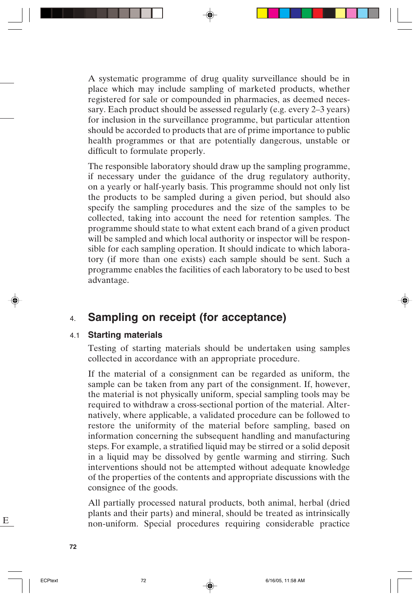A systematic programme of drug quality surveillance should be in place which may include sampling of marketed products, whether registered for sale or compounded in pharmacies, as deemed necessary. Each product should be assessed regularly (e.g. every 2–3 years) for inclusion in the surveillance programme, but particular attention should be accorded to products that are of prime importance to public health programmes or that are potentially dangerous, unstable or difficult to formulate properly.

The responsible laboratory should draw up the sampling programme, if necessary under the guidance of the drug regulatory authority, on a yearly or half-yearly basis. This programme should not only list the products to be sampled during a given period, but should also specify the sampling procedures and the size of the samples to be collected, taking into account the need for retention samples. The programme should state to what extent each brand of a given product will be sampled and which local authority or inspector will be responsible for each sampling operation. It should indicate to which laboratory (if more than one exists) each sample should be sent. Such a programme enables the facilities of each laboratory to be used to best advantage.

# 4. **Sampling on receipt (for acceptance)**

## 4.1 **Starting materials**

Testing of starting materials should be undertaken using samples collected in accordance with an appropriate procedure.

If the material of a consignment can be regarded as uniform, the sample can be taken from any part of the consignment. If, however, the material is not physically uniform, special sampling tools may be required to withdraw a cross-sectional portion of the material. Alternatively, where applicable, a validated procedure can be followed to restore the uniformity of the material before sampling, based on information concerning the subsequent handling and manufacturing steps. For example, a stratified liquid may be stirred or a solid deposit in a liquid may be dissolved by gentle warming and stirring. Such interventions should not be attempted without adequate knowledge of the properties of the contents and appropriate discussions with the consignee of the goods.

All partially processed natural products, both animal, herbal (dried plants and their parts) and mineral, should be treated as intrinsically non-uniform. Special procedures requiring considerable practice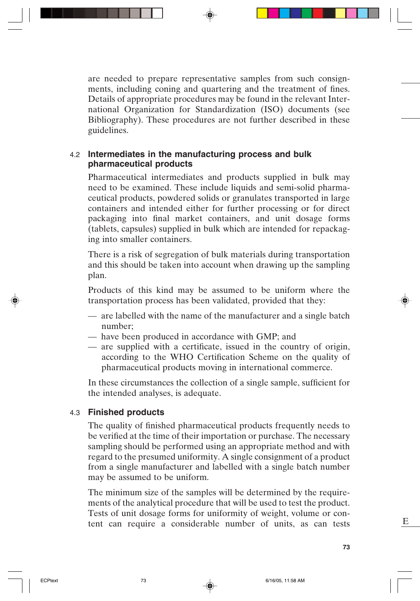are needed to prepare representative samples from such consignments, including coning and quartering and the treatment of fines. Details of appropriate procedures may be found in the relevant International Organization for Standardization (ISO) documents (see Bibliography). These procedures are not further described in these guidelines.

# 4.2 **Intermediates in the manufacturing process and bulk pharmaceutical products**

Pharmaceutical intermediates and products supplied in bulk may need to be examined. These include liquids and semi-solid pharmaceutical products, powdered solids or granulates transported in large containers and intended either for further processing or for direct packaging into final market containers, and unit dosage forms (tablets, capsules) supplied in bulk which are intended for repackaging into smaller containers.

There is a risk of segregation of bulk materials during transportation and this should be taken into account when drawing up the sampling plan.

Products of this kind may be assumed to be uniform where the transportation process has been validated, provided that they:

- are labelled with the name of the manufacturer and a single batch number;
- have been produced in accordance with GMP; and
- are supplied with a certificate, issued in the country of origin, according to the WHO Certification Scheme on the quality of pharmaceutical products moving in international commerce.

In these circumstances the collection of a single sample, sufficient for the intended analyses, is adequate.

## 4.3 **Finished products**

The quality of finished pharmaceutical products frequently needs to be verified at the time of their importation or purchase. The necessary sampling should be performed using an appropriate method and with regard to the presumed uniformity. A single consignment of a product from a single manufacturer and labelled with a single batch number may be assumed to be uniform.

The minimum size of the samples will be determined by the requirements of the analytical procedure that will be used to test the product. Tests of unit dosage forms for uniformity of weight, volume or content can require a considerable number of units, as can tests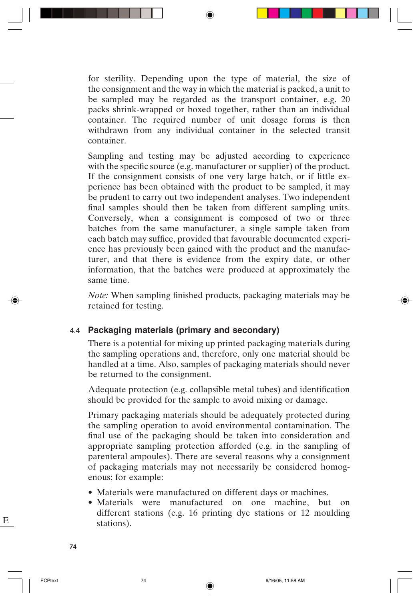for sterility. Depending upon the type of material, the size of the consignment and the way in which the material is packed, a unit to be sampled may be regarded as the transport container, e.g. 20 packs shrink-wrapped or boxed together, rather than an individual container. The required number of unit dosage forms is then withdrawn from any individual container in the selected transit container.

Sampling and testing may be adjusted according to experience with the specific source (e.g. manufacturer or supplier) of the product. If the consignment consists of one very large batch, or if little experience has been obtained with the product to be sampled, it may be prudent to carry out two independent analyses. Two independent final samples should then be taken from different sampling units. Conversely, when a consignment is composed of two or three batches from the same manufacturer, a single sample taken from each batch may suffice, provided that favourable documented experience has previously been gained with the product and the manufacturer, and that there is evidence from the expiry date, or other information, that the batches were produced at approximately the same time.

*Note:* When sampling finished products, packaging materials may be retained for testing.

# 4.4 **Packaging materials (primary and secondary)**

There is a potential for mixing up printed packaging materials during the sampling operations and, therefore, only one material should be handled at a time. Also, samples of packaging materials should never be returned to the consignment.

Adequate protection (e.g. collapsible metal tubes) and identification should be provided for the sample to avoid mixing or damage.

Primary packaging materials should be adequately protected during the sampling operation to avoid environmental contamination. The final use of the packaging should be taken into consideration and appropriate sampling protection afforded (e.g. in the sampling of parenteral ampoules). There are several reasons why a consignment of packaging materials may not necessarily be considered homogenous; for example:

- Materials were manufactured on different days or machines.
- Materials were manufactured on one machine, but on different stations (e.g. 16 printing dye stations or 12 moulding stations).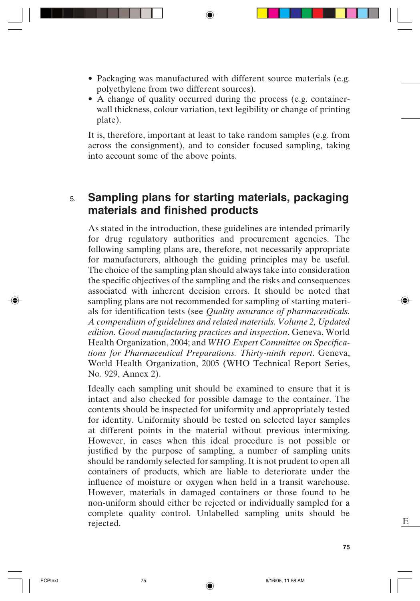- Packaging was manufactured with different source materials (e.g. polyethylene from two different sources).
- A change of quality occurred during the process (e.g. containerwall thickness, colour variation, text legibility or change of printing plate).

It is, therefore, important at least to take random samples (e.g. from across the consignment), and to consider focused sampling, taking into account some of the above points.

# 5. **Sampling plans for starting materials, packaging materials and finished products**

As stated in the introduction, these guidelines are intended primarily for drug regulatory authorities and procurement agencies. The following sampling plans are, therefore, not necessarily appropriate for manufacturers, although the guiding principles may be useful. The choice of the sampling plan should always take into consideration the specific objectives of the sampling and the risks and consequences associated with inherent decision errors. It should be noted that sampling plans are not recommended for sampling of starting materials for identification tests (see *Quality assurance of pharmaceuticals. A compendium of guidelines and related materials. Volume 2, Updated edition. Good manufacturing practices and inspection*. Geneva, World Health Organization, 2004; and *WHO Expert Committee on Specifications for Pharmaceutical Preparations. Thirty-ninth report*. Geneva, World Health Organization, 2005 (WHO Technical Report Series, No. 929, Annex 2).

Ideally each sampling unit should be examined to ensure that it is intact and also checked for possible damage to the container. The contents should be inspected for uniformity and appropriately tested for identity. Uniformity should be tested on selected layer samples at different points in the material without previous intermixing. However, in cases when this ideal procedure is not possible or justified by the purpose of sampling, a number of sampling units should be randomly selected for sampling. It is not prudent to open all containers of products, which are liable to deteriorate under the influence of moisture or oxygen when held in a transit warehouse. However, materials in damaged containers or those found to be non-uniform should either be rejected or individually sampled for a complete quality control. Unlabelled sampling units should be rejected.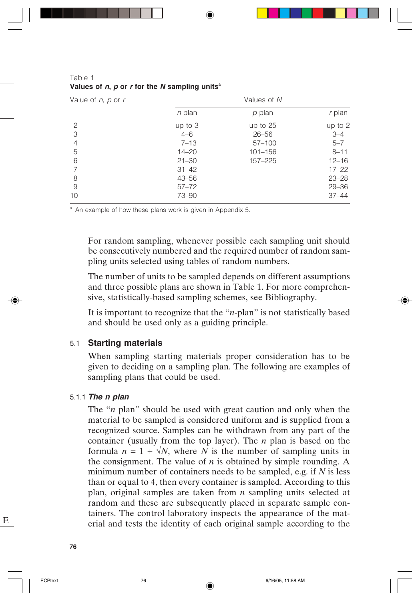| Value of $n$ , $p$ or $r$ |           | Values of N |           |  |
|---------------------------|-----------|-------------|-----------|--|
|                           | n plan    | p plan      | r plan    |  |
| $\overline{2}$            | up to $3$ | up to $25$  | up to 2   |  |
| 3                         | $4 - 6$   | $26 - 56$   | $3 - 4$   |  |
| $\overline{4}$            | $7 - 13$  | $57 - 100$  | $5 - 7$   |  |
| 5                         | $14 - 20$ | $101 - 156$ | $8 - 11$  |  |
| 6                         | $21 - 30$ | 157-225     | $12 - 16$ |  |
|                           | $31 - 42$ |             | $17 - 22$ |  |
| 8                         | $43 - 56$ |             | $23 - 28$ |  |
| 9                         | $57 - 72$ |             | $29 - 36$ |  |
| 10                        | 73-90     |             | $37 - 44$ |  |

#### Table 1 **Values of n, p or r for the N sampling units**<sup>a</sup>

<sup>a</sup> An example of how these plans work is given in Appendix 5.

For random sampling, whenever possible each sampling unit should be consecutively numbered and the required number of random sampling units selected using tables of random numbers.

The number of units to be sampled depends on different assumptions and three possible plans are shown in Table 1. For more comprehensive, statistically-based sampling schemes, see Bibliography.

It is important to recognize that the "*n*-plan" is not statistically based and should be used only as a guiding principle.

## 5.1 **Starting materials**

When sampling starting materials proper consideration has to be given to deciding on a sampling plan. The following are examples of sampling plans that could be used.

## 5.1.1 **The n plan**

The "*n* plan" should be used with great caution and only when the material to be sampled is considered uniform and is supplied from a recognized source. Samples can be withdrawn from any part of the container (usually from the top layer). The *n* plan is based on the formula  $n = 1 + \sqrt{N}$ , where *N* is the number of sampling units in the consignment. The value of *n* is obtained by simple rounding. A minimum number of containers needs to be sampled, e.g. if *N* is less than or equal to 4, then every container is sampled. According to this plan, original samples are taken from *n* sampling units selected at random and these are subsequently placed in separate sample containers. The control laboratory inspects the appearance of the material and tests the identity of each original sample according to the

**76**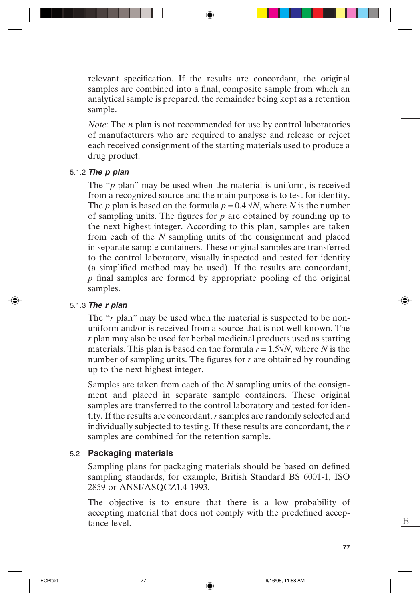relevant specification. If the results are concordant, the original samples are combined into a final, composite sample from which an analytical sample is prepared, the remainder being kept as a retention sample.

*Note*: The *n* plan is not recommended for use by control laboratories of manufacturers who are required to analyse and release or reject each received consignment of the starting materials used to produce a drug product.

#### 5.1.2 **The p plan**

The "*p* plan" may be used when the material is uniform, is received from a recognized source and the main purpose is to test for identity. The *p* plan is based on the formula  $p = 0.4 \sqrt{N}$ , where *N* is the number of sampling units. The figures for *p* are obtained by rounding up to the next highest integer. According to this plan, samples are taken from each of the *N* sampling units of the consignment and placed in separate sample containers. These original samples are transferred to the control laboratory, visually inspected and tested for identity (a simplified method may be used). If the results are concordant, *p* final samples are formed by appropriate pooling of the original samples.

#### 5.1.3 **The r plan**

The "*r* plan" may be used when the material is suspected to be nonuniform and/or is received from a source that is not well known. The *r* plan may also be used for herbal medicinal products used as starting materials. This plan is based on the formula  $r = 1.5\sqrt{N}$ , where *N* is the number of sampling units. The figures for *r* are obtained by rounding up to the next highest integer.

Samples are taken from each of the *N* sampling units of the consignment and placed in separate sample containers. These original samples are transferred to the control laboratory and tested for identity. If the results are concordant, *r* samples are randomly selected and individually subjected to testing. If these results are concordant, the *r* samples are combined for the retention sample.

#### 5.2 **Packaging materials**

Sampling plans for packaging materials should be based on defined sampling standards, for example, British Standard BS 6001-1, ISO 2859 or ANSI/ASQCZ1.4-1993.

The objective is to ensure that there is a low probability of accepting material that does not comply with the predefined acceptance level.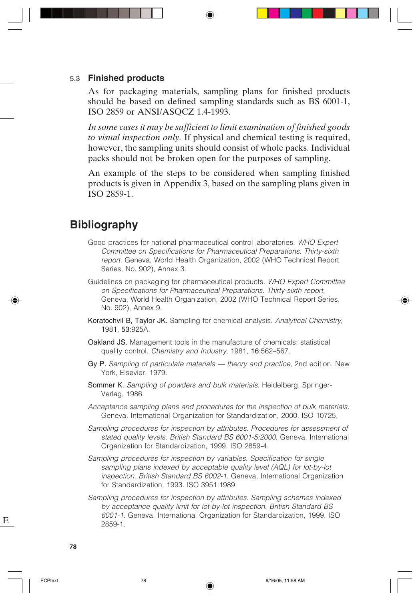## 5.3 **Finished products**

As for packaging materials, sampling plans for finished products should be based on defined sampling standards such as BS 6001-1, ISO 2859 or ANSI/ASQCZ 1.4-1993.

*In some cases it may be sufficient to limit examination of finished goods to visual inspection only.* If physical and chemical testing is required, however, the sampling units should consist of whole packs. Individual packs should not be broken open for the purposes of sampling.

An example of the steps to be considered when sampling finished products is given in Appendix 3, based on the sampling plans given in ISO 2859-1.

# **Bibliography**

- Good practices for national pharmaceutical control laboratories. WHO Expert Committee on Specifications for Pharmaceutical Preparations. Thirty-sixth report. Geneva, World Health Organization, 2002 (WHO Technical Report Series, No. 902), Annex 3.
- Guidelines on packaging for pharmaceutical products. WHO Expert Committee on Specifications for Pharmaceutical Preparations. Thirty-sixth report. Geneva, World Health Organization, 2002 (WHO Technical Report Series, No. 902), Annex 9.
- Koratochvil B, Taylor JK. Sampling for chemical analysis. Analytical Chemistry, 1981, 53:925A.
- Oakland JS. Management tools in the manufacture of chemicals: statistical quality control. Chemistry and Industry, 1981, 16:562–567.
- Gy P. Sampling of particulate materials theory and practice, 2nd edition. New York, Elsevier, 1979.
- Sommer K. Sampling of powders and bulk materials. Heidelberg, Springer-Verlag, 1986.
- Acceptance sampling plans and procedures for the inspection of bulk materials. Geneva, International Organization for Standardization, 2000. ISO 10725.
- Sampling procedures for inspection by attributes. Procedures for assessment of stated quality levels. British Standard BS 6001-5:2000. Geneva, International Organization for Standardization, 1999. ISO 2859-4.
- Sampling procedures for inspection by variables. Specification for single sampling plans indexed by acceptable quality level (AQL) for lot-by-lot inspection. British Standard BS 6002-1. Geneva, International Organization for Standardization, 1993. ISO 3951:1989.
- Sampling procedures for inspection by attributes. Sampling schemes indexed by acceptance quality limit for lot-by-lot inspection. British Standard BS 6001-1. Geneva, International Organization for Standardization, 1999. ISO 2859-1.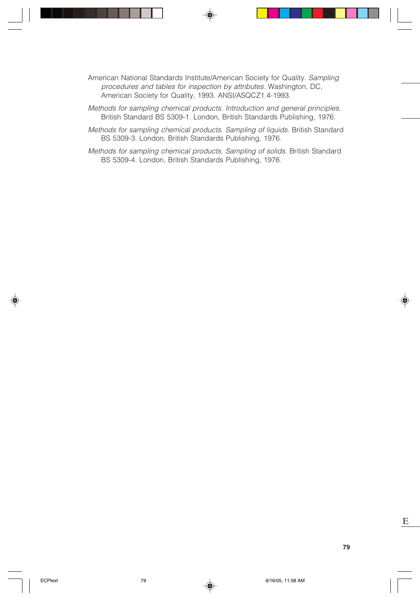- American National Standards Institute/American Society for Quality. Sampling procedures and tables for inspection by attributes. Washington, DC, American Society for Quality, 1993. ANSI/ASQCZ1.4-1993.
- Methods for sampling chemical products. Introduction and general principles. British Standard BS 5309-1. London, British Standards Publishing, 1976.
- Methods for sampling chemical products. Sampling of liquids. British Standard BS 5309-3. London, British Standards Publishing, 1976.
- Methods for sampling chemical products. Sampling of solids. British Standard BS 5309-4. London, British Standards Publishing, 1976.

E

**79**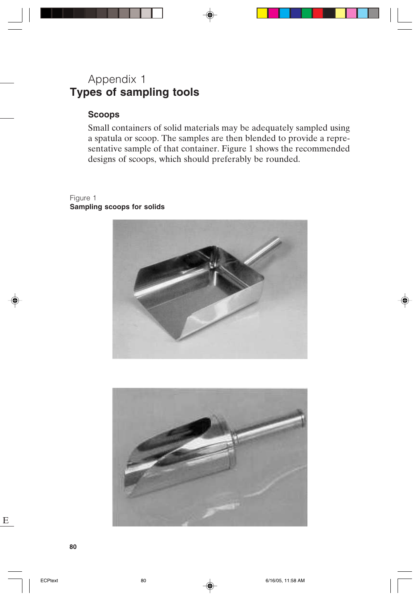# Appendix 1 **Types of sampling tools**

# **Scoops**

Small containers of solid materials may be adequately sampled using a spatula or scoop. The samples are then blended to provide a representative sample of that container. Figure 1 shows the recommended designs of scoops, which should preferably be rounded.

# Figure 1 **Sampling scoops for solids**





**80**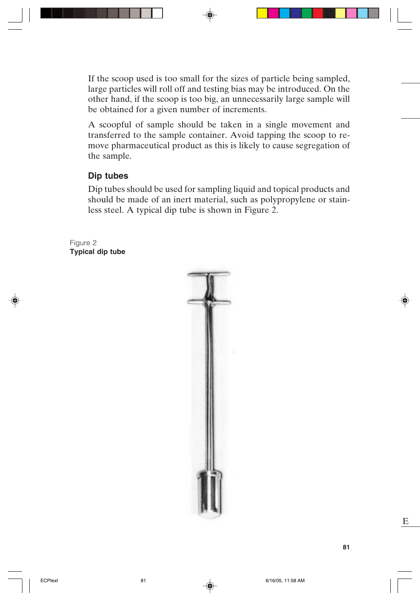If the scoop used is too small for the sizes of particle being sampled, large particles will roll off and testing bias may be introduced. On the other hand, if the scoop is too big, an unnecessarily large sample will be obtained for a given number of increments.

A scoopful of sample should be taken in a single movement and transferred to the sample container. Avoid tapping the scoop to remove pharmaceutical product as this is likely to cause segregation of the sample.

# **Dip tubes**

Dip tubes should be used for sampling liquid and topical products and should be made of an inert material, such as polypropylene or stainless steel. A typical dip tube is shown in Figure 2.



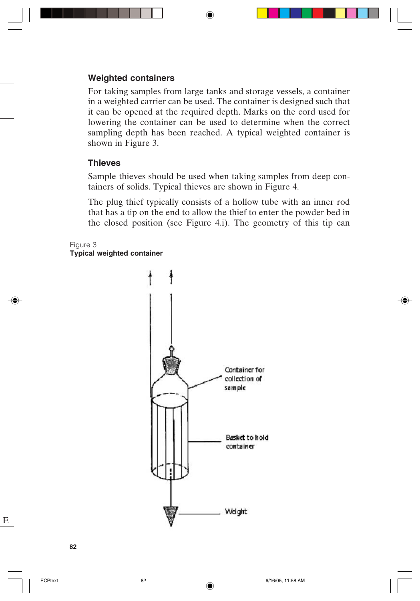# **Weighted containers**

For taking samples from large tanks and storage vessels, a container in a weighted carrier can be used. The container is designed such that it can be opened at the required depth. Marks on the cord used for lowering the container can be used to determine when the correct sampling depth has been reached. A typical weighted container is shown in Figure 3.

# **Thieves**

Sample thieves should be used when taking samples from deep containers of solids. Typical thieves are shown in Figure 4.

The plug thief typically consists of a hollow tube with an inner rod that has a tip on the end to allow the thief to enter the powder bed in the closed position (see Figure 4.i). The geometry of this tip can

## Figure 3 **Typical weighted container**



**82**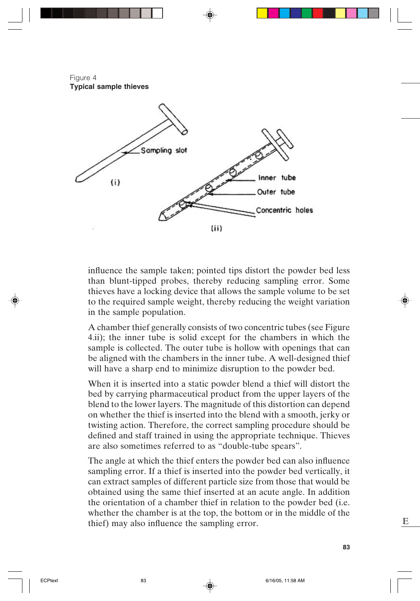

influence the sample taken; pointed tips distort the powder bed less than blunt-tipped probes, thereby reducing sampling error. Some thieves have a locking device that allows the sample volume to be set to the required sample weight, thereby reducing the weight variation in the sample population.

A chamber thief generally consists of two concentric tubes (see Figure 4.ii); the inner tube is solid except for the chambers in which the sample is collected. The outer tube is hollow with openings that can be aligned with the chambers in the inner tube. A well-designed thief will have a sharp end to minimize disruption to the powder bed.

When it is inserted into a static powder blend a thief will distort the bed by carrying pharmaceutical product from the upper layers of the blend to the lower layers. The magnitude of this distortion can depend on whether the thief is inserted into the blend with a smooth, jerky or twisting action. Therefore, the correct sampling procedure should be defined and staff trained in using the appropriate technique. Thieves are also sometimes referred to as "double-tube spears".

The angle at which the thief enters the powder bed can also influence sampling error. If a thief is inserted into the powder bed vertically, it can extract samples of different particle size from those that would be obtained using the same thief inserted at an acute angle. In addition the orientation of a chamber thief in relation to the powder bed (i.e. whether the chamber is at the top, the bottom or in the middle of the thief) may also influence the sampling error.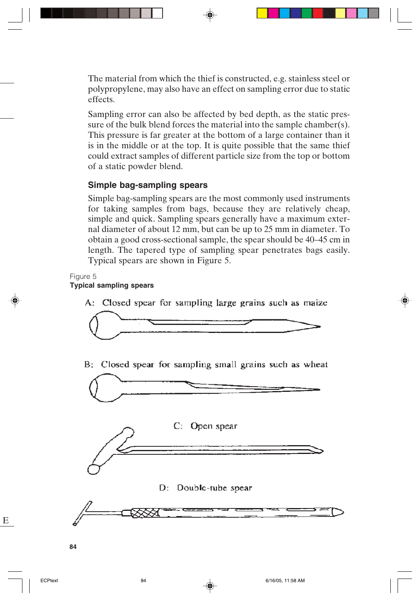The material from which the thief is constructed, e.g. stainless steel or polypropylene, may also have an effect on sampling error due to static effects.

Sampling error can also be affected by bed depth, as the static pressure of the bulk blend forces the material into the sample chamber(s). This pressure is far greater at the bottom of a large container than it is in the middle or at the top. It is quite possible that the same thief could extract samples of different particle size from the top or bottom of a static powder blend.

# **Simple bag-sampling spears**

Simple bag-sampling spears are the most commonly used instruments for taking samples from bags, because they are relatively cheap, simple and quick. Sampling spears generally have a maximum external diameter of about 12 mm, but can be up to 25 mm in diameter. To obtain a good cross-sectional sample, the spear should be 40–45 cm in length. The tapered type of sampling spear penetrates bags easily. Typical spears are shown in Figure 5.

# Figure 5



**84**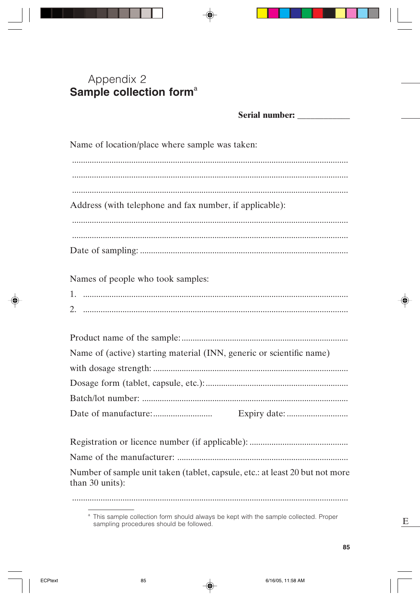# Appendix 2<br> **Sample collection form<sup>a</sup>**

| Name of location/place where sample was taken:                                                  |
|-------------------------------------------------------------------------------------------------|
| Address (with telephone and fax number, if applicable):                                         |
|                                                                                                 |
| Names of people who took samples:                                                               |
| Name of (active) starting material (INN, generic or scientific name)                            |
|                                                                                                 |
| Number of sample unit taken (tablet, capsule, etc.: at least 20 but not more<br>than 30 units): |
|                                                                                                 |

⊕

 $\bigoplus$ 

<sup>&</sup>lt;sup>a</sup> This sample collection form should always be kept with the sample collected. Proper sampling procedures should be followed.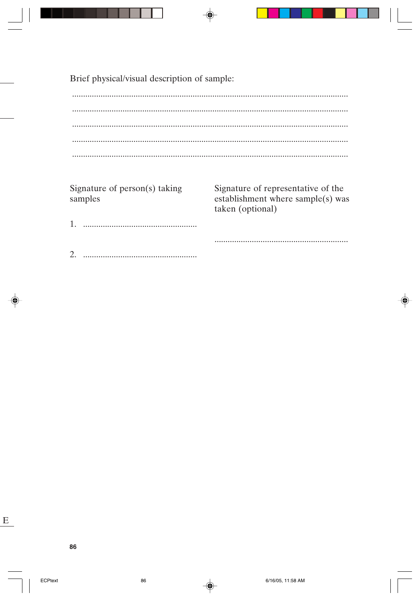| Brief physical/visual description of sample: |                                                                                             |  |
|----------------------------------------------|---------------------------------------------------------------------------------------------|--|
|                                              |                                                                                             |  |
|                                              |                                                                                             |  |
|                                              |                                                                                             |  |
|                                              |                                                                                             |  |
|                                              |                                                                                             |  |
| Signature of person(s) taking<br>samples     | Signature of representative of the<br>establishment where sample(s) was<br>taken (optional) |  |
|                                              |                                                                                             |  |
|                                              |                                                                                             |  |
|                                              |                                                                                             |  |

 $\Rightarrow$ 

 $E_{\parallel}$ 

 $\rightarrow$ 

 $\Rightarrow$ 

 $\textcolor{red}{\textcircled{\footnotesize{1}}}$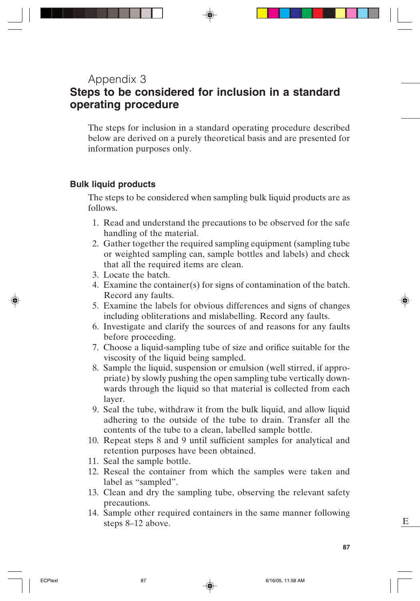# Appendix 3 **Steps to be considered for inclusion in a standard operating procedure**

The steps for inclusion in a standard operating procedure described below are derived on a purely theoretical basis and are presented for information purposes only.

# **Bulk liquid products**

The steps to be considered when sampling bulk liquid products are as follows.

- 1. Read and understand the precautions to be observed for the safe handling of the material.
- 2. Gather together the required sampling equipment (sampling tube or weighted sampling can, sample bottles and labels) and check that all the required items are clean.
- 3. Locate the batch.
- 4. Examine the container(s) for signs of contamination of the batch. Record any faults.
- 5. Examine the labels for obvious differences and signs of changes including obliterations and mislabelling. Record any faults.
- 6. Investigate and clarify the sources of and reasons for any faults before proceeding.
- 7. Choose a liquid-sampling tube of size and orifice suitable for the viscosity of the liquid being sampled.
- 8. Sample the liquid, suspension or emulsion (well stirred, if appropriate) by slowly pushing the open sampling tube vertically downwards through the liquid so that material is collected from each layer.
- 9. Seal the tube, withdraw it from the bulk liquid, and allow liquid adhering to the outside of the tube to drain. Transfer all the contents of the tube to a clean, labelled sample bottle.
- 10. Repeat steps 8 and 9 until sufficient samples for analytical and retention purposes have been obtained.
- 11. Seal the sample bottle.
- 12. Reseal the container from which the samples were taken and label as "sampled".
- 13. Clean and dry the sampling tube, observing the relevant safety precautions.
- 14. Sample other required containers in the same manner following steps 8–12 above.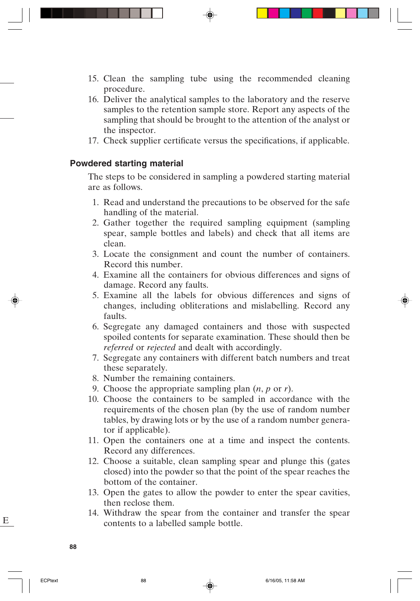- 15. Clean the sampling tube using the recommended cleaning procedure.
- 16. Deliver the analytical samples to the laboratory and the reserve samples to the retention sample store. Report any aspects of the sampling that should be brought to the attention of the analyst or the inspector.
- 17. Check supplier certificate versus the specifications, if applicable.

#### **Powdered starting material**

The steps to be considered in sampling a powdered starting material are as follows.

- 1. Read and understand the precautions to be observed for the safe handling of the material.
- 2. Gather together the required sampling equipment (sampling spear, sample bottles and labels) and check that all items are clean.
- 3. Locate the consignment and count the number of containers. Record this number.
- 4. Examine all the containers for obvious differences and signs of damage. Record any faults.
- 5. Examine all the labels for obvious differences and signs of changes, including obliterations and mislabelling. Record any faults.
- 6. Segregate any damaged containers and those with suspected spoiled contents for separate examination. These should then be *referred* or *rejected* and dealt with accordingly.
- 7. Segregate any containers with different batch numbers and treat these separately.
- 8. Number the remaining containers.
- 9. Choose the appropriate sampling plan (*n*, *p* or *r*).
- 10. Choose the containers to be sampled in accordance with the requirements of the chosen plan (by the use of random number tables, by drawing lots or by the use of a random number generator if applicable).
- 11. Open the containers one at a time and inspect the contents. Record any differences.
- 12. Choose a suitable, clean sampling spear and plunge this (gates closed) into the powder so that the point of the spear reaches the bottom of the container.
- 13. Open the gates to allow the powder to enter the spear cavities, then reclose them.
- 14. Withdraw the spear from the container and transfer the spear contents to a labelled sample bottle.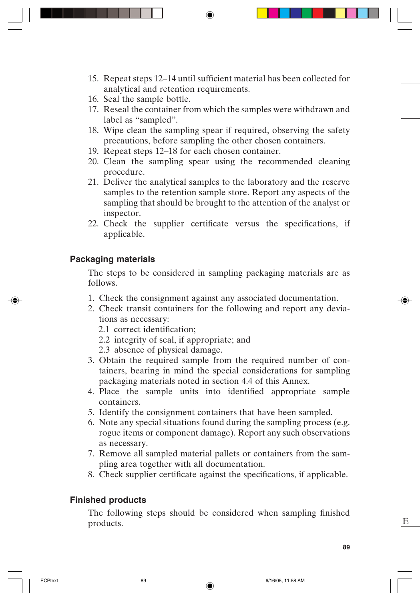- 15. Repeat steps 12–14 until sufficient material has been collected for analytical and retention requirements.
- 16. Seal the sample bottle.
- 17. Reseal the container from which the samples were withdrawn and label as "sampled".
- 18. Wipe clean the sampling spear if required, observing the safety precautions, before sampling the other chosen containers.
- 19. Repeat steps 12–18 for each chosen container.
- 20. Clean the sampling spear using the recommended cleaning procedure.
- 21. Deliver the analytical samples to the laboratory and the reserve samples to the retention sample store. Report any aspects of the sampling that should be brought to the attention of the analyst or inspector.
- 22. Check the supplier certificate versus the specifications, if applicable.

## **Packaging materials**

The steps to be considered in sampling packaging materials are as follows.

- 1. Check the consignment against any associated documentation.
- 2. Check transit containers for the following and report any deviations as necessary:
	- 2.1 correct identification;
	- 2.2 integrity of seal, if appropriate; and
	- 2.3 absence of physical damage.
- 3. Obtain the required sample from the required number of containers, bearing in mind the special considerations for sampling packaging materials noted in section 4.4 of this Annex.
- 4. Place the sample units into identified appropriate sample containers.
- 5. Identify the consignment containers that have been sampled.
- 6. Note any special situations found during the sampling process (e.g. rogue items or component damage). Report any such observations as necessary.
- 7. Remove all sampled material pallets or containers from the sampling area together with all documentation.
- 8. Check supplier certificate against the specifications, if applicable.

## **Finished products**

The following steps should be considered when sampling finished products.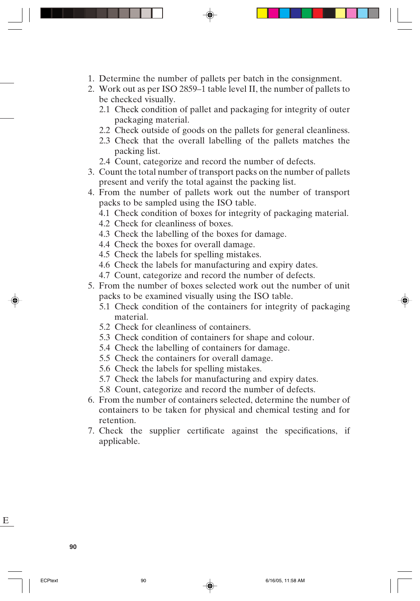- 1. Determine the number of pallets per batch in the consignment.
- 2. Work out as per ISO 2859–1 table level II, the number of pallets to be checked visually.
	- 2.1 Check condition of pallet and packaging for integrity of outer packaging material.
	- 2.2 Check outside of goods on the pallets for general cleanliness.
	- 2.3 Check that the overall labelling of the pallets matches the packing list.
	- 2.4 Count, categorize and record the number of defects.
- 3. Count the total number of transport packs on the number of pallets present and verify the total against the packing list.
- 4. From the number of pallets work out the number of transport packs to be sampled using the ISO table.
	- 4.1 Check condition of boxes for integrity of packaging material.
	- 4.2 Check for cleanliness of boxes.
	- 4.3 Check the labelling of the boxes for damage.
	- 4.4 Check the boxes for overall damage.
	- 4.5 Check the labels for spelling mistakes.
	- 4.6 Check the labels for manufacturing and expiry dates.
	- 4.7 Count, categorize and record the number of defects.
- 5. From the number of boxes selected work out the number of unit packs to be examined visually using the ISO table.
	- 5.1 Check condition of the containers for integrity of packaging material.
	- 5.2 Check for cleanliness of containers.
	- 5.3 Check condition of containers for shape and colour.
	- 5.4 Check the labelling of containers for damage.
	- 5.5 Check the containers for overall damage.
	- 5.6 Check the labels for spelling mistakes.
	- 5.7 Check the labels for manufacturing and expiry dates.
	- 5.8 Count, categorize and record the number of defects.
- 6. From the number of containers selected, determine the number of containers to be taken for physical and chemical testing and for retention.
- 7. Check the supplier certificate against the specifications, if applicable.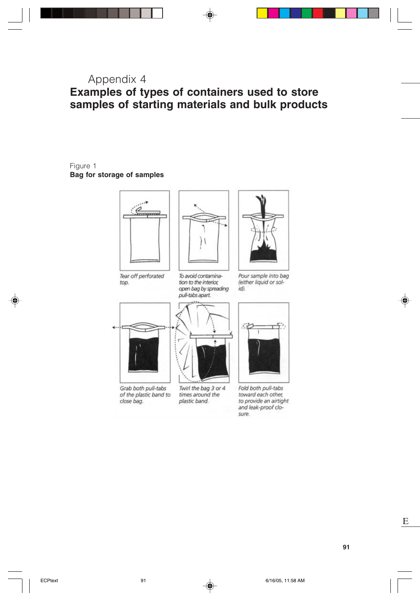# Appendix 4 **Examples of types of containers used to store samples of starting materials and bulk products**

## Figure 1 **Bag for storage of samples**



tion to the interior, open bag by spreading<br>pull-tabs apart.



Pour sample into bag (either liquid or solid).



close bag.

Twirl the bag 3 or 4 times around the plastic band.

Fold both pull-tabs toward each other, to provide an airtight and leak-proof closure.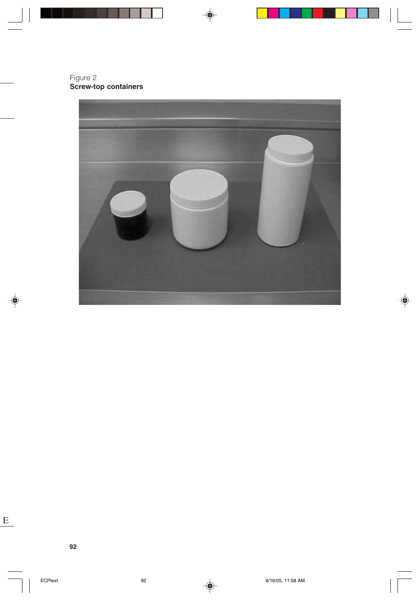Figure 2 **Screw-top containers**



 $\bigoplus$ 

E

 $\bigoplus$ 

 $\bigoplus$ 

 $\overline{\phantom{0}}$  $\vert \ \vert$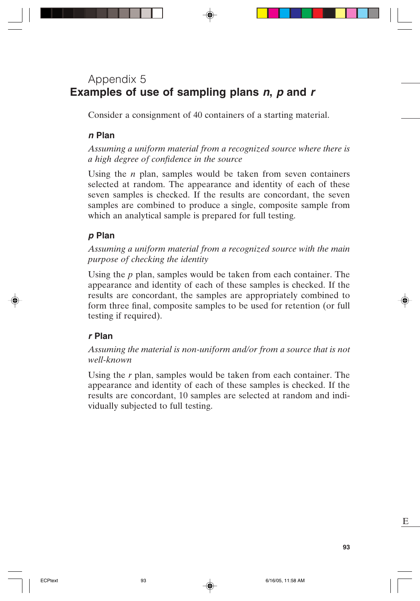# Appendix 5 **Examples of use of sampling plans n, p and <sup>r</sup>**

Consider a consignment of 40 containers of a starting material.

# **<sup>n</sup> Plan**

*Assuming a uniform material from a recognized source where there is a high degree of confidence in the source*

Using the *n* plan, samples would be taken from seven containers selected at random. The appearance and identity of each of these seven samples is checked. If the results are concordant, the seven samples are combined to produce a single, composite sample from which an analytical sample is prepared for full testing.

# **p Plan**

*Assuming a uniform material from a recognized source with the main purpose of checking the identity*

Using the *p* plan, samples would be taken from each container. The appearance and identity of each of these samples is checked. If the results are concordant, the samples are appropriately combined to form three final, composite samples to be used for retention (or full testing if required).

# **<sup>r</sup> Plan**

*Assuming the material is non-uniform and/or from a source that is not well-known*

Using the *r* plan, samples would be taken from each container. The appearance and identity of each of these samples is checked. If the results are concordant, 10 samples are selected at random and individually subjected to full testing.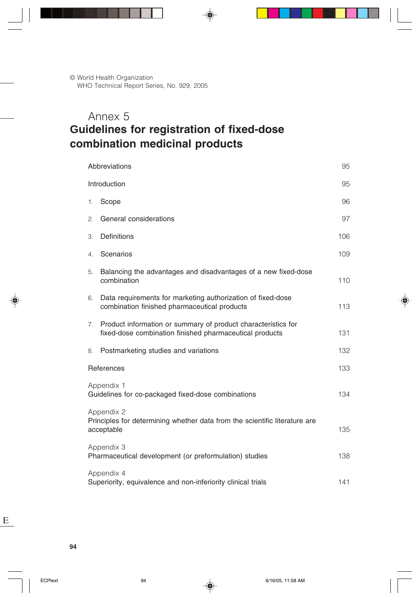© World Health Organization WHO Technical Report Series, No. 929, 2005

# Annex 5 **Guidelines for registration of fixed-dose combination medicinal products**

◈

|                                                                                                               | Abbreviations                                                                                                            | 95  |
|---------------------------------------------------------------------------------------------------------------|--------------------------------------------------------------------------------------------------------------------------|-----|
|                                                                                                               | Introduction                                                                                                             | 95  |
| 1.                                                                                                            | Scope                                                                                                                    | 96  |
| 2.                                                                                                            | General considerations                                                                                                   | 97  |
| 3.                                                                                                            | Definitions                                                                                                              | 106 |
| 4.                                                                                                            | Scenarios                                                                                                                | 109 |
| 5.                                                                                                            | Balancing the advantages and disadvantages of a new fixed-dose<br>combination                                            | 110 |
| 6.                                                                                                            | Data requirements for marketing authorization of fixed-dose<br>combination finished pharmaceutical products              | 113 |
| 7.                                                                                                            | Product information or summary of product characteristics for<br>fixed-dose combination finished pharmaceutical products | 131 |
| 8.                                                                                                            | Postmarketing studies and variations                                                                                     | 132 |
| References                                                                                                    |                                                                                                                          | 133 |
| Appendix 1<br>134<br>Guidelines for co-packaged fixed-dose combinations                                       |                                                                                                                          |     |
| Appendix 2<br>Principles for determining whether data from the scientific literature are<br>135<br>acceptable |                                                                                                                          |     |
| Appendix 3<br>Pharmaceutical development (or preformulation) studies                                          |                                                                                                                          | 138 |
| Appendix 4<br>Superiority, equivalence and non-inferiority clinical trials<br>141                             |                                                                                                                          |     |

E

**94**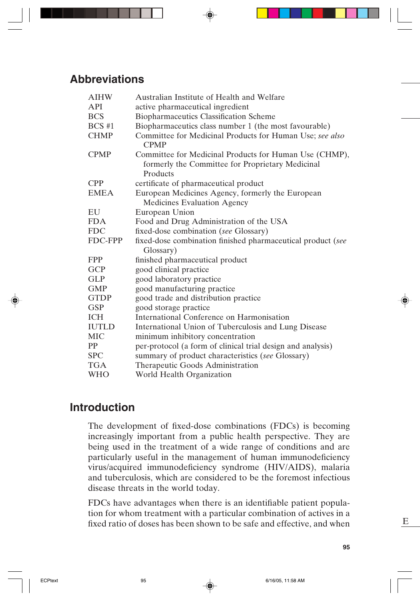# **Abbreviations**

| <b>AIHW</b>   | Australian Institute of Health and Welfare                                                                             |  |
|---------------|------------------------------------------------------------------------------------------------------------------------|--|
| API           | active pharmaceutical ingredient                                                                                       |  |
| <b>BCS</b>    | Biopharmaceutics Classification Scheme                                                                                 |  |
| <b>BCS #1</b> | Biopharmaceutics class number 1 (the most favourable)                                                                  |  |
| <b>CHMP</b>   | Committee for Medicinal Products for Human Use; see also<br><b>CPMP</b>                                                |  |
| <b>CPMP</b>   | Committee for Medicinal Products for Human Use (CHMP),<br>formerly the Committee for Proprietary Medicinal<br>Products |  |
| <b>CPP</b>    | certificate of pharmaceutical product                                                                                  |  |
| <b>EMEA</b>   | European Medicines Agency, formerly the European                                                                       |  |
|               | Medicines Evaluation Agency                                                                                            |  |
| EU            | European Union                                                                                                         |  |
| <b>FDA</b>    | Food and Drug Administration of the USA                                                                                |  |
| <b>FDC</b>    | fixed-dose combination (see Glossary)                                                                                  |  |
| FDC-FPP       | fixed-dose combination finished pharmaceutical product (see<br>Glossary)                                               |  |
| <b>FPP</b>    | finished pharmaceutical product                                                                                        |  |
| <b>GCP</b>    | good clinical practice                                                                                                 |  |
| <b>GLP</b>    | good laboratory practice                                                                                               |  |
| <b>GMP</b>    | good manufacturing practice                                                                                            |  |
| <b>GTDP</b>   | good trade and distribution practice                                                                                   |  |
| <b>GSP</b>    | good storage practice                                                                                                  |  |
| <b>ICH</b>    | International Conference on Harmonisation                                                                              |  |
| <b>IUTLD</b>  | International Union of Tuberculosis and Lung Disease                                                                   |  |
| <b>MIC</b>    | minimum inhibitory concentration                                                                                       |  |
| <b>PP</b>     | per-protocol (a form of clinical trial design and analysis)                                                            |  |
| <b>SPC</b>    | summary of product characteristics (see Glossary)                                                                      |  |
| <b>TGA</b>    | Therapeutic Goods Administration                                                                                       |  |
| <b>WHO</b>    | World Health Organization                                                                                              |  |

# **Introduction**

The development of fixed-dose combinations (FDCs) is becoming increasingly important from a public health perspective. They are being used in the treatment of a wide range of conditions and are particularly useful in the management of human immunodeficiency virus/acquired immunodeficiency syndrome (HIV/AIDS), malaria and tuberculosis, which are considered to be the foremost infectious disease threats in the world today.

FDCs have advantages when there is an identifiable patient population for whom treatment with a particular combination of actives in a fixed ratio of doses has been shown to be safe and effective, and when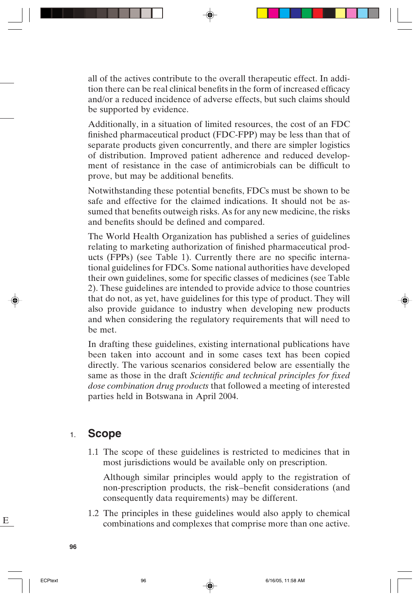all of the actives contribute to the overall therapeutic effect. In addition there can be real clinical benefits in the form of increased efficacy and/or a reduced incidence of adverse effects, but such claims should be supported by evidence.

Additionally, in a situation of limited resources, the cost of an FDC finished pharmaceutical product (FDC-FPP) may be less than that of separate products given concurrently, and there are simpler logistics of distribution. Improved patient adherence and reduced development of resistance in the case of antimicrobials can be difficult to prove, but may be additional benefits.

Notwithstanding these potential benefits, FDCs must be shown to be safe and effective for the claimed indications. It should not be assumed that benefits outweigh risks. As for any new medicine, the risks and benefits should be defined and compared.

The World Health Organization has published a series of guidelines relating to marketing authorization of finished pharmaceutical products (FPPs) (see Table 1). Currently there are no specific international guidelines for FDCs. Some national authorities have developed their own guidelines, some for specific classes of medicines (see Table 2). These guidelines are intended to provide advice to those countries that do not, as yet, have guidelines for this type of product. They will also provide guidance to industry when developing new products and when considering the regulatory requirements that will need to be met.

In drafting these guidelines, existing international publications have been taken into account and in some cases text has been copied directly. The various scenarios considered below are essentially the same as those in the draft *Scientific and technical principles for fixed dose combination drug products* that followed a meeting of interested parties held in Botswana in April 2004.

# 1. **Scope**

1.1 The scope of these guidelines is restricted to medicines that in most jurisdictions would be available only on prescription.

Although similar principles would apply to the registration of non-prescription products, the risk–benefit considerations (and consequently data requirements) may be different.

1.2 The principles in these guidelines would also apply to chemical combinations and complexes that comprise more than one active.

**96**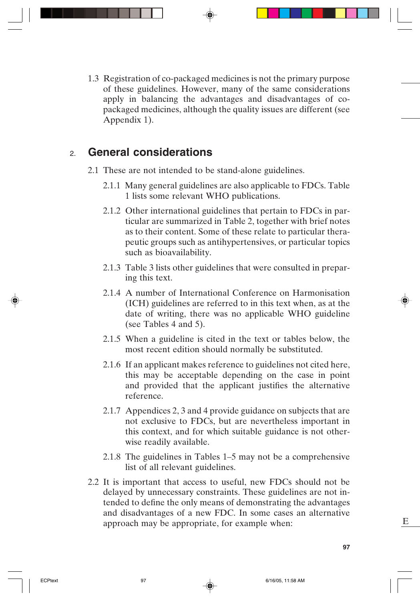1.3 Registration of co-packaged medicines is not the primary purpose of these guidelines. However, many of the same considerations apply in balancing the advantages and disadvantages of copackaged medicines, although the quality issues are different (see Appendix 1).

# 2. **General considerations**

- 2.1 These are not intended to be stand-alone guidelines.
	- 2.1.1 Many general guidelines are also applicable to FDCs. Table 1 lists some relevant WHO publications.
	- 2.1.2 Other international guidelines that pertain to FDCs in particular are summarized in Table 2, together with brief notes as to their content. Some of these relate to particular therapeutic groups such as antihypertensives, or particular topics such as bioavailability.
	- 2.1.3 Table 3 lists other guidelines that were consulted in preparing this text.
	- 2.1.4 A number of International Conference on Harmonisation (ICH) guidelines are referred to in this text when, as at the date of writing, there was no applicable WHO guideline (see Tables 4 and 5).
	- 2.1.5 When a guideline is cited in the text or tables below, the most recent edition should normally be substituted.
	- 2.1.6 If an applicant makes reference to guidelines not cited here, this may be acceptable depending on the case in point and provided that the applicant justifies the alternative reference.
	- 2.1.7 Appendices 2, 3 and 4 provide guidance on subjects that are not exclusive to FDCs, but are nevertheless important in this context, and for which suitable guidance is not otherwise readily available.
	- 2.1.8 The guidelines in Tables 1–5 may not be a comprehensive list of all relevant guidelines.
- 2.2 It is important that access to useful, new FDCs should not be delayed by unnecessary constraints. These guidelines are not intended to define the only means of demonstrating the advantages and disadvantages of a new FDC. In some cases an alternative approach may be appropriate, for example when: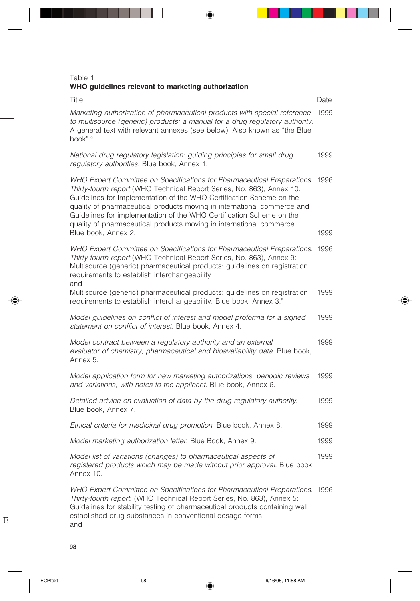## Table 1 **WHO guidelines relevant to marketing authorization**

| Title                                                                                                                                                                                                                                                                                                                                                                                                                                                                       | Date         |
|-----------------------------------------------------------------------------------------------------------------------------------------------------------------------------------------------------------------------------------------------------------------------------------------------------------------------------------------------------------------------------------------------------------------------------------------------------------------------------|--------------|
| Marketing authorization of pharmaceutical products with special reference<br>to multisource (generic) products: a manual for a drug regulatory authority.<br>A general text with relevant annexes (see below). Also known as "the Blue<br>book". <sup>a</sup>                                                                                                                                                                                                               | 1999         |
| National drug regulatory legislation: guiding principles for small drug<br>regulatory authorities. Blue book, Annex 1.                                                                                                                                                                                                                                                                                                                                                      | 1999         |
| WHO Expert Committee on Specifications for Pharmaceutical Preparations.<br>Thirty-fourth report (WHO Technical Report Series, No. 863), Annex 10:<br>Guidelines for Implementation of the WHO Certification Scheme on the<br>quality of pharmaceutical products moving in international commerce and<br>Guidelines for implementation of the WHO Certification Scheme on the<br>quality of pharmaceutical products moving in international commerce.<br>Blue book, Annex 2. | 1996<br>1999 |
| WHO Expert Committee on Specifications for Pharmaceutical Preparations.<br>Thirty-fourth report (WHO Technical Report Series, No. 863), Annex 9:<br>Multisource (generic) pharmaceutical products: guidelines on registration<br>requirements to establish interchangeability<br>and                                                                                                                                                                                        | 1996         |
| Multisource (generic) pharmaceutical products: guidelines on registration<br>requirements to establish interchangeability. Blue book, Annex 3.ª                                                                                                                                                                                                                                                                                                                             | 1999         |
| Model guidelines on conflict of interest and model proforma for a signed<br>statement on conflict of interest. Blue book, Annex 4.                                                                                                                                                                                                                                                                                                                                          | 1999         |
| Model contract between a regulatory authority and an external<br>evaluator of chemistry, pharmaceutical and bioavailability data. Blue book,<br>Annex 5.                                                                                                                                                                                                                                                                                                                    | 1999         |
| Model application form for new marketing authorizations, periodic reviews<br>and variations, with notes to the applicant. Blue book, Annex 6.                                                                                                                                                                                                                                                                                                                               | 1999         |
| Detailed advice on evaluation of data by the drug regulatory authority.<br>Blue book, Annex 7.                                                                                                                                                                                                                                                                                                                                                                              | 1999         |
| Ethical criteria for medicinal drug promotion. Blue book, Annex 8.                                                                                                                                                                                                                                                                                                                                                                                                          | 1999         |
| Model marketing authorization letter. Blue Book, Annex 9.                                                                                                                                                                                                                                                                                                                                                                                                                   | 1999         |
| Model list of variations (changes) to pharmaceutical aspects of<br>registered products which may be made without prior approval. Blue book,<br>Annex 10.                                                                                                                                                                                                                                                                                                                    | 1999         |
| WHO Expert Committee on Specifications for Pharmaceutical Preparations. 1996<br>Thirty-fourth report. (WHO Technical Report Series, No. 863), Annex 5:<br>Guidelines for stability testing of pharmaceutical products containing well<br>established drug substances in conventional dosage forms                                                                                                                                                                           |              |

 $\clubsuit$ 

**98**

and

E

◈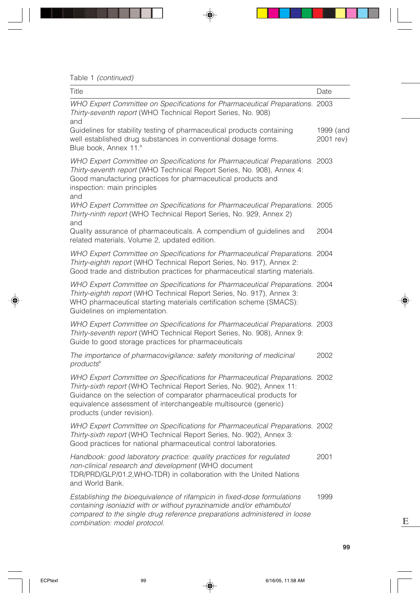Table 1 (continued)

| Title                                                                                                                                                                                                                                                                                                                         | Date                   |
|-------------------------------------------------------------------------------------------------------------------------------------------------------------------------------------------------------------------------------------------------------------------------------------------------------------------------------|------------------------|
| WHO Expert Committee on Specifications for Pharmaceutical Preparations. 2003<br>Thirty-seventh report (WHO Technical Report Series, No. 908)<br>and                                                                                                                                                                           |                        |
| Guidelines for stability testing of pharmaceutical products containing<br>well established drug substances in conventional dosage forms.<br>Blue book, Annex 11.ª                                                                                                                                                             | 1999 (and<br>2001 rev) |
| WHO Expert Committee on Specifications for Pharmaceutical Preparations. 2003<br>Thirty-seventh report (WHO Technical Report Series, No. 908), Annex 4:<br>Good manufacturing practices for pharmaceutical products and<br>inspection: main principles                                                                         |                        |
| and<br>WHO Expert Committee on Specifications for Pharmaceutical Preparations. 2005<br>Thirty-ninth report (WHO Technical Report Series, No. 929, Annex 2)<br>and                                                                                                                                                             |                        |
| Quality assurance of pharmaceuticals. A compendium of guidelines and<br>related materials, Volume 2, updated edition.                                                                                                                                                                                                         | 2004                   |
| WHO Expert Committee on Specifications for Pharmaceutical Preparations. 2004<br>Thirty-eighth report (WHO Technical Report Series, No. 917), Annex 2:<br>Good trade and distribution practices for pharmaceutical starting materials.                                                                                         |                        |
| WHO Expert Committee on Specifications for Pharmaceutical Preparations. 2004<br>Thirty-eighth report (WHO Technical Report Series, No. 917), Annex 3:<br>WHO pharmaceutical starting materials certification scheme (SMACS):<br>Guidelines on implementation.                                                                 |                        |
| WHO Expert Committee on Specifications for Pharmaceutical Preparations. 2003<br>Thirty-seventh report (WHO Technical Report Series, No. 908), Annex 9:<br>Guide to good storage practices for pharmaceuticals                                                                                                                 |                        |
| The importance of pharmacovigilance: safety monitoring of medicinal<br>products <sup>a</sup>                                                                                                                                                                                                                                  | 2002                   |
| WHO Expert Committee on Specifications for Pharmaceutical Preparations. 2002<br>Thirty-sixth report (WHO Technical Report Series, No. 902), Annex 11:<br>Guidance on the selection of comparator pharmaceutical products for<br>equivalence assessment of interchangeable multisource (generic)<br>products (under revision). |                        |
| WHO Expert Committee on Specifications for Pharmaceutical Preparations. 2002<br>Thirty-sixth report (WHO Technical Report Series, No. 902), Annex 3:<br>Good practices for national pharmaceutical control laboratories.                                                                                                      |                        |
| Handbook: good laboratory practice: quality practices for regulated<br>non-clinical research and development (WHO document<br>TDR/PRD/GLP/01.2, WHO-TDR) in collaboration with the United Nations<br>and World Bank.                                                                                                          | 2001                   |
| Establishing the bioequivalence of rifampicin in fixed-dose formulations<br>containing isoniazid with or without pyrazinamide and/or ethambutol<br>compared to the single drug reference preparations administered in loose<br>combination: model protocol.                                                                   | 1999                   |
|                                                                                                                                                                                                                                                                                                                               |                        |

 $\clubsuit$ 

E

◈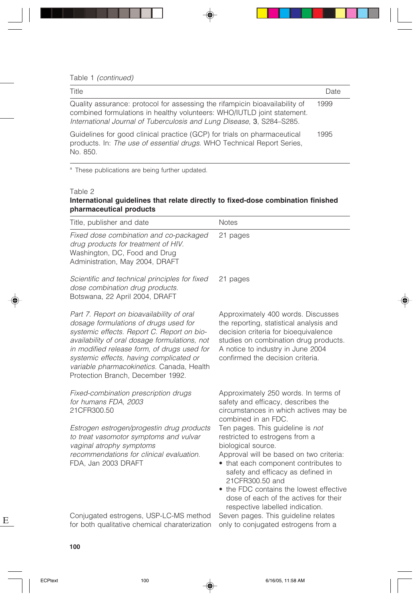Table 1 (continued)

| Title                                                                                                                                                                                                                           | Date |
|---------------------------------------------------------------------------------------------------------------------------------------------------------------------------------------------------------------------------------|------|
| Quality assurance: protocol for assessing the rifampicin bioavailability of<br>combined formulations in healthy volunteers: WHO/IUTLD joint statement.<br>International Journal of Tuberculosis and Lung Disease, 3, S284-S285. | 1999 |
| Guidelines for good clinical practice (GCP) for trials on pharmaceutical<br>products. In: The use of essential drugs. WHO Technical Report Series,<br>No. 850.                                                                  | 1995 |

◈

<sup>a</sup> These publications are being further updated.

#### Table 2

## **International guidelines that relate directly to fixed-dose combination finished pharmaceutical products**

| Title, publisher and date                                                                                                                                                                                                                                                                                                                                     | <b>Notes</b>                                                                                                                                                                                                                                                                                                                                               |
|---------------------------------------------------------------------------------------------------------------------------------------------------------------------------------------------------------------------------------------------------------------------------------------------------------------------------------------------------------------|------------------------------------------------------------------------------------------------------------------------------------------------------------------------------------------------------------------------------------------------------------------------------------------------------------------------------------------------------------|
| Fixed dose combination and co-packaged<br>drug products for treatment of HIV.<br>Washington, DC, Food and Drug<br>Administration, May 2004, DRAFT                                                                                                                                                                                                             | 21 pages                                                                                                                                                                                                                                                                                                                                                   |
| Scientific and technical principles for fixed<br>dose combination drug products.<br>Botswana, 22 April 2004, DRAFT                                                                                                                                                                                                                                            | 21 pages                                                                                                                                                                                                                                                                                                                                                   |
| Part 7. Report on bioavailability of oral<br>dosage formulations of drugs used for<br>systemic effects. Report C. Report on bio-<br>availability of oral dosage formulations, not<br>in modified release form, of drugs used for<br>systemic effects, having complicated or<br>variable pharmacokinetics. Canada, Health<br>Protection Branch, December 1992. | Approximately 400 words. Discusses<br>the reporting, statistical analysis and<br>decision criteria for bioequivalence<br>studies on combination drug products.<br>A notice to industry in June 2004<br>confirmed the decision criteria.                                                                                                                    |
| Fixed-combination prescription drugs<br>for humans FDA, 2003<br>21CFR300.50                                                                                                                                                                                                                                                                                   | Approximately 250 words. In terms of<br>safety and efficacy, describes the<br>circumstances in which actives may be<br>combined in an FDC.                                                                                                                                                                                                                 |
| Estrogen estrogen/progestin drug products<br>to treat vasomotor symptoms and vulvar<br>vaginal atrophy symptoms<br>recommendations for clinical evaluation.<br>FDA, Jan 2003 DRAFT                                                                                                                                                                            | Ten pages. This guideline is not<br>restricted to estrogens from a<br>biological source.<br>Approval will be based on two criteria:<br>• that each component contributes to<br>safety and efficacy as defined in<br>21CFR300.50 and<br>• the FDC contains the lowest effective<br>dose of each of the actives for their<br>respective labelled indication. |
| Conjugated estrogens, USP-LC-MS method<br>for both qualitative chemical charaterization                                                                                                                                                                                                                                                                       | Seven pages. This guideline relates<br>only to conjugated estrogens from a                                                                                                                                                                                                                                                                                 |

**100**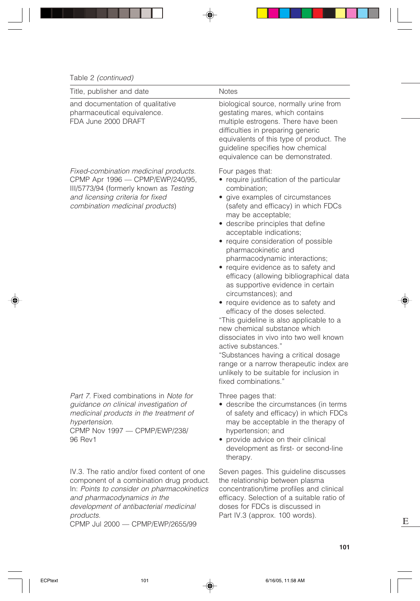Table 2 (continued)

| Title, publisher and date                                                                                                                                                                                                                                       | <b>Notes</b>                                                                                                                                                                                                                                                                                                                                                                                                                                                                                                                                                                                                                                                                                                                                                                                                                                                              |
|-----------------------------------------------------------------------------------------------------------------------------------------------------------------------------------------------------------------------------------------------------------------|---------------------------------------------------------------------------------------------------------------------------------------------------------------------------------------------------------------------------------------------------------------------------------------------------------------------------------------------------------------------------------------------------------------------------------------------------------------------------------------------------------------------------------------------------------------------------------------------------------------------------------------------------------------------------------------------------------------------------------------------------------------------------------------------------------------------------------------------------------------------------|
| and documentation of qualitative<br>pharmaceutical equivalence.<br>FDA June 2000 DRAFT                                                                                                                                                                          | biological source, normally urine from<br>gestating mares, which contains<br>multiple estrogens. There have been<br>difficulties in preparing generic<br>equivalents of this type of product. The<br>guideline specifies how chemical<br>equivalence can be demonstrated.                                                                                                                                                                                                                                                                                                                                                                                                                                                                                                                                                                                                 |
| Fixed-combination medicinal products.<br>CPMP Apr 1996 - CPMP/EWP/240/95,<br>III/5773/94 (formerly known as Testing<br>and licensing criteria for fixed<br>combination medicinal products)                                                                      | Four pages that:<br>• require justification of the particular<br>combination;<br>• give examples of circumstances<br>(safety and efficacy) in which FDCs<br>may be acceptable;<br>• describe principles that define<br>acceptable indications;<br>• require consideration of possible<br>pharmacokinetic and<br>pharmacodynamic interactions;<br>• require evidence as to safety and<br>efficacy (allowing bibliographical data<br>as supportive evidence in certain<br>circumstances); and<br>• require evidence as to safety and<br>efficacy of the doses selected.<br>"This guideline is also applicable to a<br>new chemical substance which<br>dissociates in vivo into two well known<br>active substances."<br>"Substances having a critical dosage<br>range or a narrow therapeutic index are<br>unlikely to be suitable for inclusion in<br>fixed combinations." |
| Part 7. Fixed combinations in Note for<br>guidance on clinical investigation of<br>medicinal products in the treatment of<br>hypertension.<br>CPMP Nov 1997 - CPMP/EWP/238/<br>96 Rev1                                                                          | Three pages that:<br>• describe the circumstances (in terms<br>of safety and efficacy) in which FDCs<br>may be acceptable in the therapy of<br>hypertension; and<br>• provide advice on their clinical<br>development as first- or second-line<br>therapy.                                                                                                                                                                                                                                                                                                                                                                                                                                                                                                                                                                                                                |
| IV.3. The ratio and/or fixed content of one<br>component of a combination drug product.<br>In: Points to consider on pharmacokinetics<br>and pharmacodynamics in the<br>development of antibacterial medicinal<br>products.<br>CPMP Jul 2000 - CPMP/EWP/2655/99 | Seven pages. This guideline discusses<br>the relationship between plasma<br>concentration/time profiles and clinical<br>efficacy. Selection of a suitable ratio of<br>doses for FDCs is discussed in<br>Part IV.3 (approx. 100 words).                                                                                                                                                                                                                                                                                                                                                                                                                                                                                                                                                                                                                                    |

 $\clubsuit$ 

 $E$ 

⊕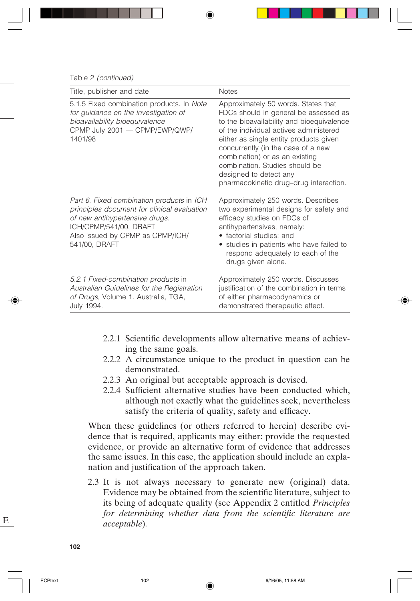Table 2 (continued)

| Title, publisher and date                                                                                                                                                                                 | <b>Notes</b>                                                                                                                                                                                                                                                                                                                                                                                |
|-----------------------------------------------------------------------------------------------------------------------------------------------------------------------------------------------------------|---------------------------------------------------------------------------------------------------------------------------------------------------------------------------------------------------------------------------------------------------------------------------------------------------------------------------------------------------------------------------------------------|
| 5.1.5 Fixed combination products. In Note<br>for guidance on the investigation of<br>bioavailability bioequivalence<br>CPMP July 2001 - CPMP/EWP/QWP/<br>1401/98                                          | Approximately 50 words. States that<br>FDCs should in general be assessed as<br>to the bioavailability and bioequivalence<br>of the individual actives administered<br>either as single entity products given<br>concurrently (in the case of a new<br>combination) or as an existing<br>combination. Studies should be<br>designed to detect any<br>pharmacokinetic drug-drug interaction. |
| Part 6. Fixed combination products in ICH<br>principles document for clinical evaluation<br>of new antihypertensive drugs.<br>ICH/CPMP/541/00, DRAFT<br>Also issued by CPMP as CPMP/ICH/<br>541/00, DRAFT | Approximately 250 words. Describes<br>two experimental designs for safety and<br>efficacy studies on FDCs of<br>antihypertensives, namely:<br>• factorial studies; and<br>studies in patients who have failed to<br>respond adequately to each of the<br>drugs given alone.                                                                                                                 |
| 5.2.1 Fixed-combination products in<br>Australian Guidelines for the Registration<br>of Drugs, Volume 1. Australia, TGA,<br>July 1994.                                                                    | Approximately 250 words. Discusses<br>justification of the combination in terms<br>of either pharmacodynamics or<br>demonstrated therapeutic effect.                                                                                                                                                                                                                                        |

- 2.2.1 Scientific developments allow alternative means of achieving the same goals.
- 2.2.2 A circumstance unique to the product in question can be demonstrated.
- 2.2.3 An original but acceptable approach is devised.
- 2.2.4 Sufficient alternative studies have been conducted which, although not exactly what the guidelines seek, nevertheless satisfy the criteria of quality, safety and efficacy.

When these guidelines (or others referred to herein) describe evidence that is required, applicants may either: provide the requested evidence, or provide an alternative form of evidence that addresses the same issues. In this case, the application should include an explanation and justification of the approach taken.

2.3 It is not always necessary to generate new (original) data. Evidence may be obtained from the scientific literature, subject to its being of adequate quality (see Appendix 2 entitled *Principles for determining whether data from the scientific literature are acceptable*)*.*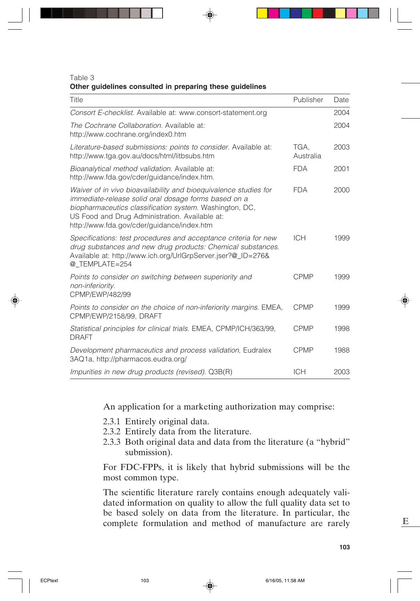| Table 3 |                                                          |  |  |  |
|---------|----------------------------------------------------------|--|--|--|
|         | Other guidelines consulted in preparing these guidelines |  |  |  |

| Title                                                                                                                                                                                                                                                                               | Publisher         | Date |
|-------------------------------------------------------------------------------------------------------------------------------------------------------------------------------------------------------------------------------------------------------------------------------------|-------------------|------|
| Consort E-checklist. Available at: www.consort-statement.org                                                                                                                                                                                                                        |                   | 2004 |
| The Cochrane Collaboration. Available at:<br>http://www.cochrane.org/index0.htm                                                                                                                                                                                                     |                   | 2004 |
| Literature-based submissions: points to consider. Available at:<br>http://www.tga.gov.au/docs/html/litbsubs.htm                                                                                                                                                                     | TGA.<br>Australia | 2003 |
| Bioanalytical method validation. Available at:<br>http://www.fda.gov/cder/guidance/index.htm.                                                                                                                                                                                       | <b>FDA</b>        | 2001 |
| Waiver of in vivo bioavailability and bioequivalence studies for<br>immediate-release solid oral dosage forms based on a<br>biopharmaceutics classification system. Washington, DC,<br>US Food and Drug Administration. Available at:<br>http://www.fda.gov/cder/guidance/index.htm | <b>FDA</b>        | 2000 |
| Specifications: test procedures and acceptance criteria for new<br>drug substances and new drug products: Chemical substances.<br>Available at: http://www.ich.org/UrlGrpServer.jser?@_ID=276&<br>@_TEMPLATE=254                                                                    | <b>ICH</b>        | 1999 |
| Points to consider on switching between superiority and<br>non-inferiority.<br>CPMP/EWP/482/99                                                                                                                                                                                      | <b>CPMP</b>       | 1999 |
| Points to consider on the choice of non-inferiority margins. EMEA,<br>CPMP/EWP/2158/99, DRAFT                                                                                                                                                                                       | <b>CPMP</b>       | 1999 |
| Statistical principles for clinical trials. EMEA, CPMP/ICH/363/99,<br><b>DRAFT</b>                                                                                                                                                                                                  | <b>CPMP</b>       | 1998 |
| Development pharmaceutics and process validation, Eudralex<br>3AQ1a, http://pharmacos.eudra.org/                                                                                                                                                                                    | <b>CPMP</b>       | 1988 |
| Impurities in new drug products (revised). Q3B(R)                                                                                                                                                                                                                                   | <b>ICH</b>        | 2003 |

An application for a marketing authorization may comprise:

- 2.3.1 Entirely original data.
- 2.3.2 Entirely data from the literature.
- 2.3.3 Both original data and data from the literature (a "hybrid" submission).

For FDC-FPPs, it is likely that hybrid submissions will be the most common type.

The scientific literature rarely contains enough adequately validated information on quality to allow the full quality data set to be based solely on data from the literature. In particular, the complete formulation and method of manufacture are rarely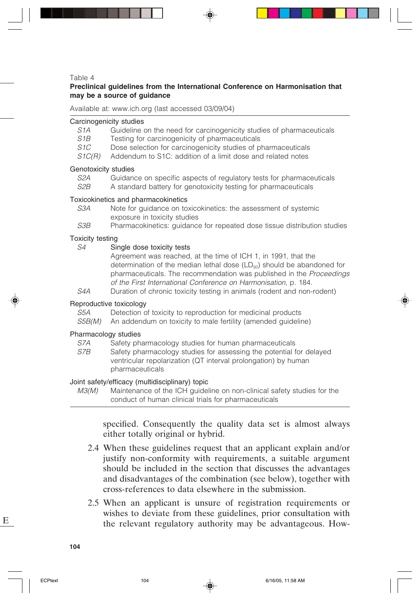#### Table 4

#### **Preclinical guidelines from the International Conference on Harmonisation that may be a source of guidance**

Available at: www.ich.org (last accessed 03/09/04)

### Carcinogenicity studies

- S1A Guideline on the need for carcinogenicity studies of pharmaceuticals
- S1B Testing for carcinogenicity of pharmaceuticals
- S1C Dose selection for carcinogenicity studies of pharmaceuticals
- S1C(R) Addendum to S1C: addition of a limit dose and related notes

#### Genotoxicity studies

- S2A Guidance on specific aspects of regulatory tests for pharmaceuticals
- S2B A standard battery for genotoxicity testing for pharmaceuticals

#### Toxicokinetics and pharmacokinetics

- S3A Note for guidance on toxicokinetics: the assessment of systemic exposure in toxicity studies
- S3B Pharmacokinetics: guidance for repeated dose tissue distribution studies

#### Toxicity testing

#### S4 Single dose toxicity tests

Agreement was reached, at the time of ICH 1, in 1991, that the determination of the median lethal dose  $(LD<sub>50</sub>)$  should be abandoned for pharmaceuticals. The recommendation was published in the Proceedings of the First International Conference on Harmonisation, p. 184.

S4A Duration of chronic toxicity testing in animals (rodent and non-rodent)

#### Reproductive toxicology

S5A Detection of toxicity to reproduction for medicinal products

S5B(M) An addendum on toxicity to male fertility (amended guideline)

#### Pharmacology studies

- S7A Safety pharmacology studies for human pharmaceuticals<br>S7B Safety pharmacology studies for assessing the potential f
- Safety pharmacology studies for assessing the potential for delayed ventricular repolarization (QT interval prolongation) by human pharmaceuticals

#### Joint safety/efficacy (multidisciplinary) topic

M3(M) Maintenance of the ICH quideline on non-clinical safety studies for the conduct of human clinical trials for pharmaceuticals

specified. Consequently the quality data set is almost always either totally original or hybrid.

- 2.4 When these guidelines request that an applicant explain and/or justify non-conformity with requirements, a suitable argument should be included in the section that discusses the advantages and disadvantages of the combination (see below), together with cross-references to data elsewhere in the submission.
- 2.5 When an applicant is unsure of registration requirements or wishes to deviate from these guidelines, prior consultation with the relevant regulatory authority may be advantageous. How-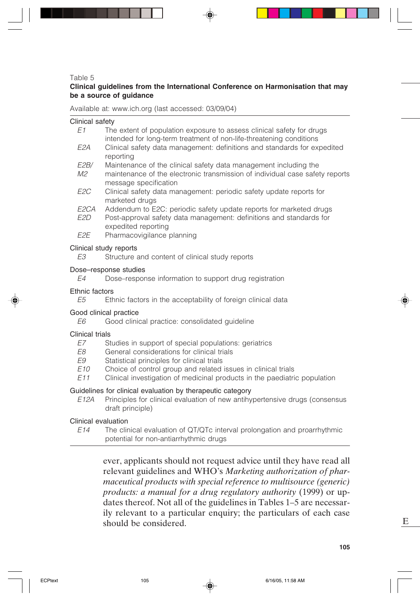#### Table 5

## **Clinical guidelines from the International Conference on Harmonisation that may be a source of guidance**

#### Available at: www.ich.org (last accessed: 03/09/04)

## Clinical safety  $E1$  The extent of population exposure to assess clinical safety for drugs intended for long-term treatment of non-life-threatening conditions E2A Clinical safety data management: definitions and standards for expedited reporting E2B/ Maintenance of the clinical safety data management including the M2 maintenance of the electronic transmission of individual case safety reports message specification E2C Clinical safety data management: periodic safety update reports for marketed drugs E2CA Addendum to E2C: periodic safety update reports for marketed drugs E2D Post-approval safety data management: definitions and standards for expedited reporting E2E Pharmacovigilance planning Clinical study reports E3 Structure and content of clinical study reports Dose–response studies E4 Dose–response information to support drug registration Ethnic factors E5 Ethnic factors in the acceptability of foreign clinical data Good clinical practice E6 Good clinical practice: consolidated guideline Clinical trials E7 Studies in support of special populations: geriatrics<br>
E8 General considerations for clinical trials General considerations for clinical trials

- E9 Statistical principles for clinical trials
- E10 Choice of control group and related issues in clinical trials
- E11 Clinical investigation of medicinal products in the paediatric population

#### Guidelines for clinical evaluation by therapeutic category

E12A Principles for clinical evaluation of new antihypertensive drugs (consensus draft principle)

#### Clinical evaluation

E14 The clinical evaluation of QT/QTc interval prolongation and proarrhythmic potential for non-antiarrhythmic drugs

ever, applicants should not request advice until they have read all relevant guidelines and WHO's *Marketing authorization of pharmaceutical products with special reference to multisource (generic) products: a manual for a drug regulatory authority* (1999) or updates thereof. Not all of the guidelines in Tables 1–5 are necessarily relevant to a particular enquiry; the particulars of each case should be considered.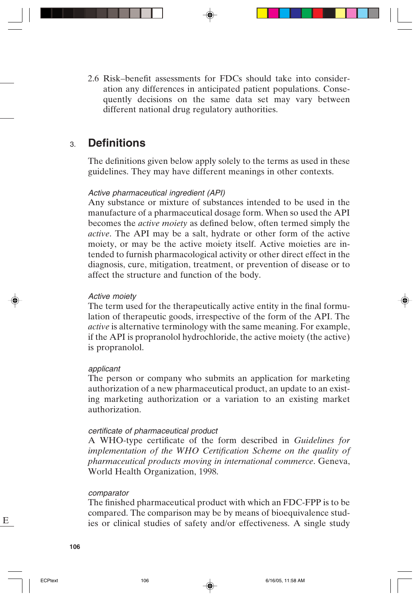2.6 Risk–benefit assessments for FDCs should take into consideration any differences in anticipated patient populations. Consequently decisions on the same data set may vary between different national drug regulatory authorities.

## 3. **Definitions**

The definitions given below apply solely to the terms as used in these guidelines. They may have different meanings in other contexts.

## Active pharmaceutical ingredient (API)

Any substance or mixture of substances intended to be used in the manufacture of a pharmaceutical dosage form. When so used the API becomes the *active moiety* as defined below, often termed simply the *active*. The API may be a salt, hydrate or other form of the active moiety, or may be the active moiety itself. Active moieties are intended to furnish pharmacological activity or other direct effect in the diagnosis, cure, mitigation, treatment, or prevention of disease or to affect the structure and function of the body.

#### Active moiety

The term used for the therapeutically active entity in the final formulation of therapeutic goods, irrespective of the form of the API. The *active* is alternative terminology with the same meaning. For example, if the API is propranolol hydrochloride, the active moiety (the active) is propranolol.

#### applicant

The person or company who submits an application for marketing authorization of a new pharmaceutical product, an update to an existing marketing authorization or a variation to an existing market authorization.

#### certificate of pharmaceutical product

A WHO-type certificate of the form described in *Guidelines for implementation of the WHO Certification Scheme on the quality of pharmaceutical products moving in international commerce*. Geneva, World Health Organization, 1998.

## comparator

The finished pharmaceutical product with which an FDC-FPP is to be compared. The comparison may be by means of bioequivalence studies or clinical studies of safety and/or effectiveness. A single study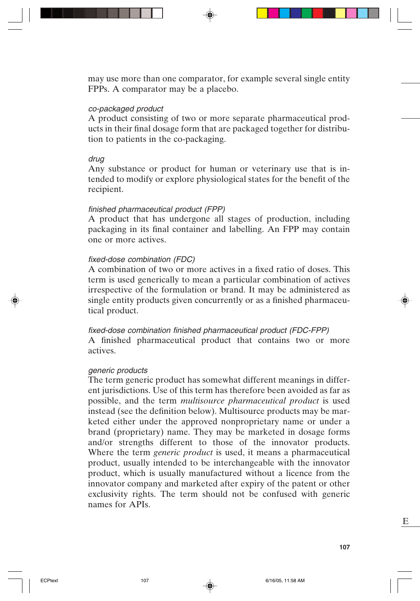may use more than one comparator, for example several single entity FPPs. A comparator may be a placebo.

## co-packaged product

A product consisting of two or more separate pharmaceutical products in their final dosage form that are packaged together for distribution to patients in the co-packaging.

#### drug

Any substance or product for human or veterinary use that is intended to modify or explore physiological states for the benefit of the recipient.

#### finished pharmaceutical product (FPP)

A product that has undergone all stages of production, including packaging in its final container and labelling. An FPP may contain one or more actives.

## fixed-dose combination (FDC)

A combination of two or more actives in a fixed ratio of doses. This term is used generically to mean a particular combination of actives irrespective of the formulation or brand. It may be administered as single entity products given concurrently or as a finished pharmaceutical product.

fixed-dose combination finished pharmaceutical product (FDC-FPP) A finished pharmaceutical product that contains two or more actives.

#### generic products

The term generic product has somewhat different meanings in different jurisdictions. Use of this term has therefore been avoided as far as possible, and the term *multisource pharmaceutical product* is used instead (see the definition below). Multisource products may be marketed either under the approved nonproprietary name or under a brand (proprietary) name. They may be marketed in dosage forms and/or strengths different to those of the innovator products. Where the term *generic product* is used, it means a pharmaceutical product, usually intended to be interchangeable with the innovator product, which is usually manufactured without a licence from the innovator company and marketed after expiry of the patent or other exclusivity rights. The term should not be confused with generic names for APIs.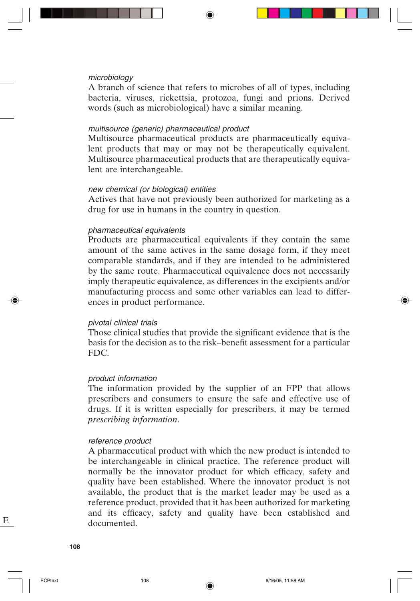#### microbiology

A branch of science that refers to microbes of all of types, including bacteria, viruses, rickettsia, protozoa, fungi and prions. Derived words (such as microbiological) have a similar meaning.

## multisource (generic) pharmaceutical product

Multisource pharmaceutical products are pharmaceutically equivalent products that may or may not be therapeutically equivalent. Multisource pharmaceutical products that are therapeutically equivalent are interchangeable.

## new chemical (or biological) entities

Actives that have not previously been authorized for marketing as a drug for use in humans in the country in question.

#### pharmaceutical equivalents

Products are pharmaceutical equivalents if they contain the same amount of the same actives in the same dosage form, if they meet comparable standards, and if they are intended to be administered by the same route. Pharmaceutical equivalence does not necessarily imply therapeutic equivalence, as differences in the excipients and/or manufacturing process and some other variables can lead to differences in product performance.

#### pivotal clinical trials

Those clinical studies that provide the significant evidence that is the basis for the decision as to the risk–benefit assessment for a particular FDC.

#### product information

The information provided by the supplier of an FPP that allows prescribers and consumers to ensure the safe and effective use of drugs. If it is written especially for prescribers, it may be termed *prescribing information*.

### reference product

A pharmaceutical product with which the new product is intended to be interchangeable in clinical practice. The reference product will normally be the innovator product for which efficacy, safety and quality have been established. Where the innovator product is not available, the product that is the market leader may be used as a reference product, provided that it has been authorized for marketing and its efficacy, safety and quality have been established and documented.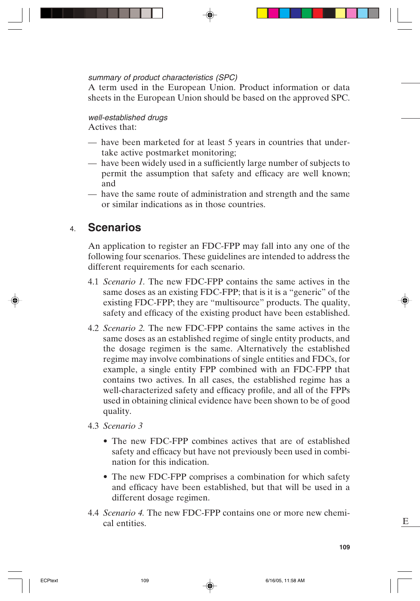## summary of product characteristics (SPC)

A term used in the European Union. Product information or data sheets in the European Union should be based on the approved SPC.

well-established drugs Actives that:

- have been marketed for at least 5 years in countries that undertake active postmarket monitoring;
- have been widely used in a sufficiently large number of subjects to permit the assumption that safety and efficacy are well known; and
- have the same route of administration and strength and the same or similar indications as in those countries.

## 4. **Scenarios**

An application to register an FDC-FPP may fall into any one of the following four scenarios. These guidelines are intended to address the different requirements for each scenario.

- 4.1 *Scenario 1.* The new FDC-FPP contains the same actives in the same doses as an existing FDC-FPP; that is it is a "generic" of the existing FDC-FPP; they are "multisource" products. The quality, safety and efficacy of the existing product have been established.
- 4.2 *Scenario 2.* The new FDC-FPP contains the same actives in the same doses as an established regime of single entity products, and the dosage regimen is the same. Alternatively the established regime may involve combinations of single entities and FDCs, for example, a single entity FPP combined with an FDC-FPP that contains two actives. In all cases, the established regime has a well-characterized safety and efficacy profile, and all of the FPPs used in obtaining clinical evidence have been shown to be of good quality.
- 4.3 *Scenario 3*
	- The new FDC-FPP combines actives that are of established safety and efficacy but have not previously been used in combination for this indication.
	- The new FDC-FPP comprises a combination for which safety and efficacy have been established, but that will be used in a different dosage regimen.
- 4.4 *Scenario 4.* The new FDC-FPP contains one or more new chemical entities.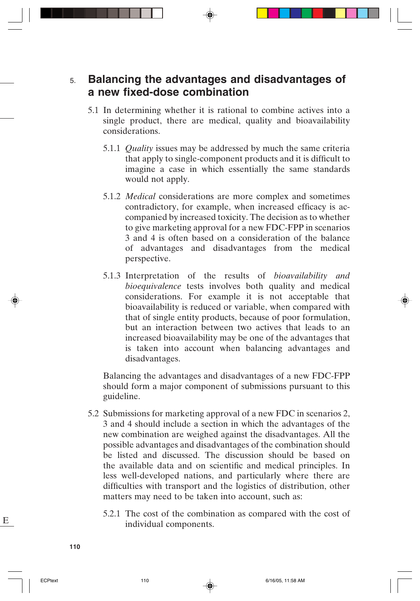## 5. **Balancing the advantages and disadvantages of a new fixed-dose combination**

- 5.1 In determining whether it is rational to combine actives into a single product, there are medical, quality and bioavailability considerations.
	- 5.1.1 *Quality* issues may be addressed by much the same criteria that apply to single-component products and it is difficult to imagine a case in which essentially the same standards would not apply.
	- 5.1.2 *Medical* considerations are more complex and sometimes contradictory, for example, when increased efficacy is accompanied by increased toxicity. The decision as to whether to give marketing approval for a new FDC-FPP in scenarios 3 and 4 is often based on a consideration of the balance of advantages and disadvantages from the medical perspective.
	- 5.1.3 Interpretation of the results of *bioavailability and bioequivalence* tests involves both quality and medical considerations. For example it is not acceptable that bioavailability is reduced or variable, when compared with that of single entity products, because of poor formulation, but an interaction between two actives that leads to an increased bioavailability may be one of the advantages that is taken into account when balancing advantages and disadvantages.

Balancing the advantages and disadvantages of a new FDC-FPP should form a major component of submissions pursuant to this guideline.

- 5.2 Submissions for marketing approval of a new FDC in scenarios 2, 3 and 4 should include a section in which the advantages of the new combination are weighed against the disadvantages. All the possible advantages and disadvantages of the combination should be listed and discussed. The discussion should be based on the available data and on scientific and medical principles. In less well-developed nations, and particularly where there are difficulties with transport and the logistics of distribution, other matters may need to be taken into account, such as:
	- 5.2.1 The cost of the combination as compared with the cost of individual components.

**110**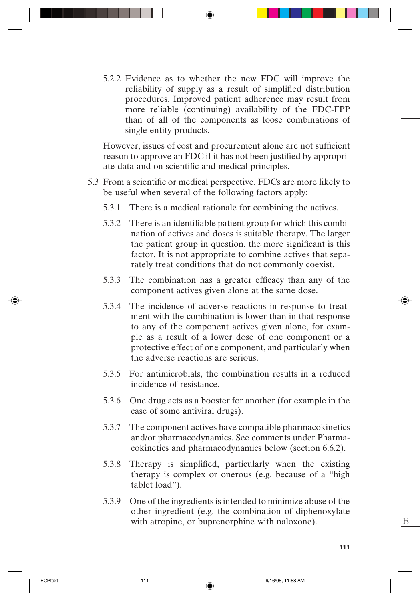5.2.2 Evidence as to whether the new FDC will improve the reliability of supply as a result of simplified distribution procedures. Improved patient adherence may result from more reliable (continuing) availability of the FDC-FPP than of all of the components as loose combinations of single entity products.

However, issues of cost and procurement alone are not sufficient reason to approve an FDC if it has not been justified by appropriate data and on scientific and medical principles.

- 5.3 From a scientific or medical perspective, FDCs are more likely to be useful when several of the following factors apply:
	- 5.3.1 There is a medical rationale for combining the actives.
	- 5.3.2 There is an identifiable patient group for which this combination of actives and doses is suitable therapy. The larger the patient group in question, the more significant is this factor. It is not appropriate to combine actives that separately treat conditions that do not commonly coexist.
	- 5.3.3 The combination has a greater efficacy than any of the component actives given alone at the same dose.
	- 5.3.4 The incidence of adverse reactions in response to treatment with the combination is lower than in that response to any of the component actives given alone, for example as a result of a lower dose of one component or a protective effect of one component, and particularly when the adverse reactions are serious.
	- 5.3.5 For antimicrobials, the combination results in a reduced incidence of resistance.
	- 5.3.6 One drug acts as a booster for another (for example in the case of some antiviral drugs).
	- 5.3.7 The component actives have compatible pharmacokinetics and/or pharmacodynamics. See comments under Pharmacokinetics and pharmacodynamics below (section 6.6.2).
	- 5.3.8 Therapy is simplified, particularly when the existing therapy is complex or onerous (e.g. because of a "high tablet load").
	- 5.3.9 One of the ingredients is intended to minimize abuse of the other ingredient (e.g. the combination of diphenoxylate with atropine, or buprenorphine with naloxone).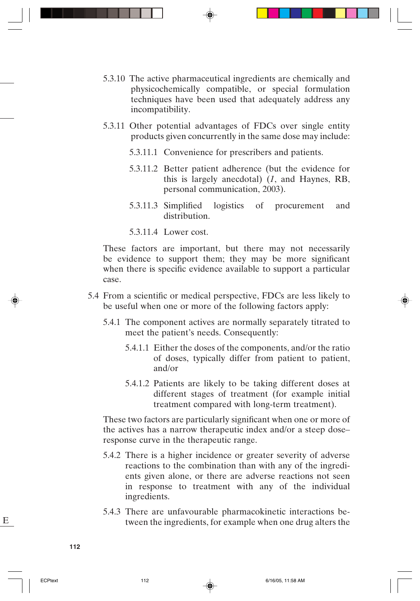- 5.3.10 The active pharmaceutical ingredients are chemically and physicochemically compatible, or special formulation techniques have been used that adequately address any incompatibility.
- 5.3.11 Other potential advantages of FDCs over single entity products given concurrently in the same dose may include:
	- 5.3.11.1 Convenience for prescribers and patients.
	- 5.3.11.2 Better patient adherence (but the evidence for this is largely anecdotal) (*1*, and Haynes, RB, personal communication, 2003).
	- 5.3.11.3 Simplified logistics of procurement and distribution.
	- 5.3.11.4 Lower cost.

These factors are important, but there may not necessarily be evidence to support them; they may be more significant when there is specific evidence available to support a particular case.

- 5.4 From a scientific or medical perspective, FDCs are less likely to be useful when one or more of the following factors apply:
	- 5.4.1 The component actives are normally separately titrated to meet the patient's needs. Consequently:
		- 5.4.1.1 Either the doses of the components, and/or the ratio of doses, typically differ from patient to patient, and/or
		- 5.4.1.2 Patients are likely to be taking different doses at different stages of treatment (for example initial treatment compared with long-term treatment).

These two factors are particularly significant when one or more of the actives has a narrow therapeutic index and/or a steep dose– response curve in the therapeutic range.

- 5.4.2 There is a higher incidence or greater severity of adverse reactions to the combination than with any of the ingredients given alone, or there are adverse reactions not seen in response to treatment with any of the individual ingredients.
- 5.4.3 There are unfavourable pharmacokinetic interactions between the ingredients, for example when one drug alters the

**112**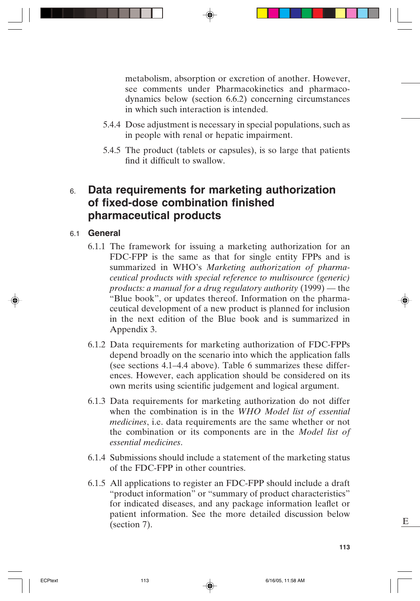metabolism, absorption or excretion of another. However, see comments under Pharmacokinetics and pharmacodynamics below (section 6.6.2) concerning circumstances in which such interaction is intended.

- 5.4.4 Dose adjustment is necessary in special populations, such as in people with renal or hepatic impairment.
- 5.4.5 The product (tablets or capsules), is so large that patients find it difficult to swallow.

# 6. **Data requirements for marketing authorization of fixed-dose combination finished pharmaceutical products**

## 6.1 **General**

- 6.1.1 The framework for issuing a marketing authorization for an FDC-FPP is the same as that for single entity FPPs and is summarized in WHO's *Marketing authorization of pharmaceutical products with special reference to multisource (generic) products: a manual for a drug regulatory authority* (1999) — the "Blue book", or updates thereof. Information on the pharmaceutical development of a new product is planned for inclusion in the next edition of the Blue book and is summarized in Appendix 3.
- 6.1.2 Data requirements for marketing authorization of FDC-FPPs depend broadly on the scenario into which the application falls (see sections 4.1–4.4 above). Table 6 summarizes these differences. However, each application should be considered on its own merits using scientific judgement and logical argument.
- 6.1.3 Data requirements for marketing authorization do not differ when the combination is in the *WHO Model list of essential medicines*, i.e. data requirements are the same whether or not the combination or its components are in the *Model list of essential medicines*.
- 6.1.4 Submissions should include a statement of the marketing status of the FDC-FPP in other countries.
- 6.1.5 All applications to register an FDC-FPP should include a draft "product information" or "summary of product characteristics" for indicated diseases, and any package information leaflet or patient information. See the more detailed discussion below (section 7).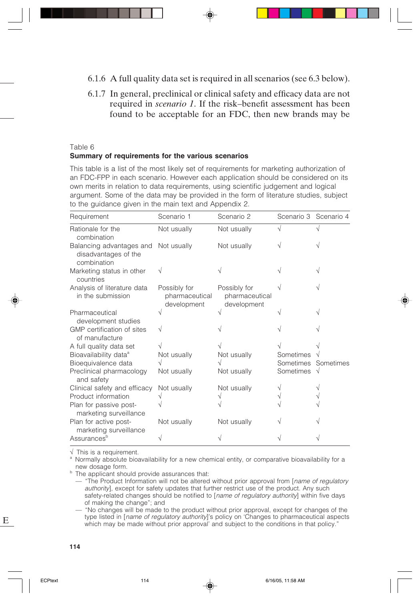- 6.1.6 A full quality data set is required in all scenarios (see 6.3 below).
- 6.1.7 In general, preclinical or clinical safety and efficacy data are not required in *scenario 1*. If the risk–benefit assessment has been found to be acceptable for an FDC, then new brands may be

#### Table 6 **Summary of requirements for the various scenarios**

This table is a list of the most likely set of requirements for marketing authorization of an FDC-FPP in each scenario. However each application should be considered on its own merits in relation to data requirements, using scientific judgement and logical argument. Some of the data may be provided in the form of literature studies, subject to the guidance given in the main text and Appendix 2.

| Requirement                                                     | Scenario 1                                    | Scenario 2                                    | Scenario 3          | Scenario 4          |
|-----------------------------------------------------------------|-----------------------------------------------|-----------------------------------------------|---------------------|---------------------|
| Rationale for the<br>combination                                | Not usually                                   | Not usually                                   |                     |                     |
| Balancing advantages and<br>disadvantages of the<br>combination | Not usually                                   | Not usually                                   |                     |                     |
| Marketing status in other<br>countries                          | V                                             |                                               |                     |                     |
| Analysis of literature data<br>in the submission                | Possibly for<br>pharmaceutical<br>development | Possibly for<br>pharmaceutical<br>development |                     |                     |
| Pharmaceutical<br>development studies                           |                                               |                                               |                     |                     |
| GMP certification of sites<br>of manufacture                    |                                               |                                               |                     |                     |
| A full quality data set                                         |                                               |                                               |                     |                     |
| Bioavailability data <sup>a</sup>                               | Not usually                                   | Not usually                                   | Sometimes           |                     |
| Bioequivalence data                                             |                                               |                                               |                     | Sometimes Sometimes |
| Preclinical pharmacology<br>and safety                          | Not usually                                   | Not usually                                   | Sometimes $\sqrt{}$ |                     |
| Clinical safety and efficacy                                    | Not usually                                   | Not usually                                   |                     |                     |
| Product information                                             |                                               |                                               |                     |                     |
| Plan for passive post-<br>marketing surveillance                |                                               |                                               |                     |                     |
| Plan for active post-<br>marketing surveillance                 | Not usually                                   | Not usually                                   |                     |                     |
| Assurances <sup>b</sup>                                         |                                               |                                               |                     |                     |

 $\sqrt{ }$  This is a requirement.<br><sup>a</sup> Normally absolute bioavailability for a new chemical entity, or comparative bioavailability for a

new dosage form.<br>The applicant should provide assurances that:

— "The Product Information will not be altered without prior approval from [name of regulatory authority], except for safety updates that further restrict use of the product. Any such safety-related changes should be notified to [name of regulatory authority] within five days of making the change"; and

— "No changes will be made to the product without prior approval, except for changes of the type listed in [name of regulatory authority]'s policy on 'Changes to pharmaceutical aspects which may be made without prior approval' and subject to the conditions in that policy."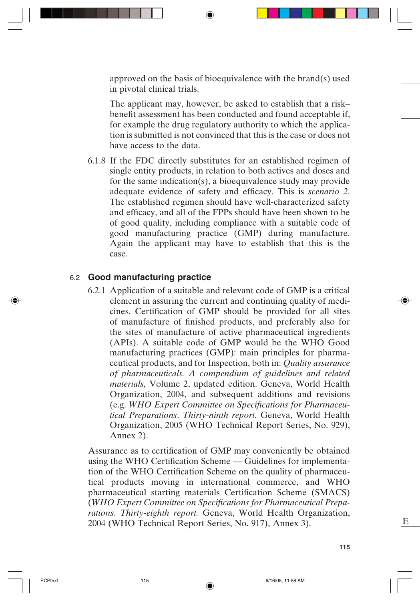approved on the basis of bioequivalence with the brand(s) used in pivotal clinical trials.

The applicant may, however, be asked to establish that a risk– benefit assessment has been conducted and found acceptable if, for example the drug regulatory authority to which the application is submitted is not convinced that this is the case or does not have access to the data.

6.1.8 If the FDC directly substitutes for an established regimen of single entity products, in relation to both actives and doses and for the same indication(s), a bioequivalence study may provide adequate evidence of safety and efficacy. This is *scenario 2*. The established regimen should have well-characterized safety and efficacy, and all of the FPPs should have been shown to be of good quality, including compliance with a suitable code of good manufacturing practice (GMP) during manufacture. Again the applicant may have to establish that this is the case.

## 6.2 **Good manufacturing practice**

6.2.1 Application of a suitable and relevant code of GMP is a critical element in assuring the current and continuing quality of medicines. Certification of GMP should be provided for all sites of manufacture of finished products, and preferably also for the sites of manufacture of active pharmaceutical ingredients (APIs). A suitable code of GMP would be the WHO Good manufacturing practices (GMP): main principles for pharmaceutical products, and for Inspection, both in: *Quality assurance of pharmaceuticals. A compendium of guidelines and related materials,* Volume 2, updated edition. Geneva, World Health Organization, 2004, and subsequent additions and revisions (e.g. *WHO Expert Committee on Specifications for Pharmaceutical Preparations*. *Thirty-ninth report.* Geneva, World Health Organization, 2005 (WHO Technical Report Series, No. 929), Annex 2).

Assurance as to certification of GMP may conveniently be obtained using the WHO Certification Scheme — Guidelines for implementation of the WHO Certification Scheme on the quality of pharmaceutical products moving in international commerce, and WHO pharmaceutical starting materials Certification Scheme (SMACS) (*WHO Expert Committee on Specifications for Pharmaceutical Preparations*. *Thirty-eighth report.* Geneva, World Health Organization, 2004 (WHO Technical Report Series, No. 917), Annex 3).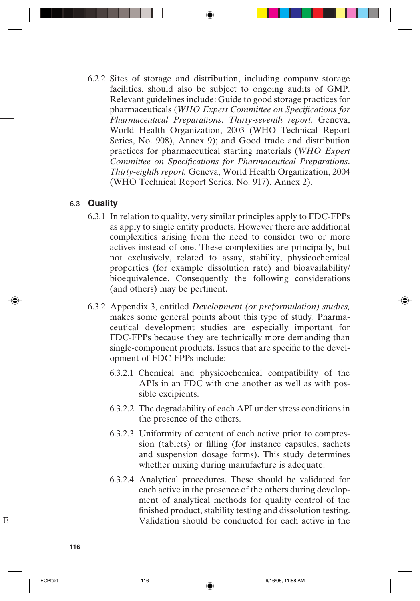6.2.2 Sites of storage and distribution, including company storage facilities, should also be subject to ongoing audits of GMP. Relevant guidelines include: Guide to good storage practices for pharmaceuticals (*WHO Expert Committee on Specifications for Pharmaceutical Preparations*. *Thirty-seventh report.* Geneva, World Health Organization, 2003 (WHO Technical Report Series, No. 908), Annex 9); and Good trade and distribution practices for pharmaceutical starting materials (*WHO Expert Committee on Specifications for Pharmaceutical Preparations*. *Thirty-eighth report.* Geneva, World Health Organization, 2004 (WHO Technical Report Series, No. 917), Annex 2).

## 6.3 **Quality**

- 6.3.1 In relation to quality, very similar principles apply to FDC-FPPs as apply to single entity products. However there are additional complexities arising from the need to consider two or more actives instead of one. These complexities are principally, but not exclusively, related to assay, stability, physicochemical properties (for example dissolution rate) and bioavailability/ bioequivalence. Consequently the following considerations (and others) may be pertinent.
- 6.3.2 Appendix 3, entitled *Development (or preformulation) studies,* makes some general points about this type of study. Pharmaceutical development studies are especially important for FDC-FPPs because they are technically more demanding than single-component products. Issues that are specific to the development of FDC-FPPs include:
	- 6.3.2.1 Chemical and physicochemical compatibility of the APIs in an FDC with one another as well as with possible excipients.
	- 6.3.2.2 The degradability of each API under stress conditions in the presence of the others.
	- 6.3.2.3 Uniformity of content of each active prior to compression (tablets) or filling (for instance capsules, sachets and suspension dosage forms). This study determines whether mixing during manufacture is adequate.
	- 6.3.2.4 Analytical procedures. These should be validated for each active in the presence of the others during development of analytical methods for quality control of the finished product, stability testing and dissolution testing. Validation should be conducted for each active in the

**116**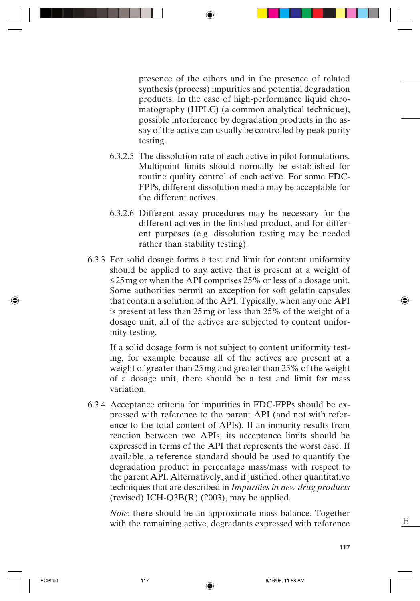presence of the others and in the presence of related synthesis (process) impurities and potential degradation products. In the case of high-performance liquid chromatography (HPLC) (a common analytical technique), possible interference by degradation products in the assay of the active can usually be controlled by peak purity testing.

- 6.3.2.5 The dissolution rate of each active in pilot formulations. Multipoint limits should normally be established for routine quality control of each active. For some FDC-FPPs, different dissolution media may be acceptable for the different actives.
- 6.3.2.6 Different assay procedures may be necessary for the different actives in the finished product, and for different purposes (e.g. dissolution testing may be needed rather than stability testing).
- 6.3.3 For solid dosage forms a test and limit for content uniformity should be applied to any active that is present at a weight of  $\leq$  25 mg or when the API comprises 25% or less of a dosage unit. Some authorities permit an exception for soft gelatin capsules that contain a solution of the API. Typically, when any one API is present at less than 25 mg or less than 25% of the weight of a dosage unit, all of the actives are subjected to content uniformity testing.

If a solid dosage form is not subject to content uniformity testing, for example because all of the actives are present at a weight of greater than 25 mg and greater than 25% of the weight of a dosage unit, there should be a test and limit for mass variation.

6.3.4 Acceptance criteria for impurities in FDC-FPPs should be expressed with reference to the parent API (and not with reference to the total content of APIs). If an impurity results from reaction between two APIs, its acceptance limits should be expressed in terms of the API that represents the worst case. If available, a reference standard should be used to quantify the degradation product in percentage mass/mass with respect to the parent API. Alternatively, and if justified, other quantitative techniques that are described in *Impurities in new drug products* (revised) ICH-Q3B $(R)$  (2003), may be applied.

*Note*: there should be an approximate mass balance. Together with the remaining active, degradants expressed with reference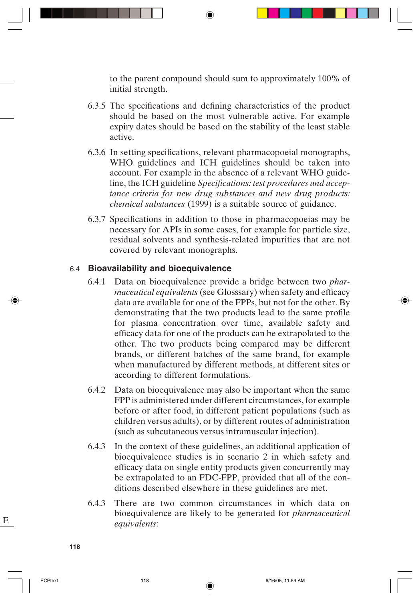to the parent compound should sum to approximately 100% of initial strength.

- 6.3.5 The specifications and defining characteristics of the product should be based on the most vulnerable active. For example expiry dates should be based on the stability of the least stable active.
- 6.3.6 In setting specifications, relevant pharmacopoeial monographs, WHO guidelines and ICH guidelines should be taken into account. For example in the absence of a relevant WHO guideline, the ICH guideline *Specifications: test procedures and acceptance criteria for new drug substances and new drug products: chemical substances* (1999) is a suitable source of guidance.
- 6.3.7 Specifications in addition to those in pharmacopoeias may be necessary for APIs in some cases, for example for particle size, residual solvents and synthesis-related impurities that are not covered by relevant monographs.

## 6.4 **Bioavailability and bioequivalence**

- 6.4.1 Data on bioequivalence provide a bridge between two *pharmaceutical equivalents* (see Glosssary) when safety and efficacy data are available for one of the FPPs, but not for the other. By demonstrating that the two products lead to the same profile for plasma concentration over time, available safety and efficacy data for one of the products can be extrapolated to the other. The two products being compared may be different brands, or different batches of the same brand, for example when manufactured by different methods, at different sites or according to different formulations.
- 6.4.2 Data on bioequivalence may also be important when the same FPP is administered under different circumstances, for example before or after food, in different patient populations (such as children versus adults), or by different routes of administration (such as subcutaneous versus intramuscular injection).
- 6.4.3 In the context of these guidelines, an additional application of bioequivalence studies is in scenario 2 in which safety and efficacy data on single entity products given concurrently may be extrapolated to an FDC-FPP, provided that all of the conditions described elsewhere in these guidelines are met.
- 6.4.3 There are two common circumstances in which data on bioequivalence are likely to be generated for *pharmaceutical equivalents*:

**118**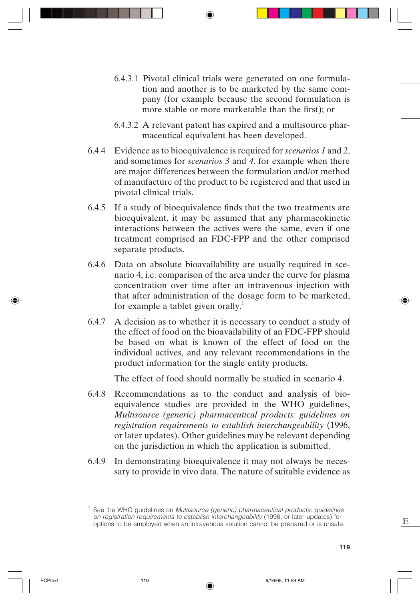- 6.4.3.1 Pivotal clinical trials were generated on one formulation and another is to be marketed by the same company (for example because the second formulation is more stable or more marketable than the first); or
- 6.4.3.2 A relevant patent has expired and a multisource pharmaceutical equivalent has been developed.
- 6.4.4 Evidence as to bioequivalence is required for *scenarios 1* and *2*, and sometimes for *scenarios 3* and *4*, for example when there are major differences between the formulation and/or method of manufacture of the product to be registered and that used in pivotal clinical trials.
- 6.4.5 If a study of bioequivalence finds that the two treatments are bioequivalent, it may be assumed that any pharmacokinetic interactions between the actives were the same, even if one treatment comprised an FDC-FPP and the other comprised separate products.
- 6.4.6 Data on absolute bioavailability are usually required in scenario 4, i.e. comparison of the area under the curve for plasma concentration over time after an intravenous injection with that after administration of the dosage form to be marketed, for example a tablet given orally.<sup>1</sup>
- 6.4.7 A decision as to whether it is necessary to conduct a study of the effect of food on the bioavailability of an FDC-FPP should be based on what is known of the effect of food on the individual actives, and any relevant recommendations in the product information for the single entity products.

The effect of food should normally be studied in scenario 4.

- 6.4.8 Recommendations as to the conduct and analysis of bioequivalence studies are provided in the WHO guidelines, *Multisource (generic) pharmaceutical products: guidelines on registration requirements to establish interchangeability* (1996, or later updates). Other guidelines may be relevant depending on the jurisdiction in which the application is submitted.
- 6.4.9 In demonstrating bioequivalence it may not always be necessary to provide in vivo data. The nature of suitable evidence as

See the WHO guidelines on Multisource (generic) pharmaceutical products: guidelines on registration requirements to establish interchangeability (1996, or later updates) for options to be employed when an intravenous solution cannot be prepared or is unsafe.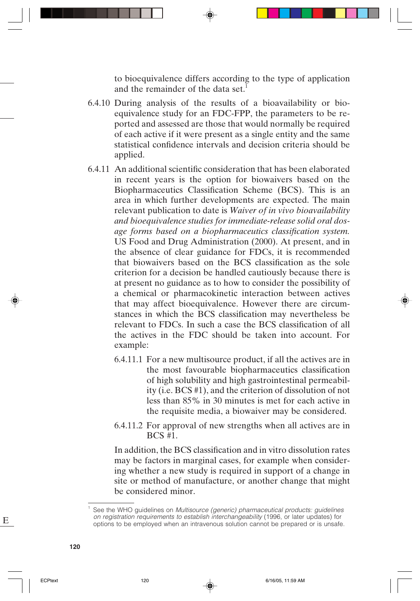to bioequivalence differs according to the type of application and the remainder of the data set.<sup>1</sup>

- 6.4.10 During analysis of the results of a bioavailability or bioequivalence study for an FDC-FPP, the parameters to be reported and assessed are those that would normally be required of each active if it were present as a single entity and the same statistical confidence intervals and decision criteria should be applied.
- 6.4.11 An additional scientific consideration that has been elaborated in recent years is the option for biowaivers based on the Biopharmaceutics Classification Scheme (BCS). This is an area in which further developments are expected. The main relevant publication to date is *Waiver of in vivo bioavailability and bioequivalence studies for immediate-release solid oral dosage forms based on a biopharmaceutics classification system.* US Food and Drug Administration (2000). At present, and in the absence of clear guidance for FDCs, it is recommended that biowaivers based on the BCS classification as the sole criterion for a decision be handled cautiously because there is at present no guidance as to how to consider the possibility of a chemical or pharmacokinetic interaction between actives that may affect bioequivalence. However there are circumstances in which the BCS classification may nevertheless be relevant to FDCs. In such a case the BCS classification of all the actives in the FDC should be taken into account. For example:
	- 6.4.11.1 For a new multisource product, if all the actives are in the most favourable biopharmaceutics classification of high solubility and high gastrointestinal permeability (i.e. BCS #1), and the criterion of dissolution of not less than 85% in 30 minutes is met for each active in the requisite media, a biowaiver may be considered.
	- 6.4.11.2 For approval of new strengths when all actives are in BCS #1.

In addition, the BCS classification and in vitro dissolution rates may be factors in marginal cases, for example when considering whether a new study is required in support of a change in site or method of manufacture, or another change that might be considered minor.

See the WHO guidelines on Multisource (generic) pharmaceutical products: guidelines on registration requirements to establish interchangeability (1996, or later updates) for options to be employed when an intravenous solution cannot be prepared or is unsafe.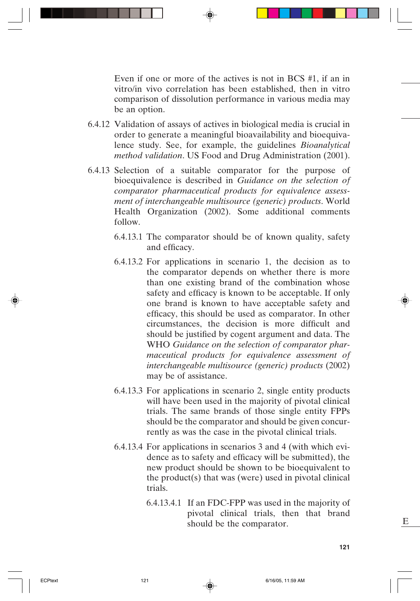Even if one or more of the actives is not in BCS #1, if an in vitro/in vivo correlation has been established, then in vitro comparison of dissolution performance in various media may be an option.

- 6.4.12 Validation of assays of actives in biological media is crucial in order to generate a meaningful bioavailability and bioequivalence study. See, for example, the guidelines *Bioanalytical method validation*. US Food and Drug Administration (2001).
- 6.4.13 Selection of a suitable comparator for the purpose of bioequivalence is described in *Guidance on the selection of comparator pharmaceutical products for equivalence assessment of interchangeable multisource (generic) products*. World Health Organization (2002). Some additional comments follow.
	- 6.4.13.1 The comparator should be of known quality, safety and efficacy.
	- 6.4.13.2 For applications in scenario 1, the decision as to the comparator depends on whether there is more than one existing brand of the combination whose safety and efficacy is known to be acceptable. If only one brand is known to have acceptable safety and efficacy, this should be used as comparator. In other circumstances, the decision is more difficult and should be justified by cogent argument and data. The WHO *Guidance on the selection of comparator pharmaceutical products for equivalence assessment of interchangeable multisource (generic) products* (2002) may be of assistance.
	- 6.4.13.3 For applications in scenario 2, single entity products will have been used in the majority of pivotal clinical trials. The same brands of those single entity FPPs should be the comparator and should be given concurrently as was the case in the pivotal clinical trials.
	- 6.4.13.4 For applications in scenarios 3 and 4 (with which evidence as to safety and efficacy will be submitted), the new product should be shown to be bioequivalent to the product(s) that was (were) used in pivotal clinical trials.
		- 6.4.13.4.1 If an FDC-FPP was used in the majority of pivotal clinical trials, then that brand should be the comparator.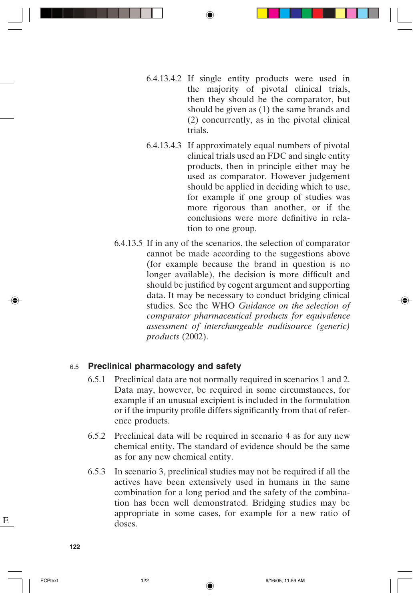- 6.4.13.4.2 If single entity products were used in the majority of pivotal clinical trials, then they should be the comparator, but should be given as (1) the same brands and (2) concurrently, as in the pivotal clinical trials.
- 6.4.13.4.3 If approximately equal numbers of pivotal clinical trials used an FDC and single entity products, then in principle either may be used as comparator. However judgement should be applied in deciding which to use, for example if one group of studies was more rigorous than another, or if the conclusions were more definitive in relation to one group.
- 6.4.13.5 If in any of the scenarios, the selection of comparator cannot be made according to the suggestions above (for example because the brand in question is no longer available), the decision is more difficult and should be justified by cogent argument and supporting data. It may be necessary to conduct bridging clinical studies. See the WHO *Guidance on the selection of comparator pharmaceutical products for equivalence assessment of interchangeable multisource (generic) products* (2002).

## 6.5 **Preclinical pharmacology and safety**

- 6.5.1 Preclinical data are not normally required in scenarios 1 and 2. Data may, however, be required in some circumstances, for example if an unusual excipient is included in the formulation or if the impurity profile differs significantly from that of reference products.
- 6.5.2 Preclinical data will be required in scenario 4 as for any new chemical entity. The standard of evidence should be the same as for any new chemical entity.
- 6.5.3 In scenario 3, preclinical studies may not be required if all the actives have been extensively used in humans in the same combination for a long period and the safety of the combination has been well demonstrated. Bridging studies may be appropriate in some cases, for example for a new ratio of doses.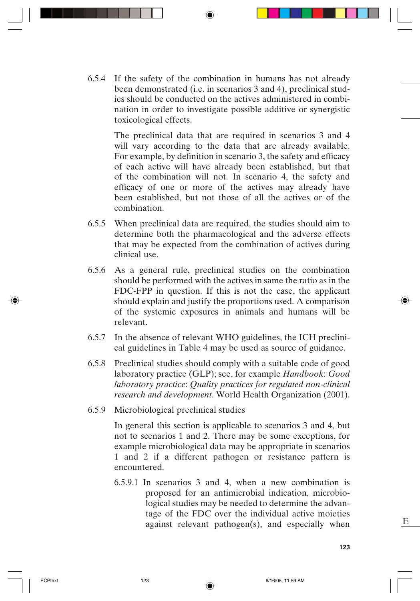6.5.4 If the safety of the combination in humans has not already been demonstrated (i.e. in scenarios 3 and 4), preclinical studies should be conducted on the actives administered in combination in order to investigate possible additive or synergistic toxicological effects.

The preclinical data that are required in scenarios 3 and 4 will vary according to the data that are already available. For example, by definition in scenario 3, the safety and efficacy of each active will have already been established, but that of the combination will not. In scenario 4, the safety and efficacy of one or more of the actives may already have been established, but not those of all the actives or of the combination.

- 6.5.5 When preclinical data are required, the studies should aim to determine both the pharmacological and the adverse effects that may be expected from the combination of actives during clinical use.
- 6.5.6 As a general rule, preclinical studies on the combination should be performed with the actives in same the ratio as in the FDC-FPP in question. If this is not the case, the applicant should explain and justify the proportions used. A comparison of the systemic exposures in animals and humans will be relevant.
- 6.5.7 In the absence of relevant WHO guidelines, the ICH preclinical guidelines in Table 4 may be used as source of guidance.
- 6.5.8 Preclinical studies should comply with a suitable code of good laboratory practice (GLP); see, for example *Handbook*: *Good laboratory practice*: *Quality practices for regulated non-clinical research and development*. World Health Organization (2001).
- 6.5.9 Microbiological preclinical studies

In general this section is applicable to scenarios 3 and 4, but not to scenarios 1 and 2. There may be some exceptions, for example microbiological data may be appropriate in scenarios 1 and 2 if a different pathogen or resistance pattern is encountered.

6.5.9.1 In scenarios 3 and 4, when a new combination is proposed for an antimicrobial indication, microbiological studies may be needed to determine the advantage of the FDC over the individual active moieties against relevant pathogen(s), and especially when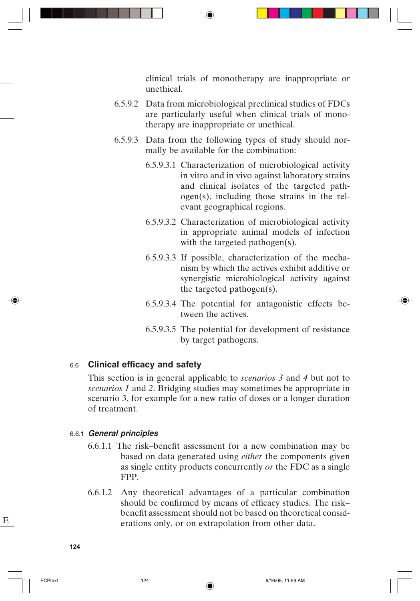clinical trials of monotherapy are inappropriate or unethical.

- 6.5.9.2 Data from microbiological preclinical studies of FDCs are particularly useful when clinical trials of monotherapy are inappropriate or unethical.
- 6.5.9.3 Data from the following types of study should normally be available for the combination:
	- 6.5.9.3.1 Characterization of microbiological activity in vitro and in vivo against laboratory strains and clinical isolates of the targeted pathogen(s), including those strains in the relevant geographical regions.
	- 6.5.9.3.2 Characterization of microbiological activity in appropriate animal models of infection with the targeted pathogen(s).
	- 6.5.9.3.3 If possible, characterization of the mechanism by which the actives exhibit additive or synergistic microbiological activity against the targeted pathogen(s).
	- 6.5.9.3.4 The potential for antagonistic effects between the actives.
	- 6.5.9.3.5 The potential for development of resistance by target pathogens.

## 6.6 **Clinical efficacy and safety**

This section is in general applicable to *scenarios 3* and *4* but not to *scenarios 1* and *2*. Bridging studies may sometimes be appropriate in scenario 3, for example for a new ratio of doses or a longer duration of treatment.

#### 6.6.1 **General principles**

- 6.6.1.1 The risk–benefit assessment for a new combination may be based on data generated using *either* the components given as single entity products concurrently *or* the FDC as a single FPP.
- 6.6.1.2 Any theoretical advantages of a particular combination should be confirmed by means of efficacy studies. The risk– benefit assessment should not be based on theoretical considerations only, or on extrapolation from other data.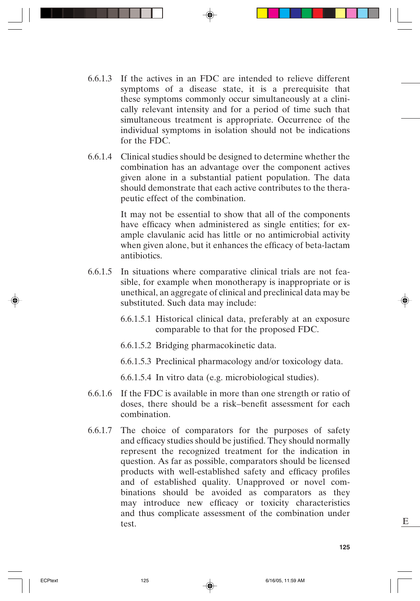- 6.6.1.3 If the actives in an FDC are intended to relieve different symptoms of a disease state, it is a prerequisite that these symptoms commonly occur simultaneously at a clinically relevant intensity and for a period of time such that simultaneous treatment is appropriate. Occurrence of the individual symptoms in isolation should not be indications for the FDC.
- 6.6.1.4 Clinical studies should be designed to determine whether the combination has an advantage over the component actives given alone in a substantial patient population. The data should demonstrate that each active contributes to the therapeutic effect of the combination.

It may not be essential to show that all of the components have efficacy when administered as single entities; for example clavulanic acid has little or no antimicrobial activity when given alone, but it enhances the efficacy of beta-lactam antibiotics.

- 6.6.1.5 In situations where comparative clinical trials are not feasible, for example when monotherapy is inappropriate or is unethical, an aggregate of clinical and preclinical data may be substituted. Such data may include:
	- 6.6.1.5.1 Historical clinical data, preferably at an exposure comparable to that for the proposed FDC.
	- 6.6.1.5.2 Bridging pharmacokinetic data.
	- 6.6.1.5.3 Preclinical pharmacology and/or toxicology data.
	- 6.6.1.5.4 In vitro data (e.g. microbiological studies).
- 6.6.1.6 If the FDC is available in more than one strength or ratio of doses, there should be a risk–benefit assessment for each combination.
- 6.6.1.7 The choice of comparators for the purposes of safety and efficacy studies should be justified. They should normally represent the recognized treatment for the indication in question. As far as possible, comparators should be licensed products with well-established safety and efficacy profiles and of established quality. Unapproved or novel combinations should be avoided as comparators as they may introduce new efficacy or toxicity characteristics and thus complicate assessment of the combination under test.

**125**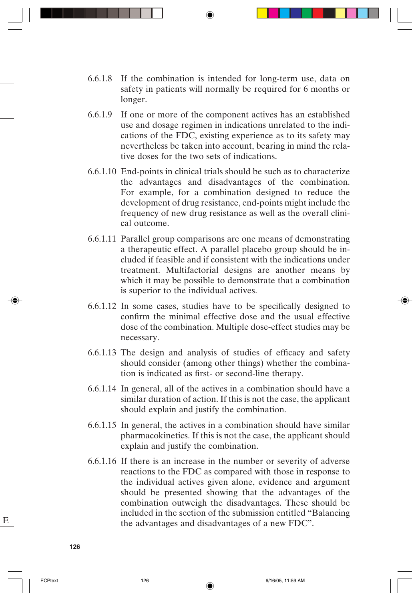- 6.6.1.8 If the combination is intended for long-term use, data on safety in patients will normally be required for 6 months or longer.
- 6.6.1.9 If one or more of the component actives has an established use and dosage regimen in indications unrelated to the indications of the FDC, existing experience as to its safety may nevertheless be taken into account, bearing in mind the relative doses for the two sets of indications.
- 6.6.1.10 End-points in clinical trials should be such as to characterize the advantages and disadvantages of the combination. For example, for a combination designed to reduce the development of drug resistance, end-points might include the frequency of new drug resistance as well as the overall clinical outcome.
- 6.6.1.11 Parallel group comparisons are one means of demonstrating a therapeutic effect. A parallel placebo group should be included if feasible and if consistent with the indications under treatment. Multifactorial designs are another means by which it may be possible to demonstrate that a combination is superior to the individual actives.
- 6.6.1.12 In some cases, studies have to be specifically designed to confirm the minimal effective dose and the usual effective dose of the combination. Multiple dose-effect studies may be necessary.
- 6.6.1.13 The design and analysis of studies of efficacy and safety should consider (among other things) whether the combination is indicated as first- or second-line therapy.
- 6.6.1.14 In general, all of the actives in a combination should have a similar duration of action. If this is not the case, the applicant should explain and justify the combination.
- 6.6.1.15 In general, the actives in a combination should have similar pharmacokinetics. If this is not the case, the applicant should explain and justify the combination.
- 6.6.1.16 If there is an increase in the number or severity of adverse reactions to the FDC as compared with those in response to the individual actives given alone, evidence and argument should be presented showing that the advantages of the combination outweigh the disadvantages. These should be included in the section of the submission entitled "Balancing the advantages and disadvantages of a new FDC".

**126**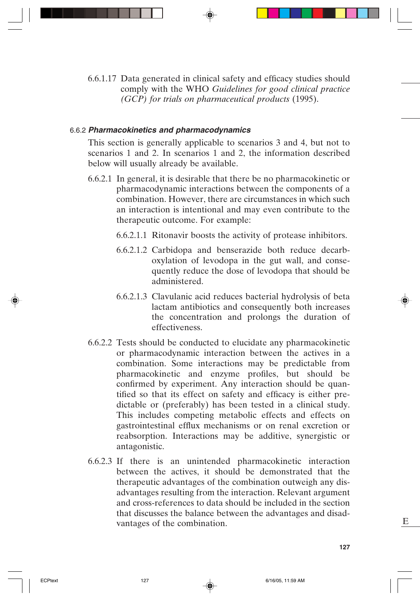6.6.1.17 Data generated in clinical safety and efficacy studies should comply with the WHO *Guidelines for good clinical practice (GCP) for trials on pharmaceutical products* (1995).

### 6.6.2 **Pharmacokinetics and pharmacodynamics**

This section is generally applicable to scenarios 3 and 4, but not to scenarios 1 and 2. In scenarios 1 and 2, the information described below will usually already be available.

- 6.6.2.1 In general, it is desirable that there be no pharmacokinetic or pharmacodynamic interactions between the components of a combination. However, there are circumstances in which such an interaction is intentional and may even contribute to the therapeutic outcome. For example:
	- 6.6.2.1.1 Ritonavir boosts the activity of protease inhibitors.
	- 6.6.2.1.2 Carbidopa and benserazide both reduce decarboxylation of levodopa in the gut wall, and consequently reduce the dose of levodopa that should be administered.
	- 6.6.2.1.3 Clavulanic acid reduces bacterial hydrolysis of beta lactam antibiotics and consequently both increases the concentration and prolongs the duration of effectiveness.
- 6.6.2.2 Tests should be conducted to elucidate any pharmacokinetic or pharmacodynamic interaction between the actives in a combination. Some interactions may be predictable from pharmacokinetic and enzyme profiles, but should be confirmed by experiment. Any interaction should be quantified so that its effect on safety and efficacy is either predictable or (preferably) has been tested in a clinical study. This includes competing metabolic effects and effects on gastrointestinal efflux mechanisms or on renal excretion or reabsorption. Interactions may be additive, synergistic or antagonistic.
- 6.6.2.3 If there is an unintended pharmacokinetic interaction between the actives, it should be demonstrated that the therapeutic advantages of the combination outweigh any disadvantages resulting from the interaction. Relevant argument and cross-references to data should be included in the section that discusses the balance between the advantages and disadvantages of the combination.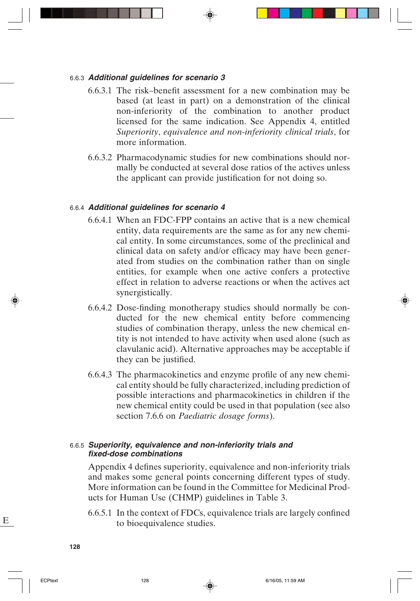## 6.6.3 **Additional guidelines for scenario 3**

- 6.6.3.1 The risk–benefit assessment for a new combination may be based (at least in part) on a demonstration of the clinical non-inferiority of the combination to another product licensed for the same indication. See Appendix 4, entitled *Superiority*, *equivalence and non-inferiority clinical trials*, for more information.
- 6.6.3.2 Pharmacodynamic studies for new combinations should normally be conducted at several dose ratios of the actives unless the applicant can provide justification for not doing so.

#### 6.6.4 **Additional guidelines for scenario 4**

- 6.6.4.1 When an FDC-FPP contains an active that is a new chemical entity, data requirements are the same as for any new chemical entity. In some circumstances, some of the preclinical and clinical data on safety and/or efficacy may have been generated from studies on the combination rather than on single entities, for example when one active confers a protective effect in relation to adverse reactions or when the actives act synergistically.
- 6.6.4.2 Dose-finding monotherapy studies should normally be conducted for the new chemical entity before commencing studies of combination therapy, unless the new chemical entity is not intended to have activity when used alone (such as clavulanic acid). Alternative approaches may be acceptable if they can be justified.
- 6.6.4.3 The pharmacokinetics and enzyme profile of any new chemical entity should be fully characterized, including prediction of possible interactions and pharmacokinetics in children if the new chemical entity could be used in that population (see also section 7.6.6 on *Paediatric dosage forms*).

## 6.6.5 **Superiority, equivalence and non-inferiority trials and fixed-dose combinations**

Appendix 4 defines superiority, equivalence and non-inferiority trials and makes some general points concerning different types of study. More information can be found in the Committee for Medicinal Products for Human Use (CHMP) guidelines in Table 3.

6.6.5.1 In the context of FDCs, equivalence trials are largely confined to bioequivalence studies.

**128**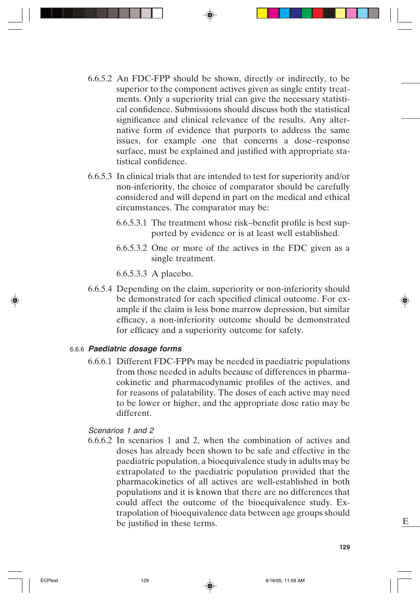- 6.6.5.2 An FDC-FPP should be shown, directly or indirectly, to be superior to the component actives given as single entity treatments. Only a superiority trial can give the necessary statistical confidence. Submissions should discuss both the statistical significance and clinical relevance of the results. Any alternative form of evidence that purports to address the same issues, for example one that concerns a dose–response surface, must be explained and justified with appropriate statistical confidence.
- 6.6.5.3 In clinical trials that are intended to test for superiority and/or non-inferiority, the choice of comparator should be carefully considered and will depend in part on the medical and ethical circumstances. The comparator may be:
	- 6.6.5.3.1 The treatment whose risk–benefit profile is best supported by evidence or is at least well established.
	- 6.6.5.3.2 One or more of the actives in the FDC given as a single treatment.
	- 6.6.5.3.3 A placebo.
- 6.6.5.4 Depending on the claim, superiority or non-inferiority should be demonstrated for each specified clinical outcome. For example if the claim is less bone marrow depression, but similar efficacy, a non-inferiority outcome should be demonstrated for efficacy and a superiority outcome for safety.

## 6.6.6 **Paediatric dosage forms**

6.6.6.1 Different FDC-FPPs may be needed in paediatric populations from those needed in adults because of differences in pharmacokinetic and pharmacodynamic profiles of the actives, and for reasons of palatability. The doses of each active may need to be lower or higher, and the appropriate dose ratio may be different.

## Scenarios 1 and 2

6.6.6.2 In scenarios 1 and 2, when the combination of actives and doses has already been shown to be safe and effective in the paediatric population, a bioequivalence study in adults may be extrapolated to the paediatric population provided that the pharmacokinetics of all actives are well-established in both populations and it is known that there are no differences that could affect the outcome of the bioequivalence study. Extrapolation of bioequivalence data between age groups should be justified in these terms.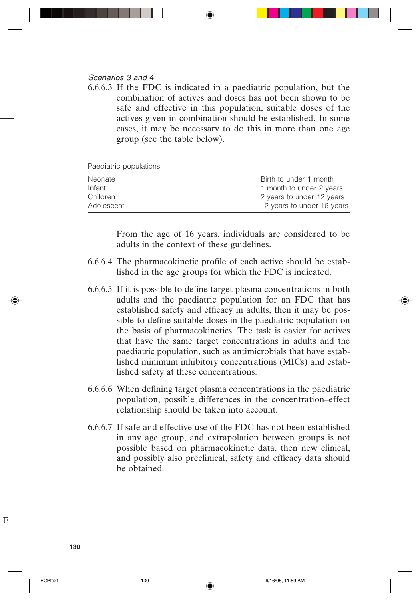#### Scenarios 3 and 4

6.6.6.3 If the FDC is indicated in a paediatric population, but the combination of actives and doses has not been shown to be safe and effective in this population, suitable doses of the actives given in combination should be established. In some cases, it may be necessary to do this in more than one age group (see the table below).

Paediatric populations

| Neonate    | Birth to under 1 month     |
|------------|----------------------------|
| Infant     | 1 month to under 2 years   |
| Children   | 2 years to under 12 years  |
| Adolescent | 12 years to under 16 years |

From the age of 16 years, individuals are considered to be adults in the context of these guidelines.

- 6.6.6.4 The pharmacokinetic profile of each active should be established in the age groups for which the FDC is indicated.
- 6.6.6.5 If it is possible to define target plasma concentrations in both adults and the paediatric population for an FDC that has established safety and efficacy in adults, then it may be possible to define suitable doses in the paediatric population on the basis of pharmacokinetics. The task is easier for actives that have the same target concentrations in adults and the paediatric population, such as antimicrobials that have established minimum inhibitory concentrations (MICs) and established safety at these concentrations.
- 6.6.6.6 When defining target plasma concentrations in the paediatric population, possible differences in the concentration–effect relationship should be taken into account.
- 6.6.6.7 If safe and effective use of the FDC has not been established in any age group, and extrapolation between groups is not possible based on pharmacokinetic data, then new clinical, and possibly also preclinical, safety and efficacy data should be obtained.

**130**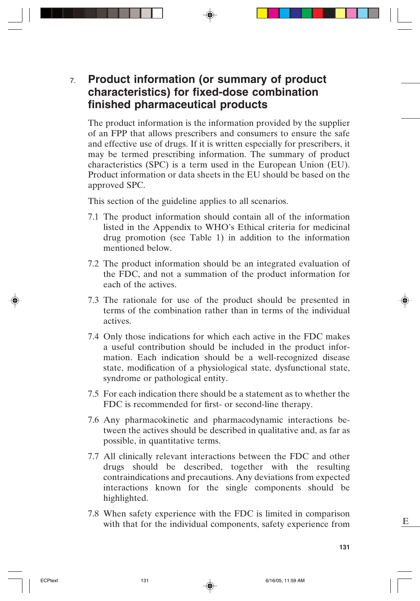7. **Product information (or summary of product characteristics) for fixed-dose combination finished pharmaceutical products**

The product information is the information provided by the supplier of an FPP that allows prescribers and consumers to ensure the safe and effective use of drugs. If it is written especially for prescribers, it may be termed prescribing information. The summary of product characteristics (SPC) is a term used in the European Union (EU). Product information or data sheets in the EU should be based on the approved SPC.

This section of the guideline applies to all scenarios.

- 7.1 The product information should contain all of the information listed in the Appendix to WHO's Ethical criteria for medicinal drug promotion (see Table 1) in addition to the information mentioned below.
- 7.2 The product information should be an integrated evaluation of the FDC, and not a summation of the product information for each of the actives.
- 7.3 The rationale for use of the product should be presented in terms of the combination rather than in terms of the individual actives.
- 7.4 Only those indications for which each active in the FDC makes a useful contribution should be included in the product information. Each indication should be a well-recognized disease state, modification of a physiological state, dysfunctional state, syndrome or pathological entity.
- 7.5 For each indication there should be a statement as to whether the FDC is recommended for first- or second-line therapy.
- 7.6 Any pharmacokinetic and pharmacodynamic interactions between the actives should be described in qualitative and, as far as possible, in quantitative terms.
- 7.7 All clinically relevant interactions between the FDC and other drugs should be described, together with the resulting contraindications and precautions. Any deviations from expected interactions known for the single components should be highlighted.
- 7.8 When safety experience with the FDC is limited in comparison with that for the individual components, safety experience from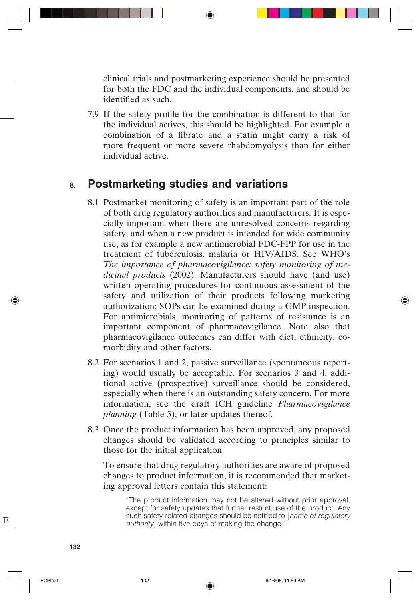clinical trials and postmarketing experience should be presented for both the FDC and the individual components, and should be identified as such.

7.9 If the safety profile for the combination is different to that for the individual actives, this should be highlighted. For example a combination of a fibrate and a statin might carry a risk of more frequent or more severe rhabdomyolysis than for either individual active.

# 8. **Postmarketing studies and variations**

- 8.1 Postmarket monitoring of safety is an important part of the role of both drug regulatory authorities and manufacturers. It is especially important when there are unresolved concerns regarding safety, and when a new product is intended for wide community use, as for example a new antimicrobial FDC-FPP for use in the treatment of tuberculosis, malaria or HIV/AIDS. See WHO's *The importance of pharmacovigilance: safety monitoring of medicinal products* (2002). Manufacturers should have (and use) written operating procedures for continuous assessment of the safety and utilization of their products following marketing authorization; SOPs can be examined during a GMP inspection. For antimicrobials, monitoring of patterns of resistance is an important component of pharmacovigilance. Note also that pharmacovigilance outcomes can differ with diet, ethnicity, comorbidity and other factors.
- 8.2 For scenarios 1 and 2, passive surveillance (spontaneous reporting) would usually be acceptable. For scenarios 3 and 4, additional active (prospective) surveillance should be considered, especially when there is an outstanding safety concern. For more information, see the draft ICH guideline *Pharmacovigilance planning* (Table 5), or later updates thereof.
- 8.3 Once the product information has been approved, any proposed changes should be validated according to principles similar to those for the initial application.

To ensure that drug regulatory authorities are aware of proposed changes to product information, it is recommended that marketing approval letters contain this statement:

"The product information may not be altered without prior approval, except for safety updates that further restrict use of the product. Any such safety-related changes should be notified to [name of regulatory authority] within five days of making the change."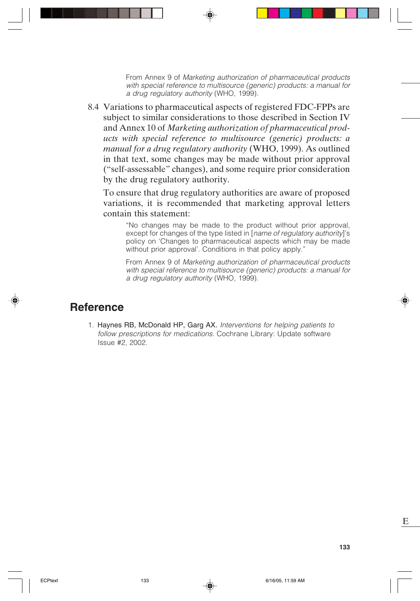From Annex 9 of Marketing authorization of pharmaceutical products with special reference to multisource (generic) products: a manual for a drug regulatory authority (WHO, 1999).

8.4 Variations to pharmaceutical aspects of registered FDC-FPPs are subject to similar considerations to those described in Section IV and Annex 10 of *Marketing authorization of pharmaceutical products with special reference to multisource (generic) products: a manual for a drug regulatory authority* (WHO, 1999). As outlined in that text, some changes may be made without prior approval ("self-assessable" changes), and some require prior consideration by the drug regulatory authority.

To ensure that drug regulatory authorities are aware of proposed variations, it is recommended that marketing approval letters contain this statement:

"No changes may be made to the product without prior approval, except for changes of the type listed in [name of regulatory authority]'s policy on 'Changes to pharmaceutical aspects which may be made without prior approval'. Conditions in that policy apply."

From Annex 9 of Marketing authorization of pharmaceutical products with special reference to multisource (generic) products: a manual for a drug regulatory authority (WHO, 1999).

## **Reference**

1. Haynes RB, McDonald HP, Garg AX. Interventions for helping patients to follow prescriptions for medications. Cochrane Library: Update software Issue #2, 2002.

E

**133**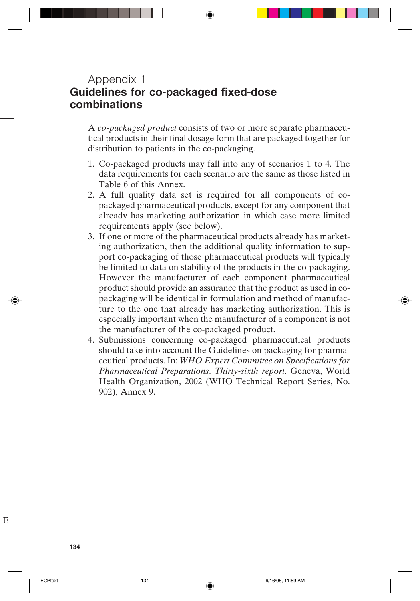# Appendix 1 **Guidelines for co-packaged fixed-dose combinations**

A *co-packaged product* consists of two or more separate pharmaceutical products in their final dosage form that are packaged together for distribution to patients in the co-packaging.

- 1. Co-packaged products may fall into any of scenarios 1 to 4. The data requirements for each scenario are the same as those listed in Table 6 of this Annex.
- 2. A full quality data set is required for all components of copackaged pharmaceutical products, except for any component that already has marketing authorization in which case more limited requirements apply (see below).
- 3. If one or more of the pharmaceutical products already has marketing authorization, then the additional quality information to support co-packaging of those pharmaceutical products will typically be limited to data on stability of the products in the co-packaging. However the manufacturer of each component pharmaceutical product should provide an assurance that the product as used in copackaging will be identical in formulation and method of manufacture to the one that already has marketing authorization. This is especially important when the manufacturer of a component is not the manufacturer of the co-packaged product.
- 4. Submissions concerning co-packaged pharmaceutical products should take into account the Guidelines on packaging for pharmaceutical products. In: *WHO Expert Committee on Specifications for Pharmaceutical Preparations*. *Thirty-sixth report*. Geneva, World Health Organization, 2002 (WHO Technical Report Series, No. 902), Annex 9.

**134**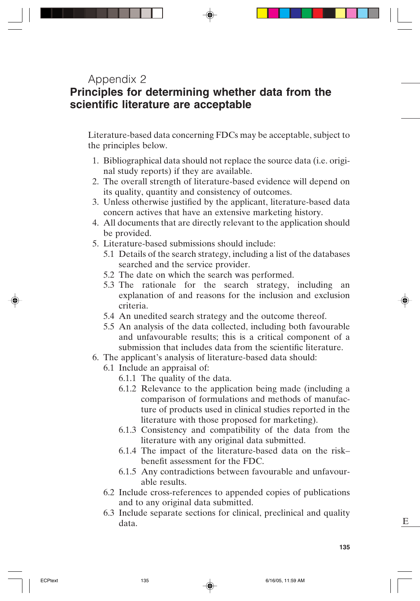# Appendix 2 **Principles for determining whether data from the scientific literature are acceptable**

Literature-based data concerning FDCs may be acceptable, subject to the principles below.

- 1. Bibliographical data should not replace the source data (i.e. original study reports) if they are available.
- 2. The overall strength of literature-based evidence will depend on its quality, quantity and consistency of outcomes.
- 3. Unless otherwise justified by the applicant, literature-based data concern actives that have an extensive marketing history.
- 4. All documents that are directly relevant to the application should be provided.
- 5. Literature-based submissions should include:
	- 5.1 Details of the search strategy, including a list of the databases searched and the service provider.
	- 5.2 The date on which the search was performed.
	- 5.3 The rationale for the search strategy, including an explanation of and reasons for the inclusion and exclusion criteria.
	- 5.4 An unedited search strategy and the outcome thereof.
	- 5.5 An analysis of the data collected, including both favourable and unfavourable results; this is a critical component of a submission that includes data from the scientific literature.
- 6. The applicant's analysis of literature-based data should:
	- 6.1 Include an appraisal of:
		- 6.1.1 The quality of the data.
		- 6.1.2 Relevance to the application being made (including a comparison of formulations and methods of manufacture of products used in clinical studies reported in the literature with those proposed for marketing).
		- 6.1.3 Consistency and compatibility of the data from the literature with any original data submitted.
		- 6.1.4 The impact of the literature-based data on the risk– benefit assessment for the FDC.
		- 6.1.5 Any contradictions between favourable and unfavourable results.
	- 6.2 Include cross-references to appended copies of publications and to any original data submitted.
	- 6.3 Include separate sections for clinical, preclinical and quality data.

**135**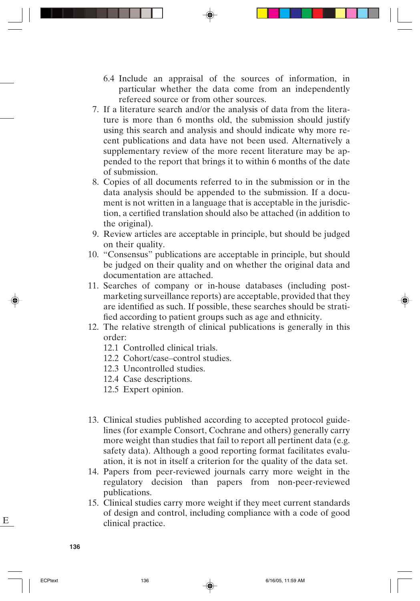- 6.4 Include an appraisal of the sources of information, in particular whether the data come from an independently refereed source or from other sources.
- 7. If a literature search and/or the analysis of data from the literature is more than 6 months old, the submission should justify using this search and analysis and should indicate why more recent publications and data have not been used. Alternatively a supplementary review of the more recent literature may be appended to the report that brings it to within 6 months of the date of submission.
- 8. Copies of all documents referred to in the submission or in the data analysis should be appended to the submission. If a document is not written in a language that is acceptable in the jurisdiction, a certified translation should also be attached (in addition to the original).
- 9. Review articles are acceptable in principle, but should be judged on their quality.
- 10. "Consensus" publications are acceptable in principle, but should be judged on their quality and on whether the original data and documentation are attached.
- 11. Searches of company or in-house databases (including postmarketing surveillance reports) are acceptable, provided that they are identified as such. If possible, these searches should be stratified according to patient groups such as age and ethnicity.
- 12. The relative strength of clinical publications is generally in this order:
	- 12.1 Controlled clinical trials.
	- 12.2 Cohort/case–control studies.
	- 12.3 Uncontrolled studies.
	- 12.4 Case descriptions.
	- 12.5 Expert opinion.
- 13. Clinical studies published according to accepted protocol guidelines (for example Consort, Cochrane and others) generally carry more weight than studies that fail to report all pertinent data (e.g. safety data). Although a good reporting format facilitates evaluation, it is not in itself a criterion for the quality of the data set.
- 14. Papers from peer-reviewed journals carry more weight in the regulatory decision than papers from non-peer-reviewed publications.
- 15. Clinical studies carry more weight if they meet current standards of design and control, including compliance with a code of good clinical practice.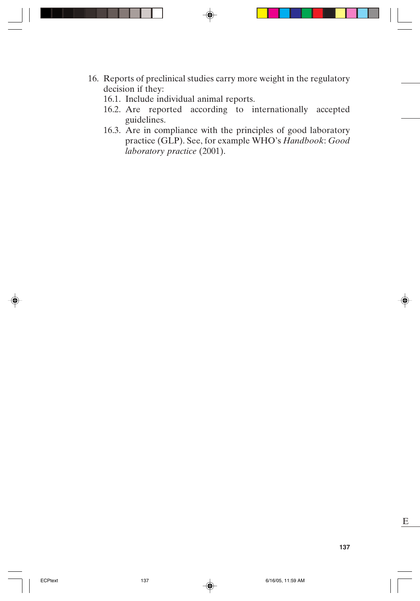- 16. Reports of preclinical studies carry more weight in the regulatory decision if they:
	- 16.1. Include individual animal reports.
	- 16.2. Are reported according to internationally accepted guidelines.
	- 16.3. Are in compliance with the principles of good laboratory practice (GLP). See, for example WHO's *Handbook*: *Good laboratory practice* (2001).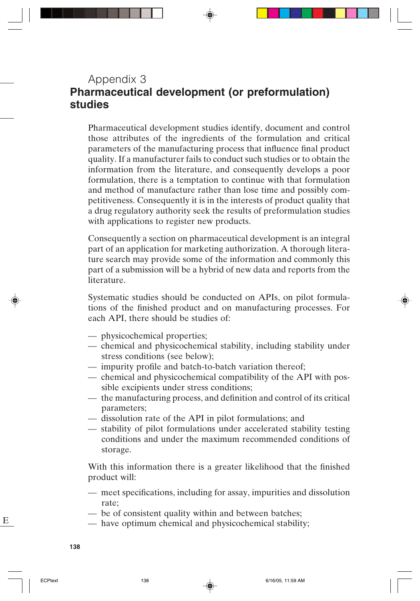# Appendix 3 **Pharmaceutical development (or preformulation) studies**

Pharmaceutical development studies identify, document and control those attributes of the ingredients of the formulation and critical parameters of the manufacturing process that influence final product quality. If a manufacturer fails to conduct such studies or to obtain the information from the literature, and consequently develops a poor formulation, there is a temptation to continue with that formulation and method of manufacture rather than lose time and possibly competitiveness. Consequently it is in the interests of product quality that a drug regulatory authority seek the results of preformulation studies with applications to register new products.

Consequently a section on pharmaceutical development is an integral part of an application for marketing authorization. A thorough literature search may provide some of the information and commonly this part of a submission will be a hybrid of new data and reports from the literature.

Systematic studies should be conducted on APIs, on pilot formulations of the finished product and on manufacturing processes. For each API, there should be studies of:

- physicochemical properties;
- chemical and physicochemical stability, including stability under stress conditions (see below);
- impurity profile and batch-to-batch variation thereof;
- chemical and physicochemical compatibility of the API with possible excipients under stress conditions;
- the manufacturing process, and definition and control of its critical parameters;
- dissolution rate of the API in pilot formulations; and
- stability of pilot formulations under accelerated stability testing conditions and under the maximum recommended conditions of storage.

With this information there is a greater likelihood that the finished product will:

- meet specifications, including for assay, impurities and dissolution rate;
- be of consistent quality within and between batches;
- have optimum chemical and physicochemical stability;

E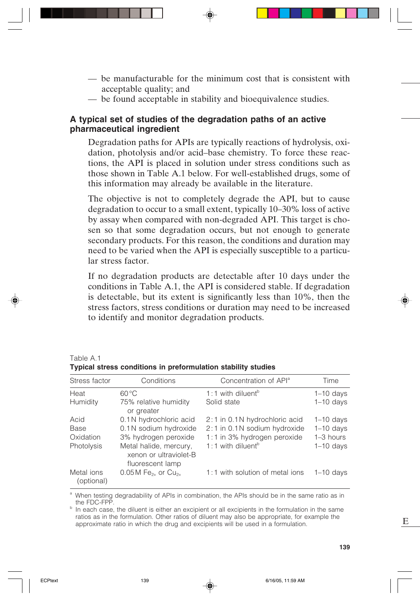- be manufacturable for the minimum cost that is consistent with acceptable quality; and
- be found acceptable in stability and bioequivalence studies.

## **A typical set of studies of the degradation paths of an active pharmaceutical ingredient**

Degradation paths for APIs are typically reactions of hydrolysis, oxidation, photolysis and/or acid–base chemistry. To force these reactions, the API is placed in solution under stress conditions such as those shown in Table A.1 below. For well-established drugs, some of this information may already be available in the literature.

The objective is not to completely degrade the API, but to cause degradation to occur to a small extent, typically 10–30% loss of active by assay when compared with non-degraded API. This target is chosen so that some degradation occurs, but not enough to generate secondary products. For this reason, the conditions and duration may need to be varied when the API is especially susceptible to a particular stress factor.

If no degradation products are detectable after 10 days under the conditions in Table A.1, the API is considered stable. If degradation is detectable, but its extent is significantly less than 10%, then the stress factors, stress conditions or duration may need to be increased to identify and monitor degradation products.

#### Table A.1

**Typical stress conditions in preformulation stability studies**

| Stress factor            | Conditions                                                           | Concentration of API <sup>a</sup> | Time        |
|--------------------------|----------------------------------------------------------------------|-----------------------------------|-------------|
| Heat                     | $60^{\circ}$ C                                                       | 1:1 with diluent <sup>b</sup>     | $1-10$ days |
| Humidity                 | 75% relative humidity<br>or greater                                  | Solid state                       | $1-10$ days |
| Acid                     | 0.1N hydrochloric acid                                               | 2:1 in 0.1N hydrochloric acid     | $1-10$ days |
| Base                     | 0.1 N sodium hydroxide                                               | 2:1 in 0.1N sodium hydroxide      | $1-10$ days |
| Oxidation                | 3% hydrogen peroxide                                                 | 1:1 in 3% hydrogen peroxide       | $1-3$ hours |
| Photolysis               | Metal halide, mercury,<br>xenon or ultraviolet-B<br>fluorescent lamp | $1:1$ with diluent <sup>b</sup>   | $1-10$ days |
| Metal ions<br>(optional) | 0.05 M Fe <sub>2+</sub> or $Cu_{2+}$                                 | 1:1 with solution of metal ions   | $1-10$ days |

When testing degradability of APIs in combination, the APIs should be in the same ratio as in the FDC-FPP.

In each case, the diluent is either an excipient or all excipients in the formulation in the same ratios as in the formulation. Other ratios of diluent may also be appropriate, for example the approximate ratio in which the drug and excipients will be used in a formulation.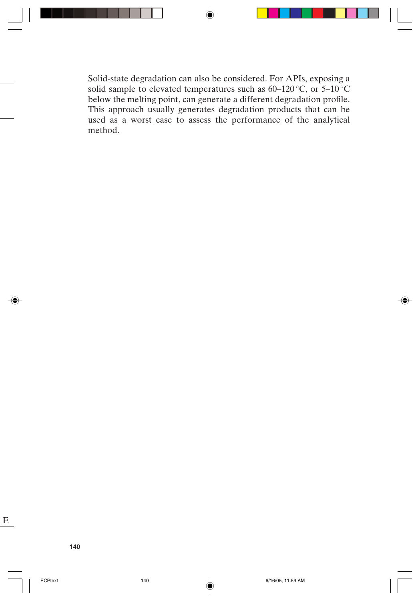Solid-state degradation can also be considered. For APIs, exposing a solid sample to elevated temperatures such as  $60-120\degree C$ , or  $5-10\degree C$ below the melting point, can generate a different degradation profile. This approach usually generates degradation products that can be used as a worst case to assess the performance of the analytical method.

E

**140**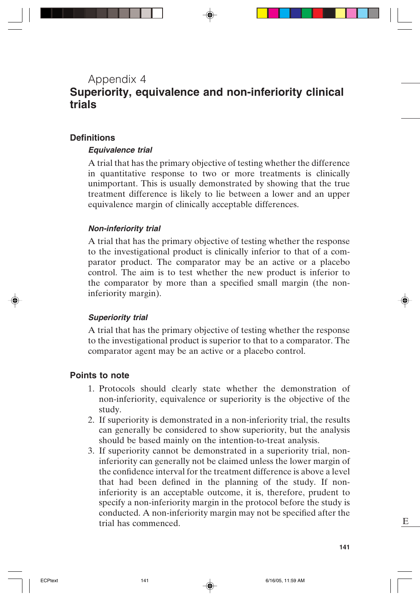# Appendix 4 **Superiority, equivalence and non-inferiority clinical trials**

### **Definitions**

#### **Equivalence trial**

A trial that has the primary objective of testing whether the difference in quantitative response to two or more treatments is clinically unimportant. This is usually demonstrated by showing that the true treatment difference is likely to lie between a lower and an upper equivalence margin of clinically acceptable differences.

#### **Non-inferiority trial**

A trial that has the primary objective of testing whether the response to the investigational product is clinically inferior to that of a comparator product. The comparator may be an active or a placebo control. The aim is to test whether the new product is inferior to the comparator by more than a specified small margin (the noninferiority margin).

#### **Superiority trial**

A trial that has the primary objective of testing whether the response to the investigational product is superior to that to a comparator. The comparator agent may be an active or a placebo control.

## **Points to note**

- 1. Protocols should clearly state whether the demonstration of non-inferiority, equivalence or superiority is the objective of the study.
- 2. If superiority is demonstrated in a non-inferiority trial, the results can generally be considered to show superiority, but the analysis should be based mainly on the intention-to-treat analysis.
- 3. If superiority cannot be demonstrated in a superiority trial, noninferiority can generally not be claimed unless the lower margin of the confidence interval for the treatment difference is above a level that had been defined in the planning of the study. If noninferiority is an acceptable outcome, it is, therefore, prudent to specify a non-inferiority margin in the protocol before the study is conducted. A non-inferiority margin may not be specified after the trial has commenced.